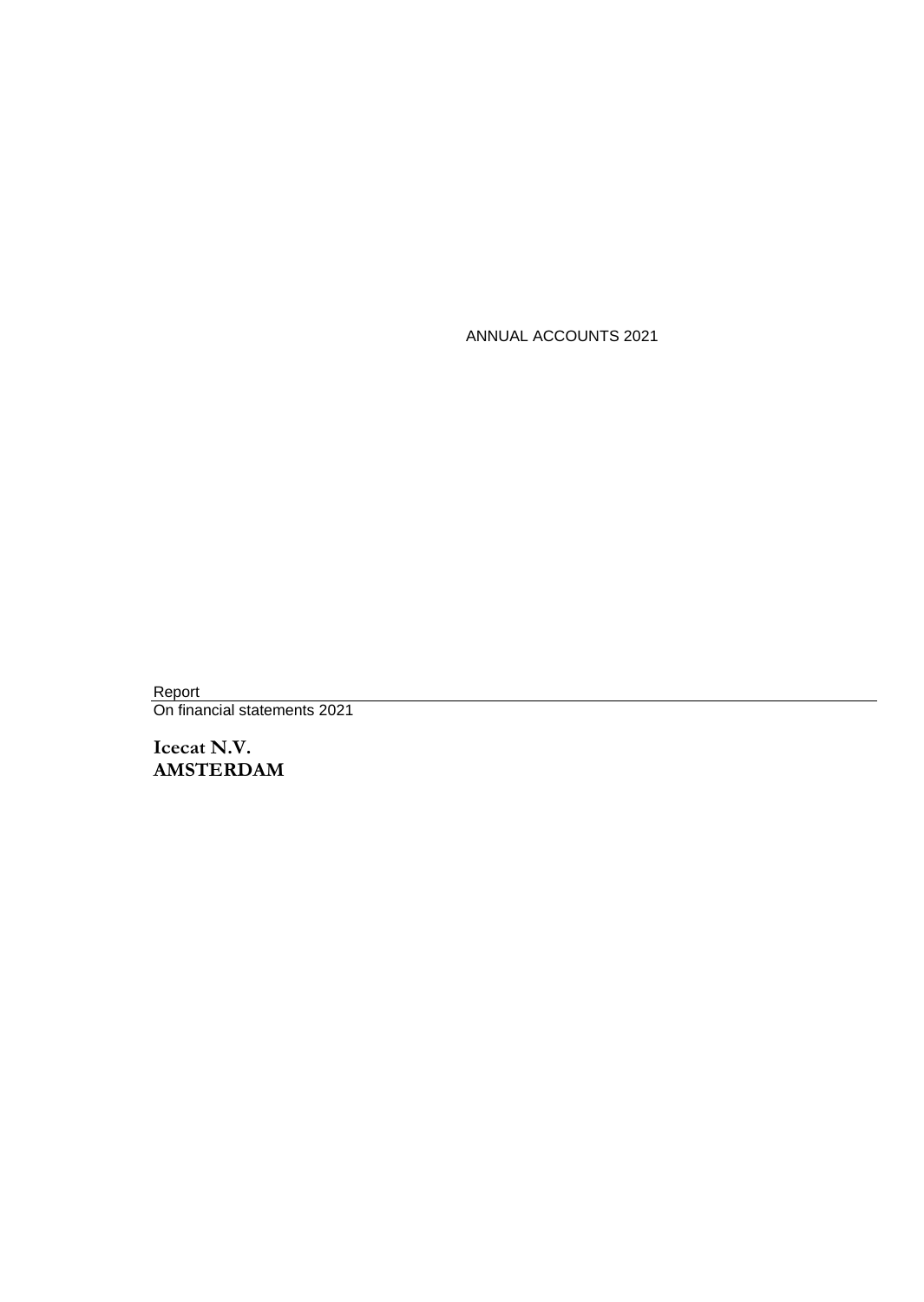ANNUAL ACCOUNTS 2021

Report On financial statements 2021

**Icecat N.V. AMSTERDAM**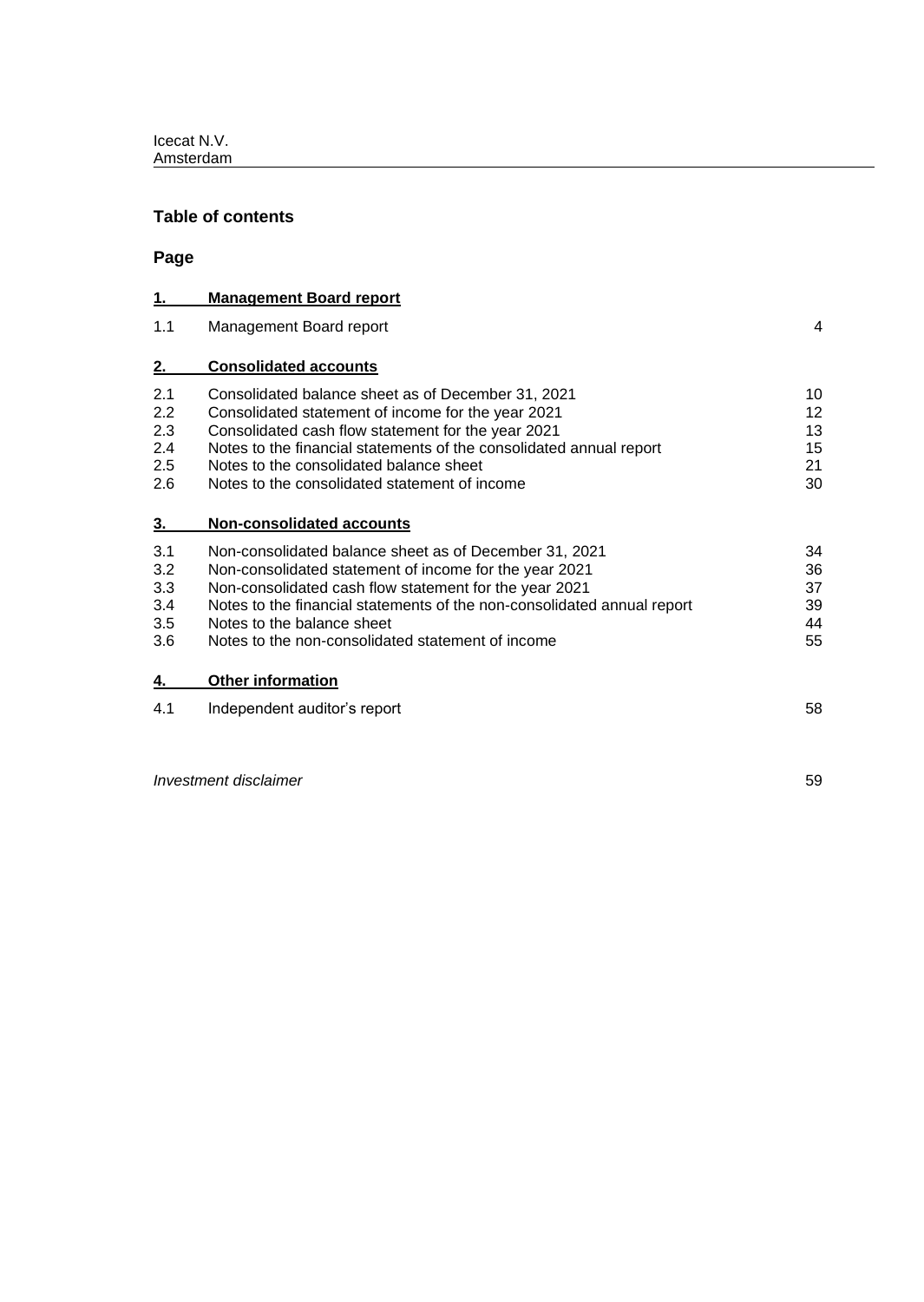# **Table of contents**

**Page**

| <u>1.</u>      | <b>Management Board report</b>                                          |    |
|----------------|-------------------------------------------------------------------------|----|
| 1.1            | Management Board report                                                 | 4  |
| 2.             | <b>Consolidated accounts</b>                                            |    |
| 2.1            | Consolidated balance sheet as of December 31, 2021                      | 10 |
| 2.2            | Consolidated statement of income for the year 2021                      | 12 |
| 2.3            | Consolidated cash flow statement for the year 2021                      | 13 |
| 2.4            | Notes to the financial statements of the consolidated annual report     | 15 |
| 2.5            | Notes to the consolidated balance sheet                                 | 21 |
| 2.6            | Notes to the consolidated statement of income                           | 30 |
| 3 <sub>1</sub> | <b>Non-consolidated accounts</b>                                        |    |
| 3.1            | Non-consolidated balance sheet as of December 31, 2021                  | 34 |
| 3.2            | Non-consolidated statement of income for the year 2021                  | 36 |
| 3.3            | Non-consolidated cash flow statement for the year 2021                  | 37 |
| 3.4            | Notes to the financial statements of the non-consolidated annual report | 39 |
| 3.5            | Notes to the balance sheet                                              | 44 |
| 3.6            | Notes to the non-consolidated statement of income                       | 55 |
| 4.             | <b>Other information</b>                                                |    |
| 4.1            | Independent auditor's report                                            | 58 |
|                |                                                                         |    |

*Investment disclaimer* 59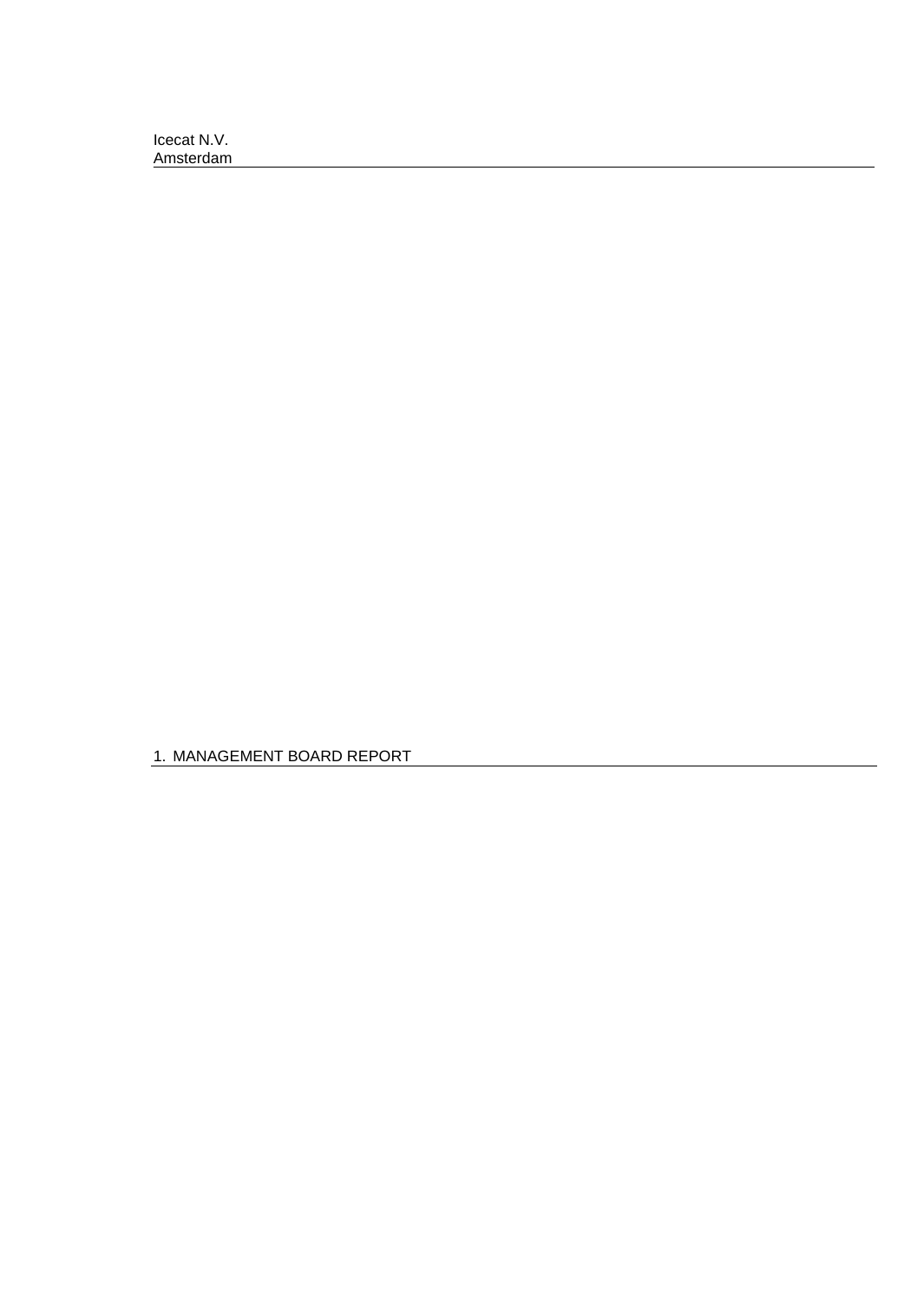1. MANAGEMENT BOARD REPORT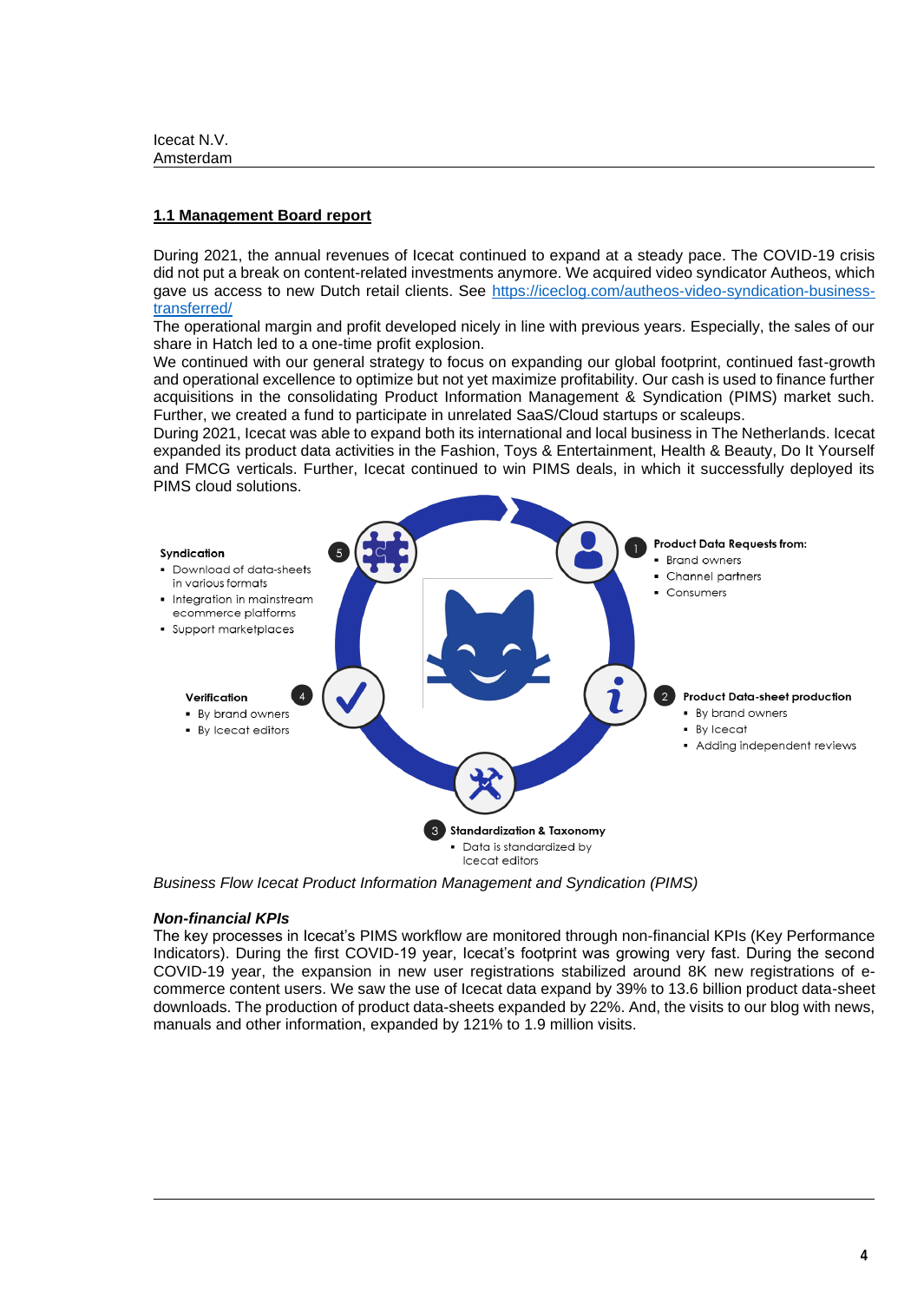# **1.1 Management Board report**

During 2021, the annual revenues of Icecat continued to expand at a steady pace. The COVID-19 crisis did not put a break on content-related investments anymore. We acquired video syndicator Autheos, which gave us access to new Dutch retail clients. See [https://iceclog.com/autheos-video-syndication-business](https://iceclog.com/autheos-video-syndication-business-transferred/)[transferred/](https://iceclog.com/autheos-video-syndication-business-transferred/)

The operational margin and profit developed nicely in line with previous years. Especially, the sales of our share in Hatch led to a one-time profit explosion.

We continued with our general strategy to focus on expanding our global footprint, continued fast-growth and operational excellence to optimize but not yet maximize profitability. Our cash is used to finance further acquisitions in the consolidating Product Information Management & Syndication (PIMS) market such. Further, we created a fund to participate in unrelated SaaS/Cloud startups or scaleups.

During 2021, Icecat was able to expand both its international and local business in The Netherlands. Icecat expanded its product data activities in the Fashion, Toys & Entertainment, Health & Beauty, Do It Yourself and FMCG verticals. Further, Icecat continued to win PIMS deals, in which it successfully deployed its PIMS cloud solutions.



*Business Flow Icecat Product Information Management and Syndication (PIMS)*

### *Non-financial KPIs*

The key processes in Icecat's PIMS workflow are monitored through non-financial KPIs (Key Performance Indicators). During the first COVID-19 year, Icecat's footprint was growing very fast. During the second COVID-19 year, the expansion in new user registrations stabilized around 8K new registrations of ecommerce content users. We saw the use of Icecat data expand by 39% to 13.6 billion product data-sheet downloads. The production of product data-sheets expanded by 22%. And, the visits to our blog with news, manuals and other information, expanded by 121% to 1.9 million visits.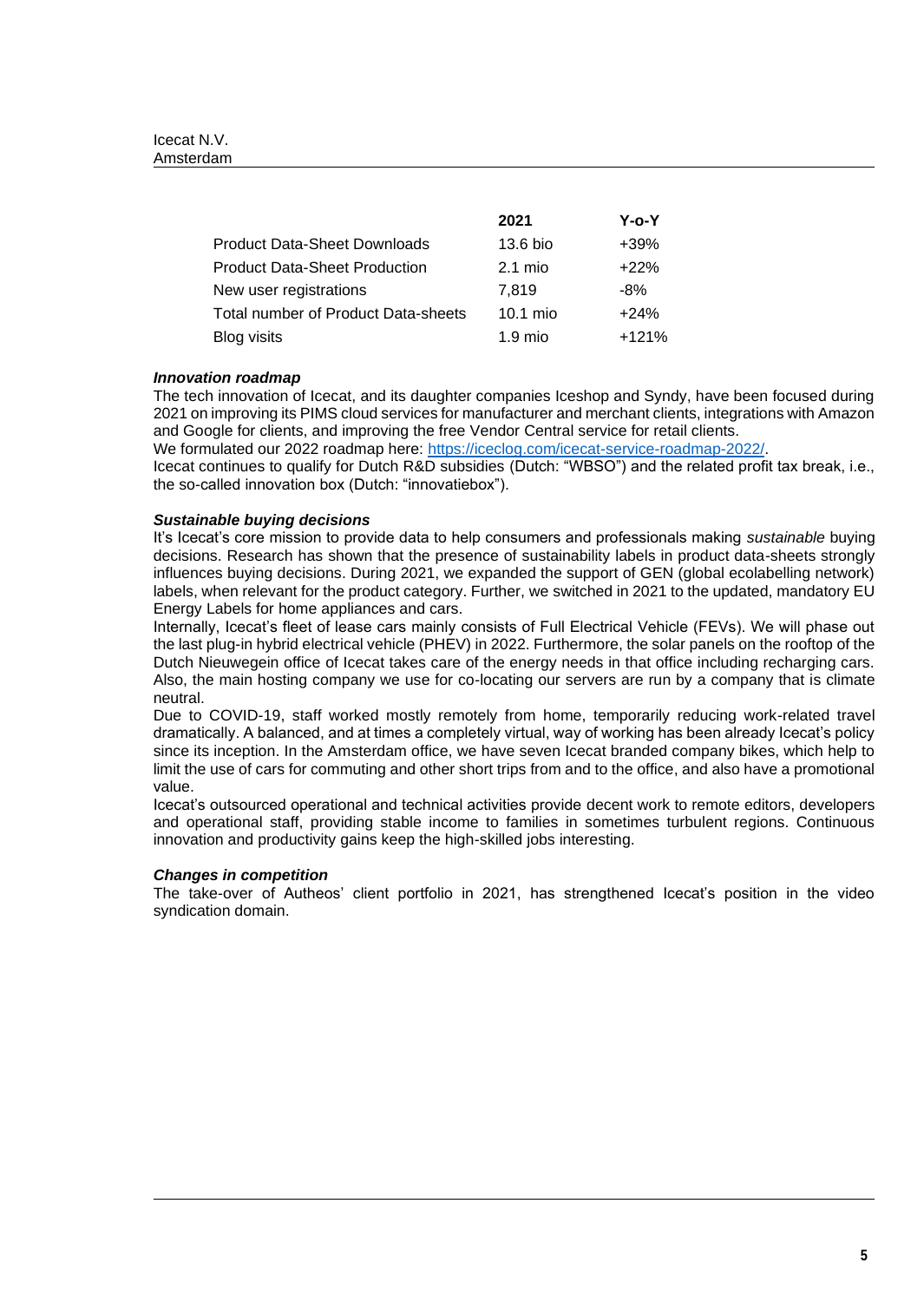|                                      | 2021      | Y-o-Y   |
|--------------------------------------|-----------|---------|
| <b>Product Data-Sheet Downloads</b>  | 13.6 bio  | $+39%$  |
| <b>Product Data-Sheet Production</b> | $2.1$ mio | $+22%$  |
| New user registrations               | 7.819     | -8%     |
| Total number of Product Data-sheets  | 10.1 mio  | $+24%$  |
| <b>Blog visits</b>                   | $1.9$ mio | $+121%$ |

### *Innovation roadmap*

The tech innovation of Icecat, and its daughter companies Iceshop and Syndy, have been focused during 2021 on improving its PIMS cloud services for manufacturer and merchant clients, integrations with Amazon and Google for clients, and improving the free Vendor Central service for retail clients.

We formulated our 2022 roadmap here: [https://iceclog.com/icecat-service-roadmap-2022/.](https://iceclog.com/icecat-service-roadmap-2022/)

Icecat continues to qualify for Dutch R&D subsidies (Dutch: "WBSO") and the related profit tax break, i.e., the so-called innovation box (Dutch: "innovatiebox").

### *Sustainable buying decisions*

It's Icecat's core mission to provide data to help consumers and professionals making *sustainable* buying decisions. Research has shown that the presence of sustainability labels in product data-sheets strongly influences buying decisions. During 2021, we expanded the support of GEN (global ecolabelling network) labels, when relevant for the product category. Further, we switched in 2021 to the updated, mandatory EU Energy Labels for home appliances and cars.

Internally, Icecat's fleet of lease cars mainly consists of Full Electrical Vehicle (FEVs). We will phase out the last plug-in hybrid electrical vehicle (PHEV) in 2022. Furthermore, the solar panels on the rooftop of the Dutch Nieuwegein office of Icecat takes care of the energy needs in that office including recharging cars. Also, the main hosting company we use for co-locating our servers are run by a company that is climate neutral.

Due to COVID-19, staff worked mostly remotely from home, temporarily reducing work-related travel dramatically. A balanced, and at times a completely virtual, way of working has been already Icecat's policy since its inception. In the Amsterdam office, we have seven Icecat branded company bikes, which help to limit the use of cars for commuting and other short trips from and to the office, and also have a promotional value.

Icecat's outsourced operational and technical activities provide decent work to remote editors, developers and operational staff, providing stable income to families in sometimes turbulent regions. Continuous innovation and productivity gains keep the high-skilled jobs interesting.

# *Changes in competition*

The take-over of Autheos' client portfolio in 2021, has strengthened Icecat's position in the video syndication domain.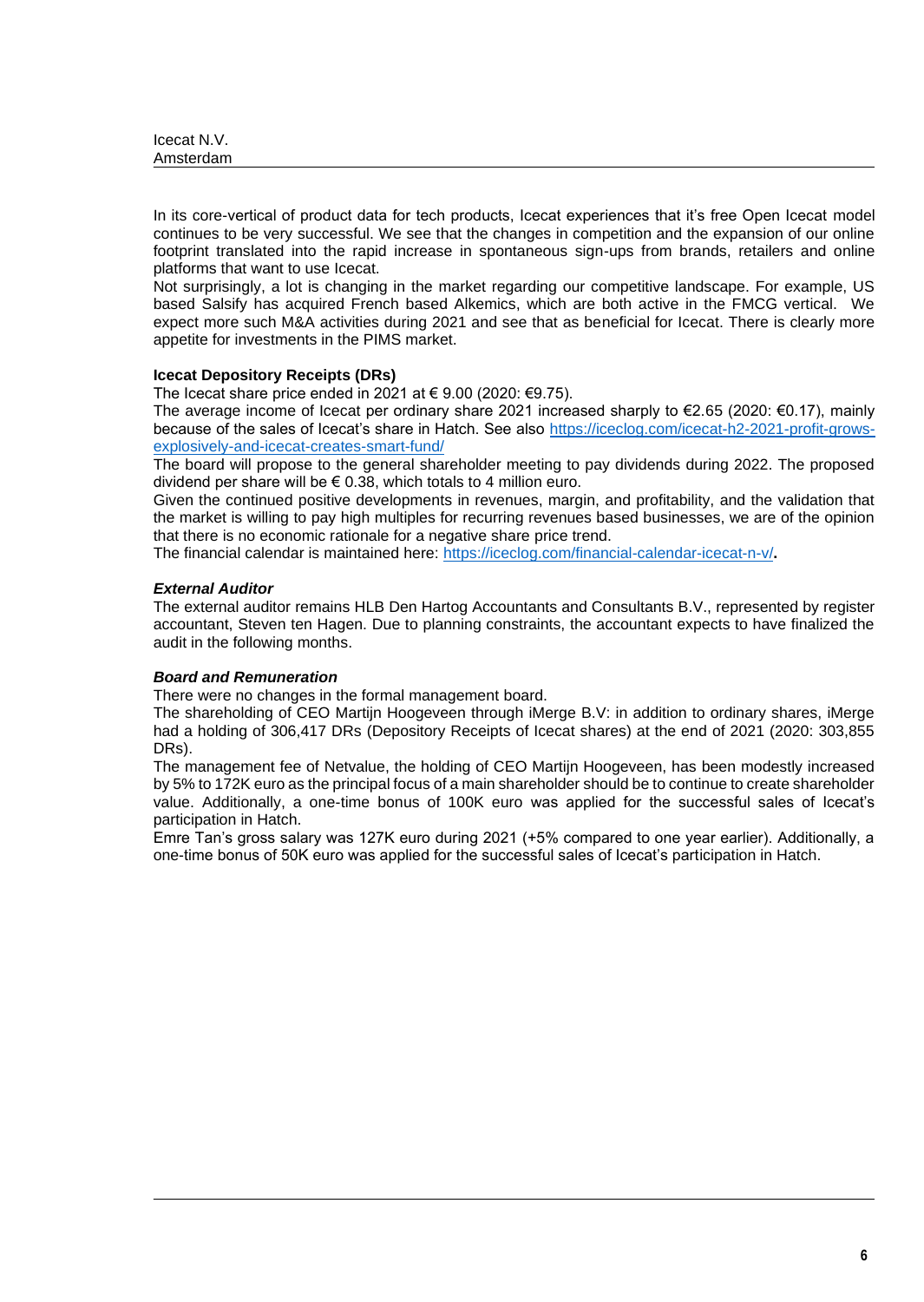| Icecat N.V. |  |
|-------------|--|
| Amsterdam   |  |

In its core-vertical of product data for tech products, Icecat experiences that it's free Open Icecat model continues to be very successful. We see that the changes in competition and the expansion of our online footprint translated into the rapid increase in spontaneous sign-ups from brands, retailers and online platforms that want to use Icecat.

Not surprisingly, a lot is changing in the market regarding our competitive landscape. For example, US based Salsify has acquired French based Alkemics, which are both active in the FMCG vertical. We expect more such M&A activities during 2021 and see that as beneficial for Icecat. There is clearly more appetite for investments in the PIMS market.

### **Icecat Depository Receipts (DRs)**

The Icecat share price ended in 2021 at € 9.00 (2020: €9.75).

The average income of Icecat per ordinary share 2021 increased sharply to €2.65 (2020: €0.17), mainly because of the sales of Icecat's share in Hatch. See also [https://iceclog.com/icecat-h2-2021-profit-grows](https://iceclog.com/icecat-h2-2021-profit-grows-explosively-and-icecat-creates-smart-fund/)[explosively-and-icecat-creates-smart-fund/](https://iceclog.com/icecat-h2-2021-profit-grows-explosively-and-icecat-creates-smart-fund/)

The board will propose to the general shareholder meeting to pay dividends during 2022. The proposed dividend per share will be  $\epsilon$  0.38, which totals to 4 million euro.

Given the continued positive developments in revenues, margin, and profitability, and the validation that the market is willing to pay high multiples for recurring revenues based businesses, we are of the opinion that there is no economic rationale for a negative share price trend.

The financial calendar is maintained here:<https://iceclog.com/financial-calendar-icecat-n-v/>**.**

### *External Auditor*

The external auditor remains HLB Den Hartog Accountants and Consultants B.V., represented by register accountant, Steven ten Hagen. Due to planning constraints, the accountant expects to have finalized the audit in the following months.

# *Board and Remuneration*

There were no changes in the formal management board.

The shareholding of CEO Martijn Hoogeveen through iMerge B.V: in addition to ordinary shares, iMerge had a holding of 306,417 DRs (Depository Receipts of Icecat shares) at the end of 2021 (2020: 303,855 DRs).

The management fee of Netvalue, the holding of CEO Martijn Hoogeveen, has been modestly increased by 5% to 172K euro as the principal focus of a main shareholder should be to continue to create shareholder value. Additionally, a one-time bonus of 100K euro was applied for the successful sales of Icecat's participation in Hatch.

Emre Tan's gross salary was 127K euro during 2021 (+5% compared to one year earlier). Additionally, a one-time bonus of 50K euro was applied for the successful sales of Icecat's participation in Hatch.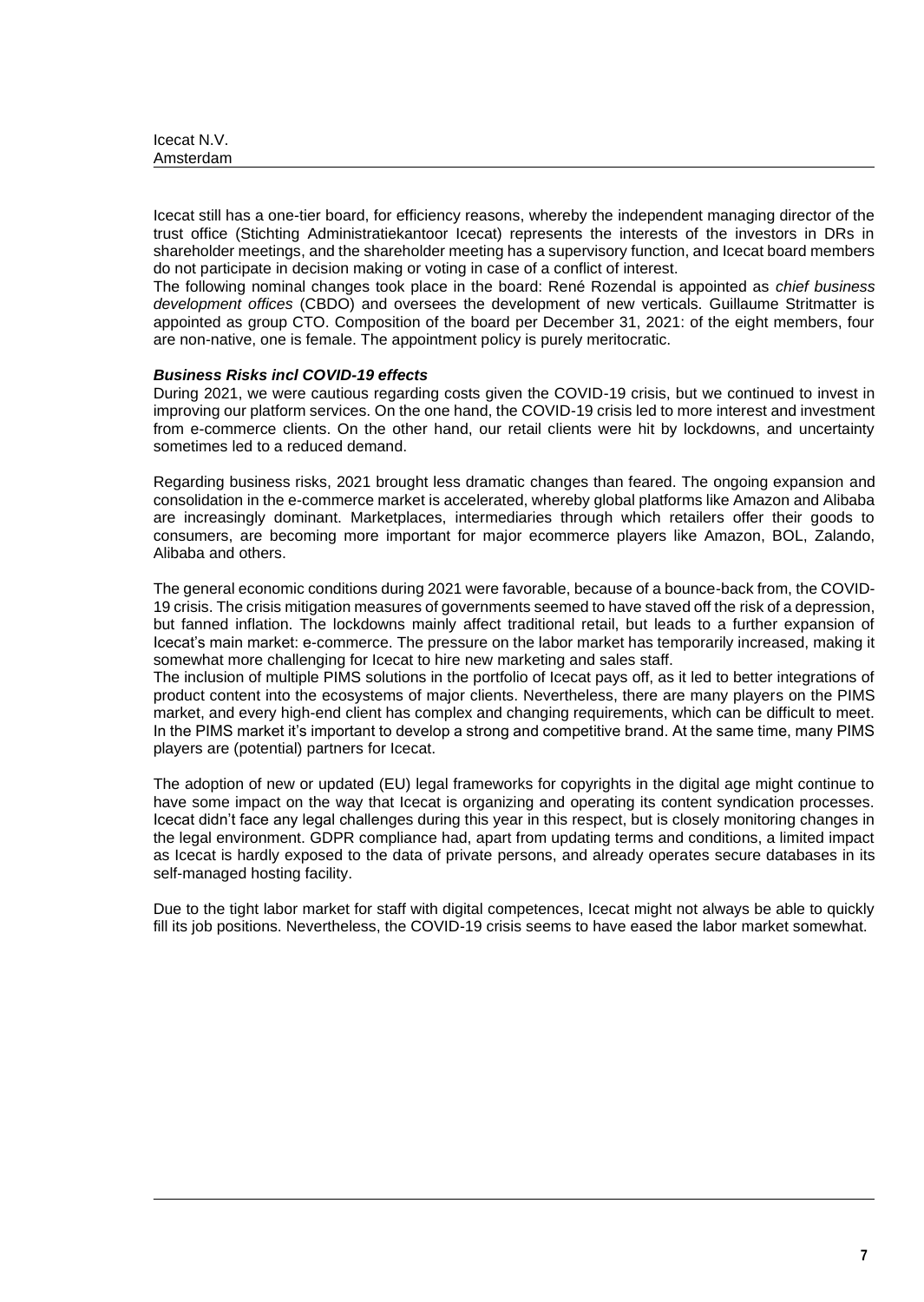| Icecat N.V. |  |
|-------------|--|
| Amsterdam   |  |

Icecat still has a one-tier board, for efficiency reasons, whereby the independent managing director of the trust office (Stichting Administratiekantoor Icecat) represents the interests of the investors in DRs in shareholder meetings, and the shareholder meeting has a supervisory function, and Icecat board members do not participate in decision making or voting in case of a conflict of interest.

The following nominal changes took place in the board: René Rozendal is appointed as *chief business development offices* (CBDO) and oversees the development of new verticals. Guillaume Stritmatter is appointed as group CTO. Composition of the board per December 31, 2021: of the eight members, four are non-native, one is female. The appointment policy is purely meritocratic.

### *Business Risks incl COVID-19 effects*

During 2021, we were cautious regarding costs given the COVID-19 crisis, but we continued to invest in improving our platform services. On the one hand, the COVID-19 crisis led to more interest and investment from e-commerce clients. On the other hand, our retail clients were hit by lockdowns, and uncertainty sometimes led to a reduced demand.

Regarding business risks, 2021 brought less dramatic changes than feared. The ongoing expansion and consolidation in the e-commerce market is accelerated, whereby global platforms like Amazon and Alibaba are increasingly dominant. Marketplaces, intermediaries through which retailers offer their goods to consumers, are becoming more important for major ecommerce players like Amazon, BOL, Zalando, Alibaba and others.

The general economic conditions during 2021 were favorable, because of a bounce-back from, the COVID-19 crisis. The crisis mitigation measures of governments seemed to have staved off the risk of a depression, but fanned inflation. The lockdowns mainly affect traditional retail, but leads to a further expansion of Icecat's main market: e-commerce. The pressure on the labor market has temporarily increased, making it somewhat more challenging for Icecat to hire new marketing and sales staff.

The inclusion of multiple PIMS solutions in the portfolio of Icecat pays off, as it led to better integrations of product content into the ecosystems of major clients. Nevertheless, there are many players on the PIMS market, and every high-end client has complex and changing requirements, which can be difficult to meet. In the PIMS market it's important to develop a strong and competitive brand. At the same time, many PIMS players are (potential) partners for Icecat.

The adoption of new or updated (EU) legal frameworks for copyrights in the digital age might continue to have some impact on the way that Icecat is organizing and operating its content syndication processes. Icecat didn't face any legal challenges during this year in this respect, but is closely monitoring changes in the legal environment. GDPR compliance had, apart from updating terms and conditions, a limited impact as Icecat is hardly exposed to the data of private persons, and already operates secure databases in its self-managed hosting facility.

Due to the tight labor market for staff with digital competences, Icecat might not always be able to quickly fill its job positions. Nevertheless, the COVID-19 crisis seems to have eased the labor market somewhat.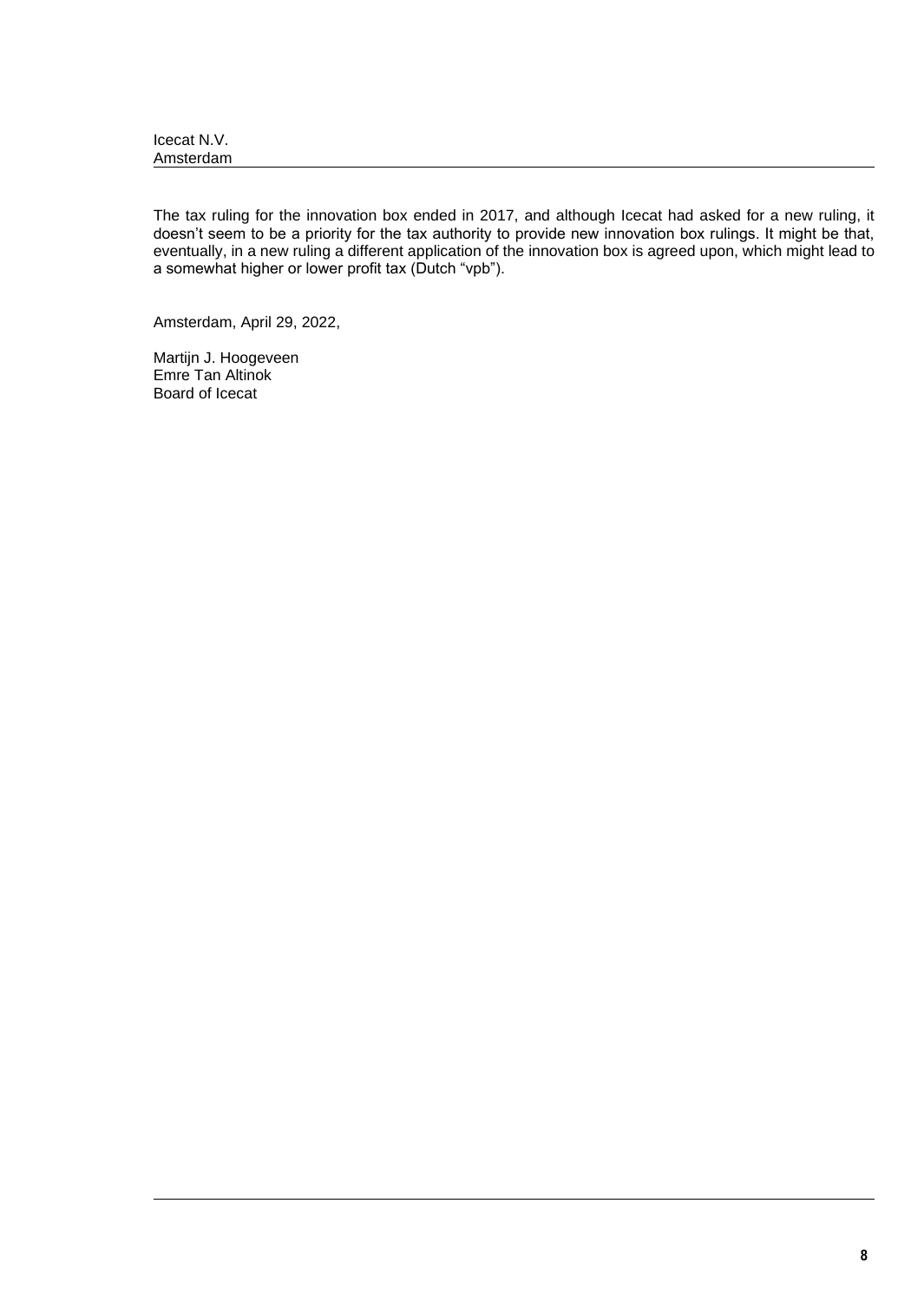| Icecat N.V. |  |
|-------------|--|
| Amsterdam   |  |

The tax ruling for the innovation box ended in 2017, and although Icecat had asked for a new ruling, it doesn't seem to be a priority for the tax authority to provide new innovation box rulings. It might be that, eventually, in a new ruling a different application of the innovation box is agreed upon, which might lead to a somewhat higher or lower profit tax (Dutch "vpb").

Amsterdam, April 29, 2022,

Martijn J. Hoogeveen Emre Tan Altinok Board of Icecat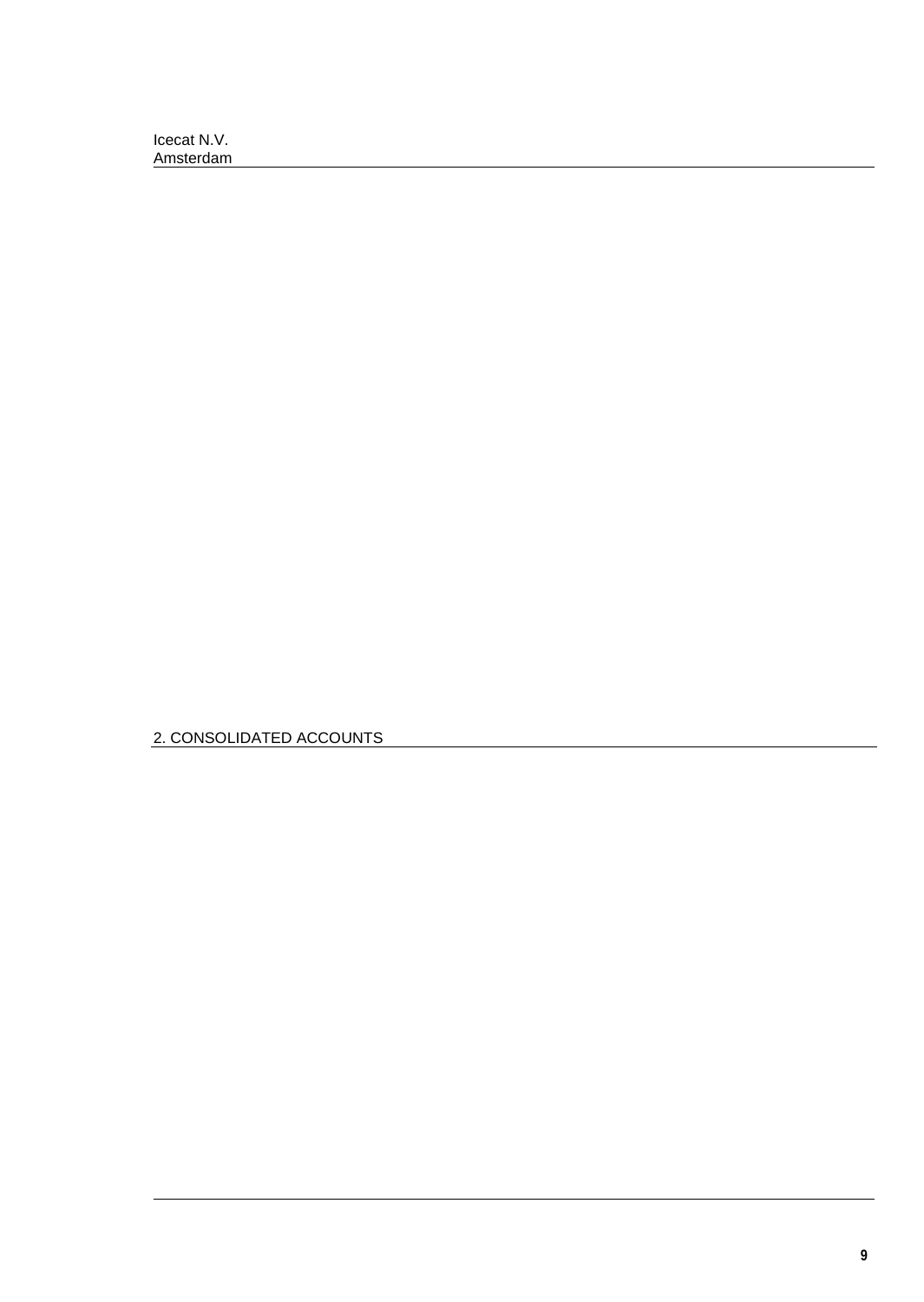2. CONSOLIDATED ACCOUNTS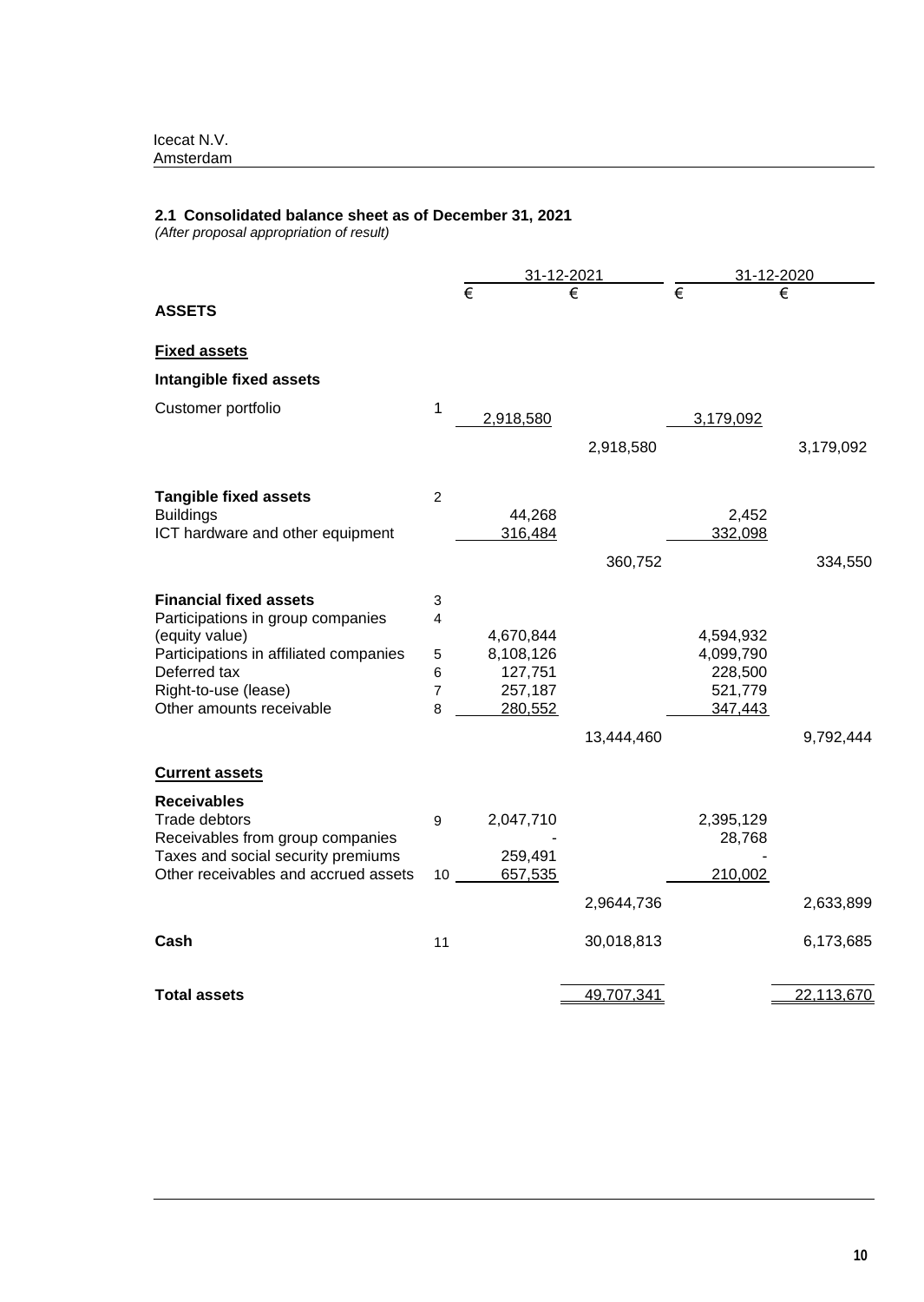### **2.1 Consolidated balance sheet as of December 31, 2021**

*(After proposal appropriation of result)*

|                                        |                     |                       | 31-12-2021 |                       | 31-12-2020 |
|----------------------------------------|---------------------|-----------------------|------------|-----------------------|------------|
| <b>ASSETS</b>                          |                     | $\overline{\epsilon}$ |            | $\overline{\epsilon}$ |            |
|                                        |                     |                       |            |                       |            |
| <b>Fixed assets</b>                    |                     |                       |            |                       |            |
| Intangible fixed assets                |                     |                       |            |                       |            |
| Customer portfolio                     | 1                   | 2,918,580             |            | 3,179,092             |            |
|                                        |                     |                       |            |                       |            |
|                                        |                     |                       | 2,918,580  |                       | 3,179,092  |
| <b>Tangible fixed assets</b>           | $\overline{2}$      |                       |            |                       |            |
| <b>Buildings</b>                       |                     | 44,268                |            | 2,452                 |            |
| ICT hardware and other equipment       |                     | 316,484               |            | 332,098               |            |
|                                        |                     |                       | 360,752    |                       | 334,550    |
| <b>Financial fixed assets</b>          | 3                   |                       |            |                       |            |
| Participations in group companies      | 4                   |                       |            |                       |            |
| (equity value)                         |                     | 4,670,844             |            | 4,594,932             |            |
| Participations in affiliated companies | 5                   | 8,108,126             |            | 4,099,790             |            |
| Deferred tax<br>Right-to-use (lease)   | 6<br>$\overline{7}$ | 127,751<br>257,187    |            | 228,500<br>521,779    |            |
| Other amounts receivable               | 8                   | 280,552               |            | 347,443               |            |
|                                        |                     |                       | 13,444,460 |                       | 9,792,444  |
| <b>Current assets</b>                  |                     |                       |            |                       |            |
|                                        |                     |                       |            |                       |            |
| <b>Receivables</b><br>Trade debtors    | 9                   | 2,047,710             |            | 2,395,129             |            |
| Receivables from group companies       |                     |                       |            | 28,768                |            |
| Taxes and social security premiums     |                     | 259,491               |            |                       |            |
| Other receivables and accrued assets   | 10                  | 657,535               |            | 210,002               |            |
|                                        |                     |                       | 2,9644,736 |                       | 2,633,899  |
| Cash                                   | 11                  |                       | 30,018,813 |                       | 6,173,685  |
|                                        |                     |                       |            |                       |            |
| Total assets                           |                     |                       | 49,707,341 |                       | 22,113,670 |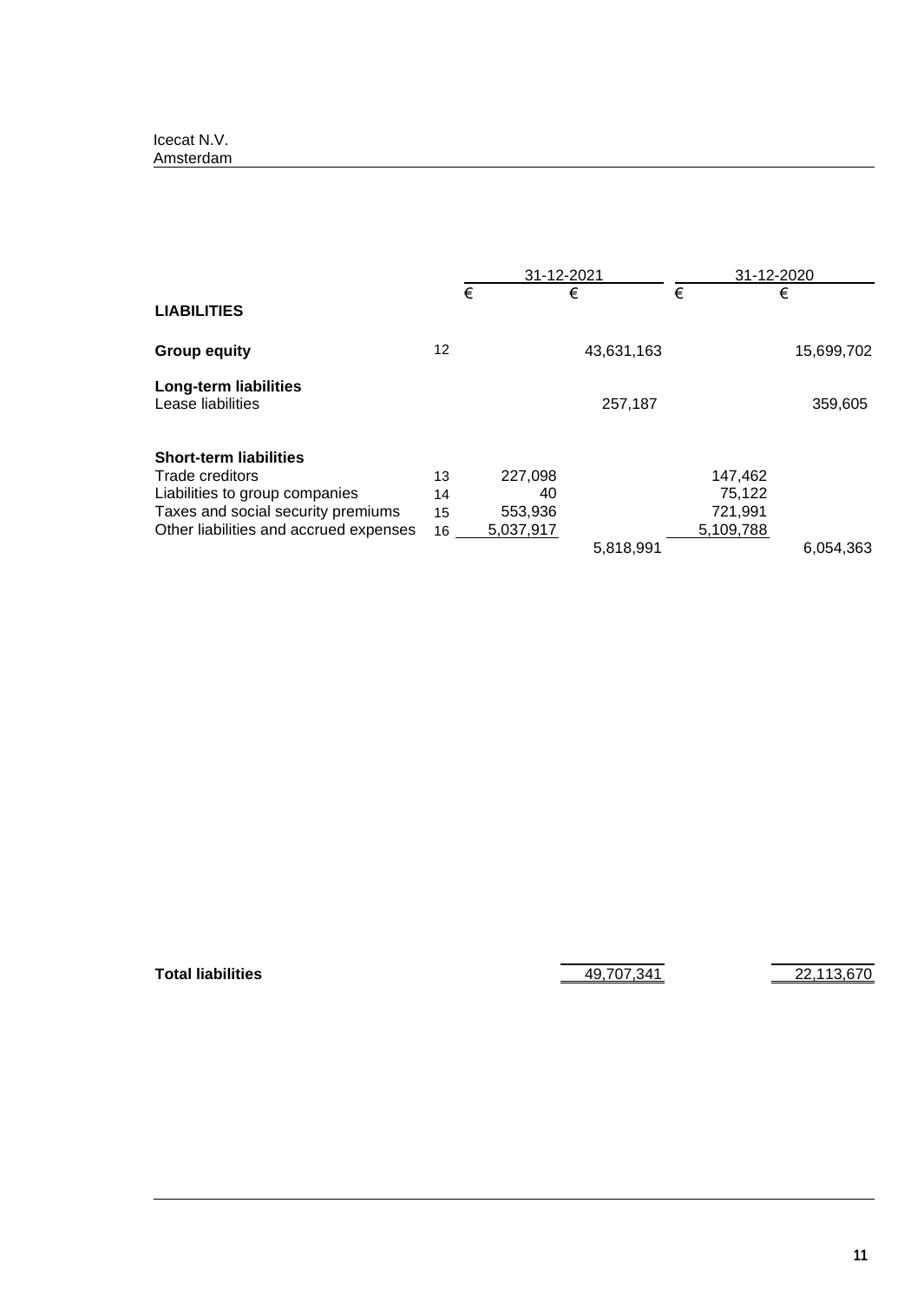|                                                   |    |           | 31-12-2021 |           | 31-12-2020 |
|---------------------------------------------------|----|-----------|------------|-----------|------------|
| <b>LIABILITIES</b>                                |    | €         | €          | €         | €          |
| <b>Group equity</b>                               | 12 |           | 43,631,163 |           | 15,699,702 |
| <b>Long-term liabilities</b><br>Lease liabilities |    |           | 257,187    |           | 359,605    |
| <b>Short-term liabilities</b>                     |    |           |            |           |            |
| Trade creditors                                   | 13 | 227,098   |            | 147,462   |            |
| Liabilities to group companies                    | 14 | 40        |            | 75,122    |            |
| Taxes and social security premiums                | 15 | 553,936   |            | 721,991   |            |
| Other liabilities and accrued expenses            | 16 | 5,037,917 |            | 5,109,788 |            |
|                                                   |    |           | 5,818,991  |           | 6.054.363  |

**Total liabilities** 19, 100 and 19, 100 and 19, 100 and 19, 100 and 19, 100 and 19, 100 and 19, 100 and 19, 100 and 19, 100 and 19, 100 and 19, 100 and 19, 100 and 19, 100 and 19, 100 and 19, 100 and 19, 100 and 19, 100 an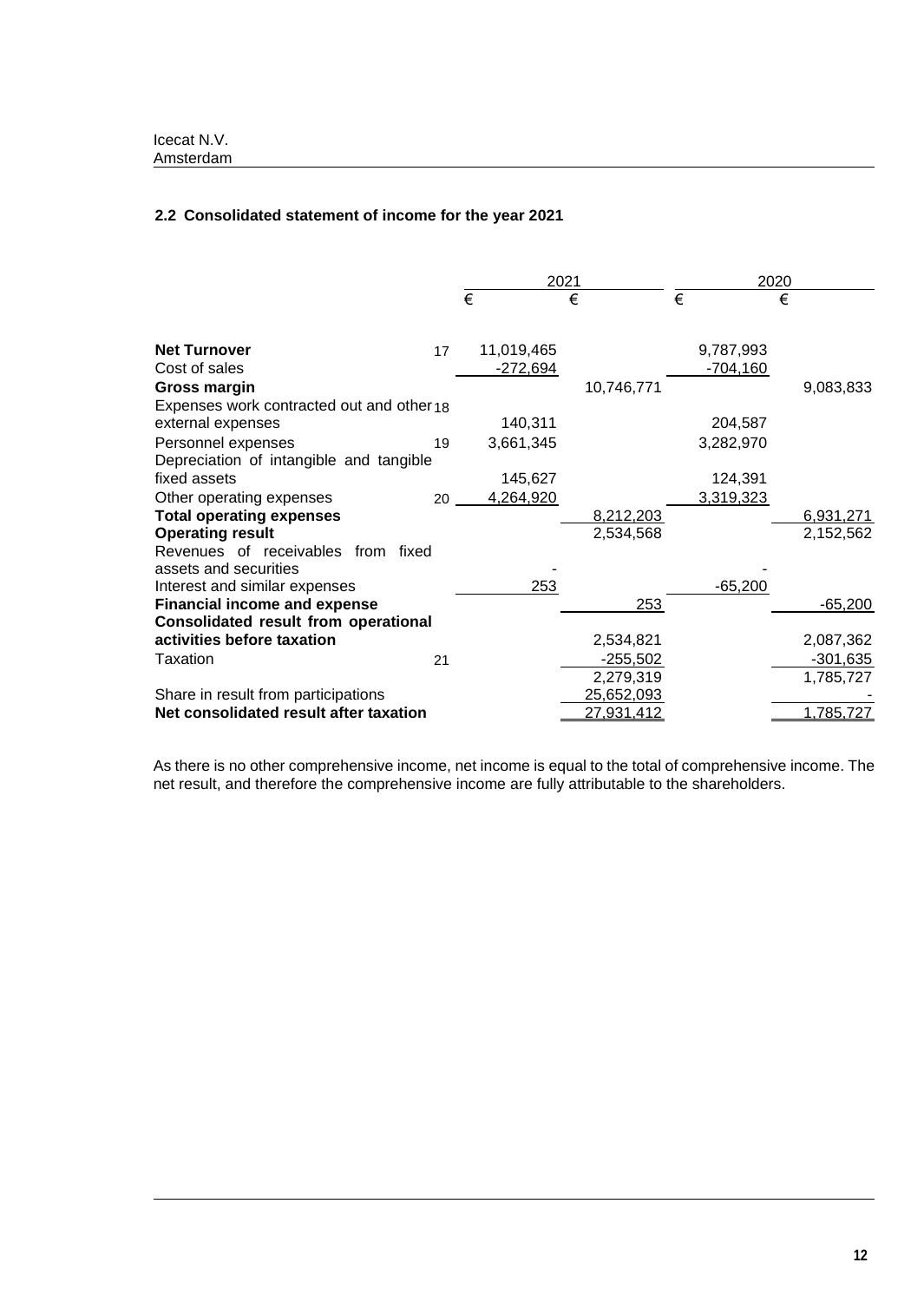# **2.2 Consolidated statement of income for the year 2021**

|                                           |    |            | 2021       |   | 2020       |   |            |
|-------------------------------------------|----|------------|------------|---|------------|---|------------|
|                                           |    | €          | €          | € |            | € |            |
|                                           |    |            |            |   |            |   |            |
| <b>Net Turnover</b>                       | 17 | 11,019,465 |            |   | 9,787,993  |   |            |
| Cost of sales                             |    | $-272,694$ |            |   | $-704,160$ |   |            |
| <b>Gross margin</b>                       |    |            | 10,746,771 |   |            |   | 9,083,833  |
| Expenses work contracted out and other 18 |    |            |            |   |            |   |            |
| external expenses                         |    | 140,311    |            |   | 204,587    |   |            |
| Personnel expenses                        | 19 | 3,661,345  |            |   | 3,282,970  |   |            |
| Depreciation of intangible and tangible   |    |            |            |   |            |   |            |
| fixed assets                              |    | 145,627    |            |   | 124,391    |   |            |
| Other operating expenses                  | 20 | 4,264,920  |            |   | 3,319,323  |   |            |
| <b>Total operating expenses</b>           |    |            | 8,212,203  |   |            |   | 6,931,271  |
| <b>Operating result</b>                   |    |            | 2,534,568  |   |            |   | 2,152,562  |
| Revenues of receivables from fixed        |    |            |            |   |            |   |            |
| assets and securities                     |    |            |            |   |            |   |            |
| Interest and similar expenses             |    | 253        |            |   | $-65,200$  |   |            |
| <b>Financial income and expense</b>       |    |            | 253        |   |            |   | $-65,200$  |
| Consolidated result from operational      |    |            |            |   |            |   |            |
| activities before taxation                |    |            | 2,534,821  |   |            |   | 2,087,362  |
| Taxation                                  | 21 |            | -255,502   |   |            |   | $-301,635$ |
|                                           |    |            | 2,279,319  |   |            |   | 1,785,727  |
| Share in result from participations       |    |            | 25,652,093 |   |            |   |            |
| Net consolidated result after taxation    |    |            | 27,931,412 |   |            |   | 1,785,727  |

As there is no other comprehensive income, net income is equal to the total of comprehensive income. The net result, and therefore the comprehensive income are fully attributable to the shareholders.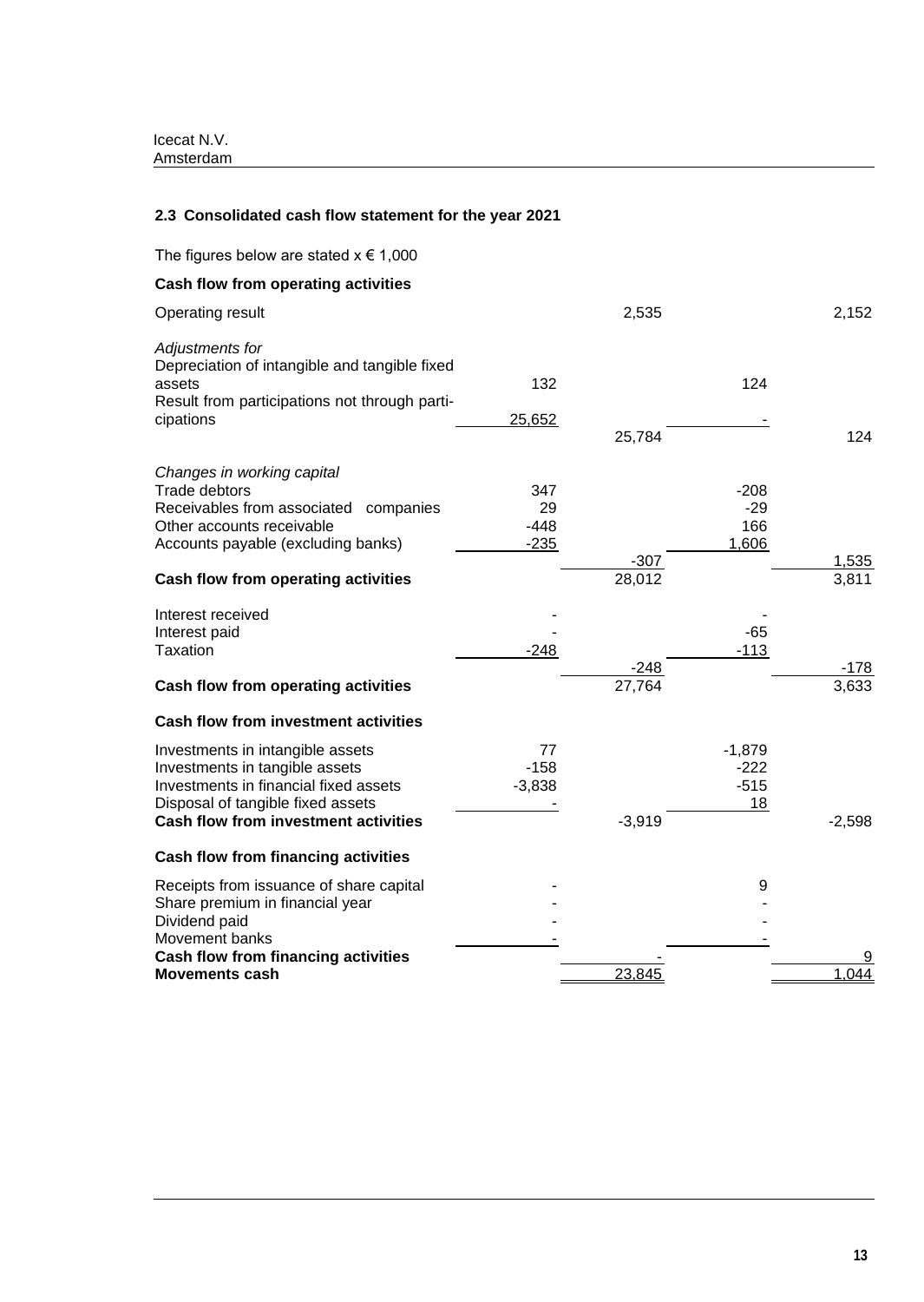# **2.3 Consolidated cash flow statement for the year 2021**

| The figures below are stated $x \in 1,000$                                                                                                                                                            |                               |                  |                                    |                |
|-------------------------------------------------------------------------------------------------------------------------------------------------------------------------------------------------------|-------------------------------|------------------|------------------------------------|----------------|
| Cash flow from operating activities                                                                                                                                                                   |                               |                  |                                    |                |
| Operating result                                                                                                                                                                                      |                               | 2,535            |                                    | 2,152          |
| Adjustments for<br>Depreciation of intangible and tangible fixed<br>assets<br>Result from participations not through parti-<br>cipations                                                              | 132<br>25,652                 | 25,784           | 124                                | 124            |
| Changes in working capital<br><b>Trade debtors</b><br>Receivables from associated companies<br>Other accounts receivable<br>Accounts payable (excluding banks)<br>Cash flow from operating activities | 347<br>29<br>$-448$<br>$-235$ | $-307$<br>28,012 | $-208$<br>$-29$<br>166<br>1,606    | 1,535<br>3,811 |
| Interest received<br>Interest paid<br>Taxation                                                                                                                                                        | $-248$                        | $-248$           | $-65$<br>$-113$                    | $-178$         |
| Cash flow from operating activities                                                                                                                                                                   |                               | 27,764           |                                    | 3,633          |
| <b>Cash flow from investment activities</b>                                                                                                                                                           |                               |                  |                                    |                |
| Investments in intangible assets<br>Investments in tangible assets<br>Investments in financial fixed assets<br>Disposal of tangible fixed assets<br><b>Cash flow from investment activities</b>       | 77<br>$-158$<br>$-3,838$      | $-3,919$         | $-1,879$<br>$-222$<br>$-515$<br>18 | $-2,598$       |
| <b>Cash flow from financing activities</b>                                                                                                                                                            |                               |                  |                                    |                |
| Receipts from issuance of share capital<br>Share premium in financial year<br>Dividend paid<br>Movement banks                                                                                         |                               |                  | 9                                  |                |
| <b>Cash flow from financing activities</b>                                                                                                                                                            |                               |                  |                                    |                |
| <b>Movements cash</b>                                                                                                                                                                                 |                               | 23,845           |                                    | 1,044          |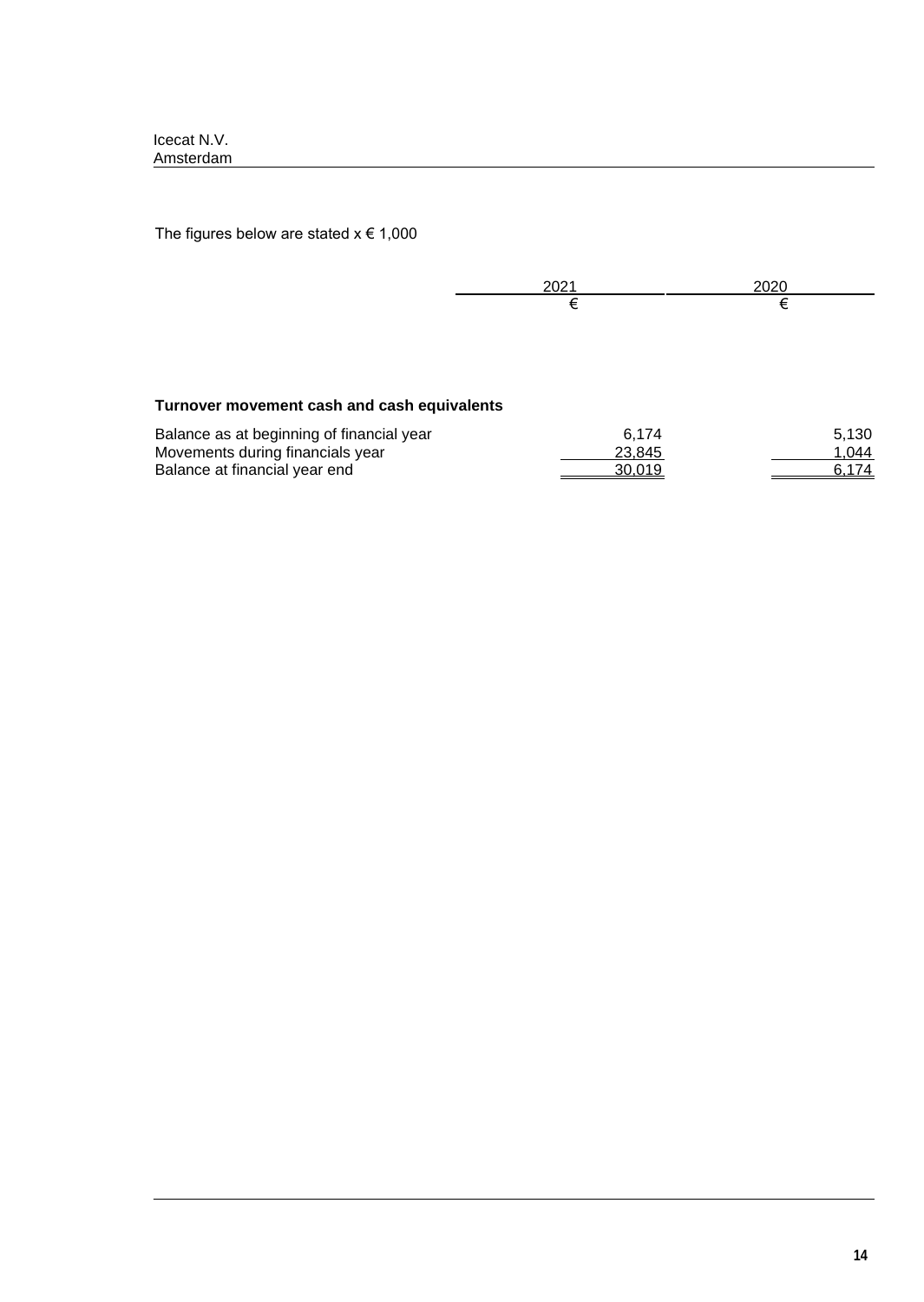The figures below are stated  $x \in 1,000$ 

# **Turnover movement cash and cash equivalents**

| Balance as at beginning of financial year | 6.174  | 5,130 |
|-------------------------------------------|--------|-------|
| Movements during financials year          | 23.845 | 1.044 |
| Balance at financial year end             | 30.019 | 6.174 |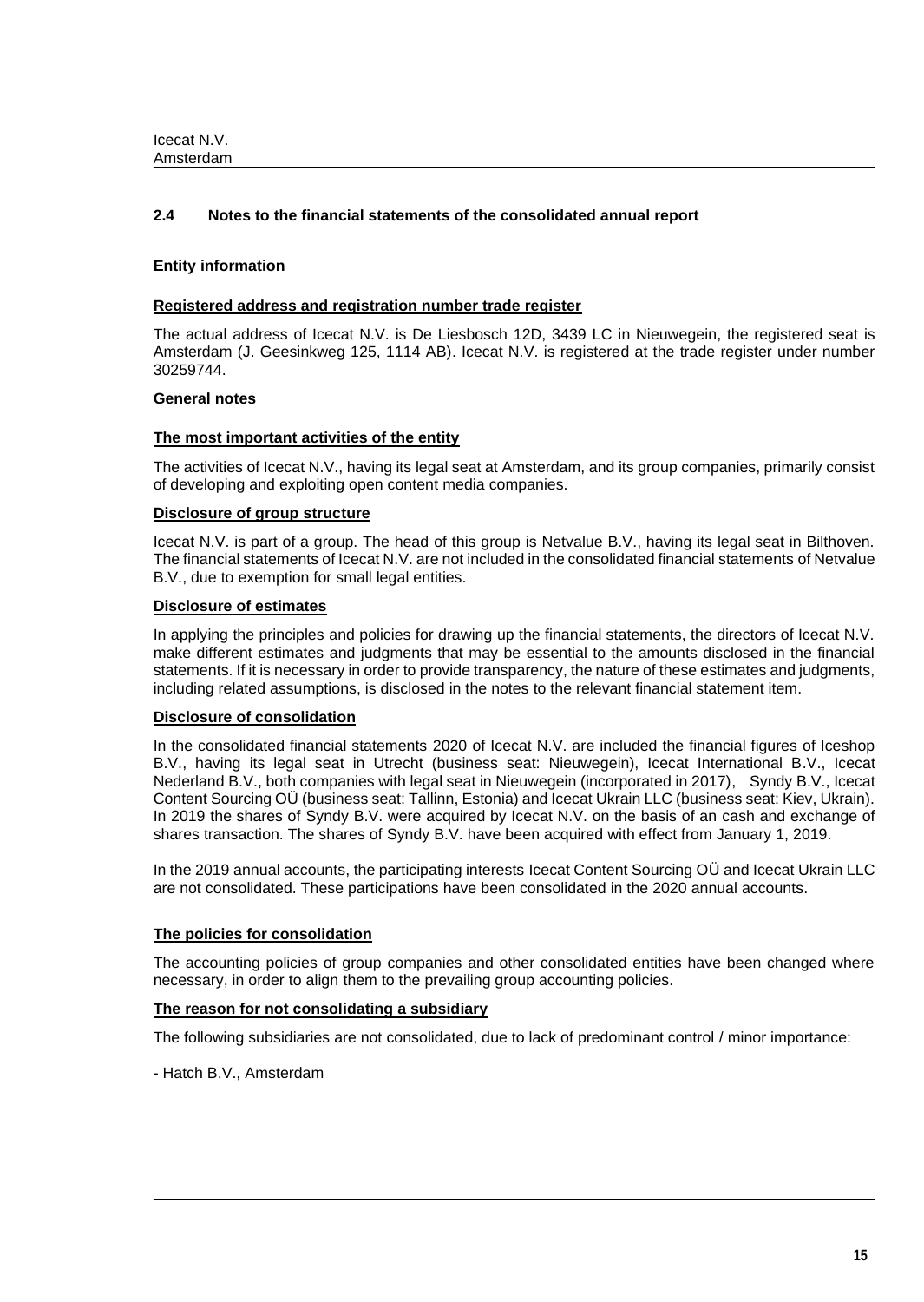# **2.4 Notes to the financial statements of the consolidated annual report**

### **Entity information**

### **Registered address and registration number trade register**

The actual address of Icecat N.V. is De Liesbosch 12D, 3439 LC in Nieuwegein, the registered seat is Amsterdam (J. Geesinkweg 125, 1114 AB). Icecat N.V. is registered at the trade register under number 30259744.

### **General notes**

### **The most important activities of the entity**

The activities of Icecat N.V., having its legal seat at Amsterdam, and its group companies, primarily consist of developing and exploiting open content media companies.

# **Disclosure of group structure**

Icecat N.V. is part of a group. The head of this group is Netvalue B.V., having its legal seat in Bilthoven. The financial statements of Icecat N.V. are not included in the consolidated financial statements of Netvalue B.V., due to exemption for small legal entities.

### **Disclosure of estimates**

In applying the principles and policies for drawing up the financial statements, the directors of Icecat N.V. make different estimates and judgments that may be essential to the amounts disclosed in the financial statements. If it is necessary in order to provide transparency, the nature of these estimates and judgments, including related assumptions, is disclosed in the notes to the relevant financial statement item.

### **Disclosure of consolidation**

In the consolidated financial statements 2020 of Icecat N.V. are included the financial figures of Iceshop B.V., having its legal seat in Utrecht (business seat: Nieuwegein), Icecat International B.V., Icecat Nederland B.V., both companies with legal seat in Nieuwegein (incorporated in 2017), Syndy B.V., Icecat Content Sourcing OÜ (business seat: Tallinn, Estonia) and Icecat Ukrain LLC (business seat: Kiev, Ukrain). In 2019 the shares of Syndy B.V. were acquired by Icecat N.V. on the basis of an cash and exchange of shares transaction. The shares of Syndy B.V. have been acquired with effect from January 1, 2019.

In the 2019 annual accounts, the participating interests Icecat Content Sourcing OÜ and Icecat Ukrain LLC are not consolidated. These participations have been consolidated in the 2020 annual accounts.

# **The policies for consolidation**

The accounting policies of group companies and other consolidated entities have been changed where necessary, in order to align them to the prevailing group accounting policies.

### **The reason for not consolidating a subsidiary**

The following subsidiaries are not consolidated, due to lack of predominant control / minor importance:

- Hatch B.V., Amsterdam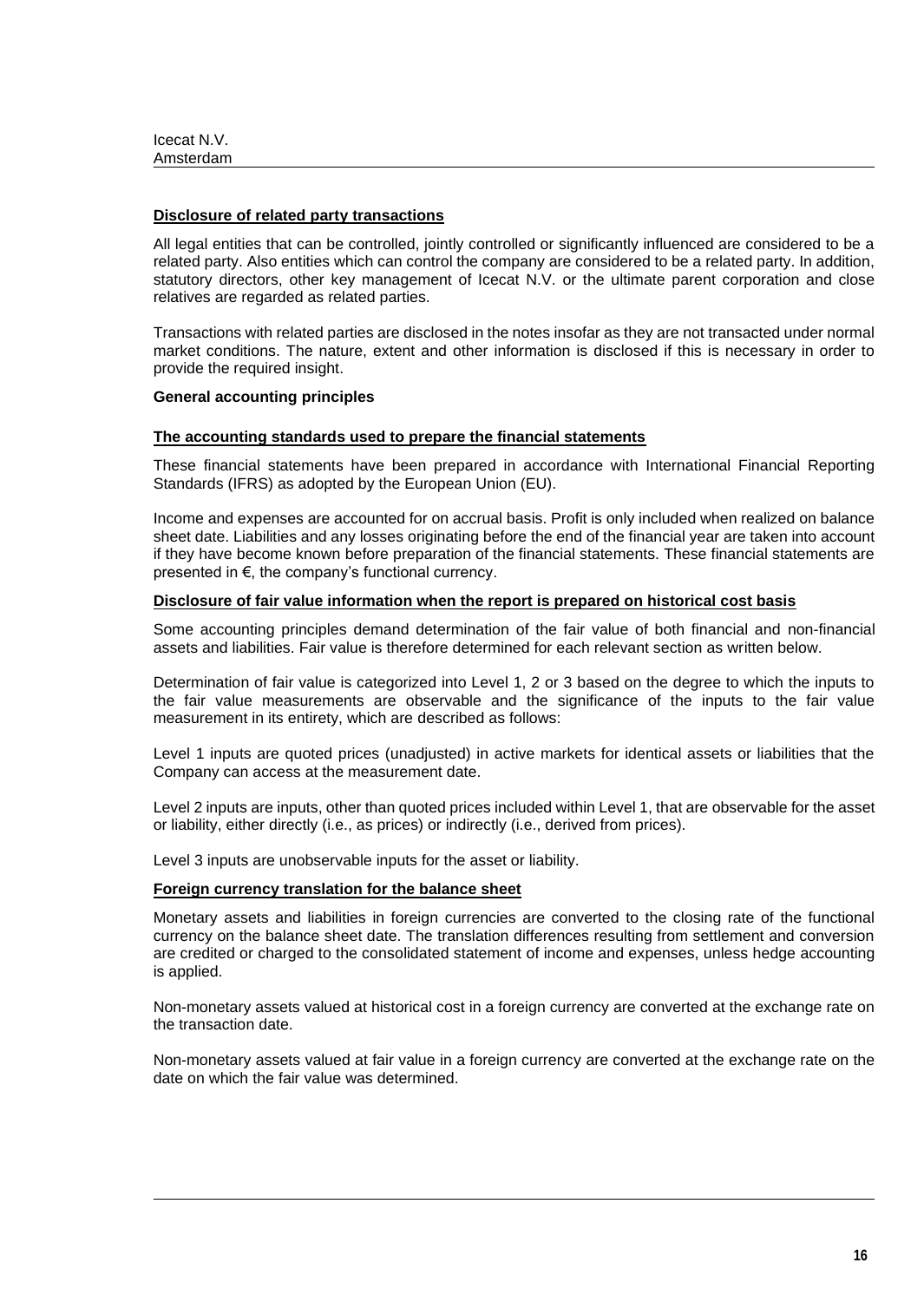| Icecat N.V. |  |
|-------------|--|
| Amsterdam   |  |

#### **Disclosure of related party transactions**

All legal entities that can be controlled, jointly controlled or significantly influenced are considered to be a related party. Also entities which can control the company are considered to be a related party. In addition, statutory directors, other key management of Icecat N.V. or the ultimate parent corporation and close relatives are regarded as related parties.

Transactions with related parties are disclosed in the notes insofar as they are not transacted under normal market conditions. The nature, extent and other information is disclosed if this is necessary in order to provide the required insight.

#### **General accounting principles**

#### **The accounting standards used to prepare the financial statements**

These financial statements have been prepared in accordance with International Financial Reporting Standards (IFRS) as adopted by the European Union (EU).

Income and expenses are accounted for on accrual basis. Profit is only included when realized on balance sheet date. Liabilities and any losses originating before the end of the financial year are taken into account if they have become known before preparation of the financial statements. These financial statements are presented in €, the company's functional currency.

### **Disclosure of fair value information when the report is prepared on historical cost basis**

Some accounting principles demand determination of the fair value of both financial and non-financial assets and liabilities. Fair value is therefore determined for each relevant section as written below.

Determination of fair value is categorized into Level 1, 2 or 3 based on the degree to which the inputs to the fair value measurements are observable and the significance of the inputs to the fair value measurement in its entirety, which are described as follows:

Level 1 inputs are quoted prices (unadjusted) in active markets for identical assets or liabilities that the Company can access at the measurement date.

Level 2 inputs are inputs, other than quoted prices included within Level 1, that are observable for the asset or liability, either directly (i.e., as prices) or indirectly (i.e., derived from prices).

Level 3 inputs are unobservable inputs for the asset or liability.

#### **Foreign currency translation for the balance sheet**

Monetary assets and liabilities in foreign currencies are converted to the closing rate of the functional currency on the balance sheet date. The translation differences resulting from settlement and conversion are credited or charged to the consolidated statement of income and expenses, unless hedge accounting is applied.

Non-monetary assets valued at historical cost in a foreign currency are converted at the exchange rate on the transaction date.

Non-monetary assets valued at fair value in a foreign currency are converted at the exchange rate on the date on which the fair value was determined.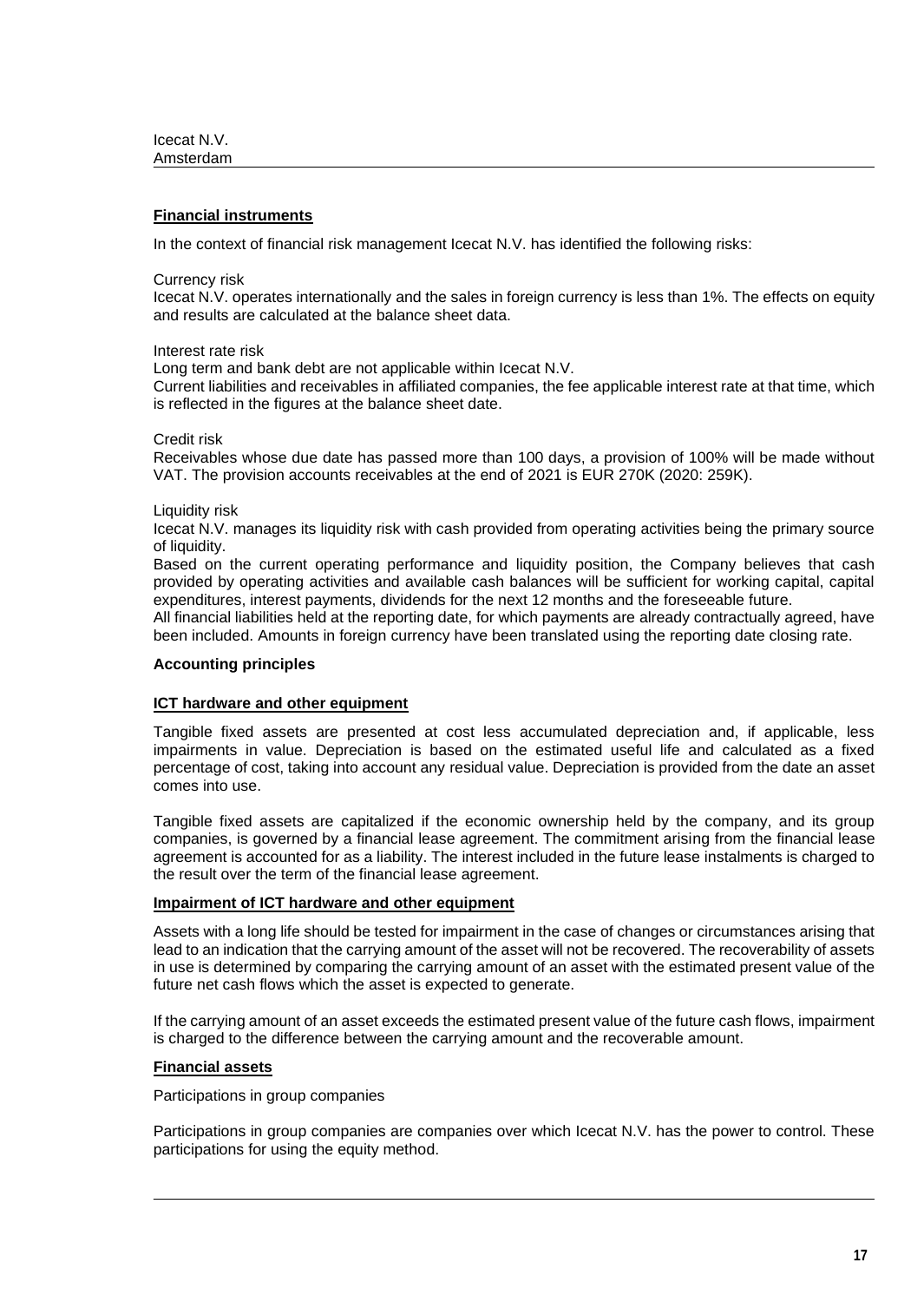# **Financial instruments**

In the context of financial risk management Icecat N.V. has identified the following risks:

Currency risk

Icecat N.V. operates internationally and the sales in foreign currency is less than 1%. The effects on equity and results are calculated at the balance sheet data.

Interest rate risk

Long term and bank debt are not applicable within Icecat N.V.

Current liabilities and receivables in affiliated companies, the fee applicable interest rate at that time, which is reflected in the figures at the balance sheet date.

Credit risk

Receivables whose due date has passed more than 100 days, a provision of 100% will be made without VAT. The provision accounts receivables at the end of 2021 is EUR 270K (2020: 259K).

Liquidity risk

Icecat N.V. manages its liquidity risk with cash provided from operating activities being the primary source of liquidity.

Based on the current operating performance and liquidity position, the Company believes that cash provided by operating activities and available cash balances will be sufficient for working capital, capital expenditures, interest payments, dividends for the next 12 months and the foreseeable future.

All financial liabilities held at the reporting date, for which payments are already contractually agreed, have been included. Amounts in foreign currency have been translated using the reporting date closing rate.

### **Accounting principles**

### **ICT hardware and other equipment**

Tangible fixed assets are presented at cost less accumulated depreciation and, if applicable, less impairments in value. Depreciation is based on the estimated useful life and calculated as a fixed percentage of cost, taking into account any residual value. Depreciation is provided from the date an asset comes into use.

Tangible fixed assets are capitalized if the economic ownership held by the company, and its group companies, is governed by a financial lease agreement. The commitment arising from the financial lease agreement is accounted for as a liability. The interest included in the future lease instalments is charged to the result over the term of the financial lease agreement.

## **Impairment of ICT hardware and other equipment**

Assets with a long life should be tested for impairment in the case of changes or circumstances arising that lead to an indication that the carrying amount of the asset will not be recovered. The recoverability of assets in use is determined by comparing the carrying amount of an asset with the estimated present value of the future net cash flows which the asset is expected to generate.

If the carrying amount of an asset exceeds the estimated present value of the future cash flows, impairment is charged to the difference between the carrying amount and the recoverable amount.

### **Financial assets**

Participations in group companies

Participations in group companies are companies over which Icecat N.V. has the power to control. These participations for using the equity method.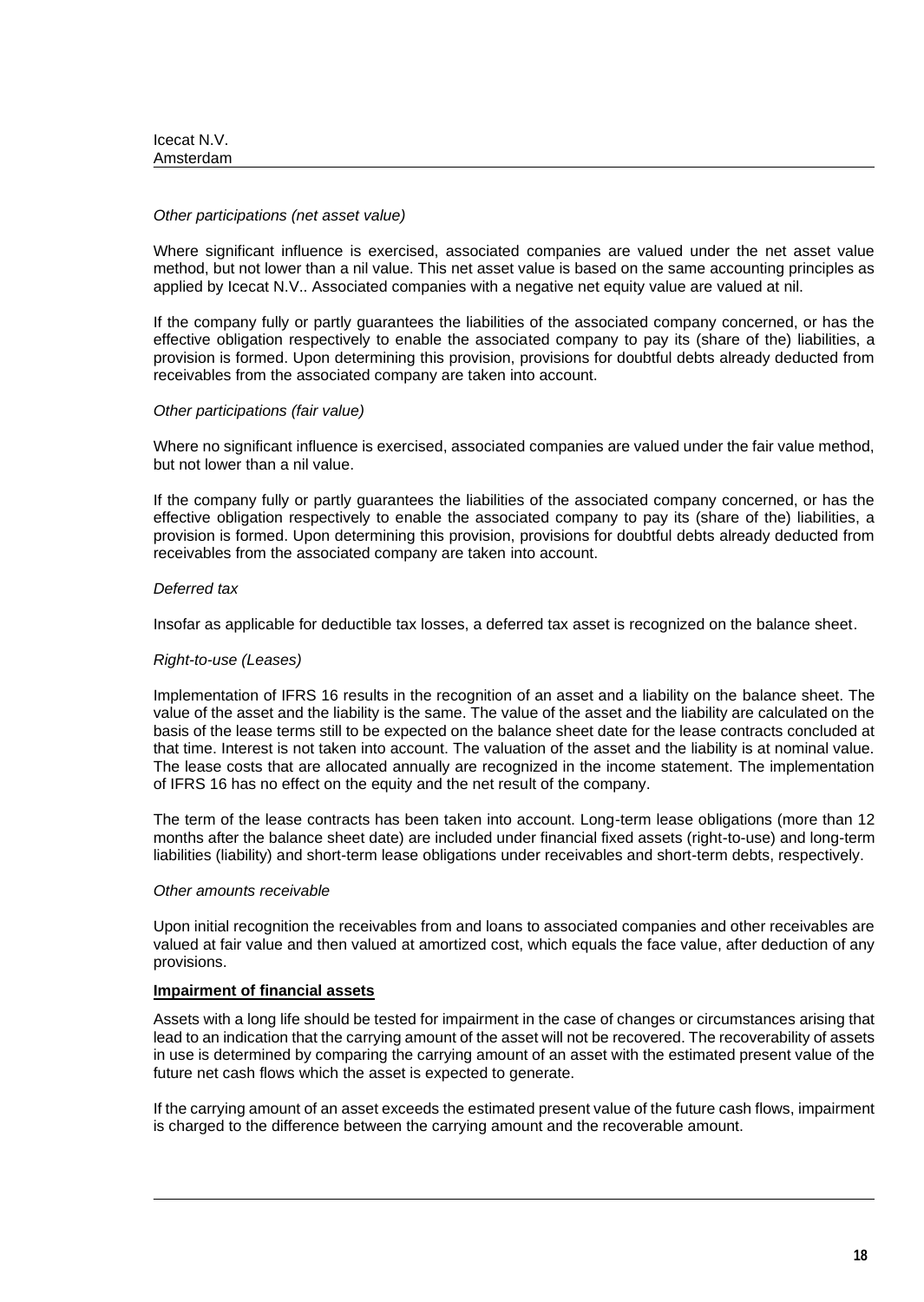#### *Other participations (net asset value)*

Where significant influence is exercised, associated companies are valued under the net asset value method, but not lower than a nil value. This net asset value is based on the same accounting principles as applied by Icecat N.V.. Associated companies with a negative net equity value are valued at nil.

If the company fully or partly guarantees the liabilities of the associated company concerned, or has the effective obligation respectively to enable the associated company to pay its (share of the) liabilities, a provision is formed. Upon determining this provision, provisions for doubtful debts already deducted from receivables from the associated company are taken into account.

### *Other participations (fair value)*

Where no significant influence is exercised, associated companies are valued under the fair value method, but not lower than a nil value.

If the company fully or partly guarantees the liabilities of the associated company concerned, or has the effective obligation respectively to enable the associated company to pay its (share of the) liabilities, a provision is formed. Upon determining this provision, provisions for doubtful debts already deducted from receivables from the associated company are taken into account.

### *Deferred tax*

Insofar as applicable for deductible tax losses, a deferred tax asset is recognized on the balance sheet.

### *Right-to-use (Leases)*

Implementation of IFRS 16 results in the recognition of an asset and a liability on the balance sheet. The value of the asset and the liability is the same. The value of the asset and the liability are calculated on the basis of the lease terms still to be expected on the balance sheet date for the lease contracts concluded at that time. Interest is not taken into account. The valuation of the asset and the liability is at nominal value. The lease costs that are allocated annually are recognized in the income statement. The implementation of IFRS 16 has no effect on the equity and the net result of the company.

The term of the lease contracts has been taken into account. Long-term lease obligations (more than 12 months after the balance sheet date) are included under financial fixed assets (right-to-use) and long-term liabilities (liability) and short-term lease obligations under receivables and short-term debts, respectively.

#### *Other amounts receivable*

Upon initial recognition the receivables from and loans to associated companies and other receivables are valued at fair value and then valued at amortized cost, which equals the face value, after deduction of any provisions.

#### **Impairment of financial assets**

Assets with a long life should be tested for impairment in the case of changes or circumstances arising that lead to an indication that the carrying amount of the asset will not be recovered. The recoverability of assets in use is determined by comparing the carrying amount of an asset with the estimated present value of the future net cash flows which the asset is expected to generate.

If the carrying amount of an asset exceeds the estimated present value of the future cash flows, impairment is charged to the difference between the carrying amount and the recoverable amount.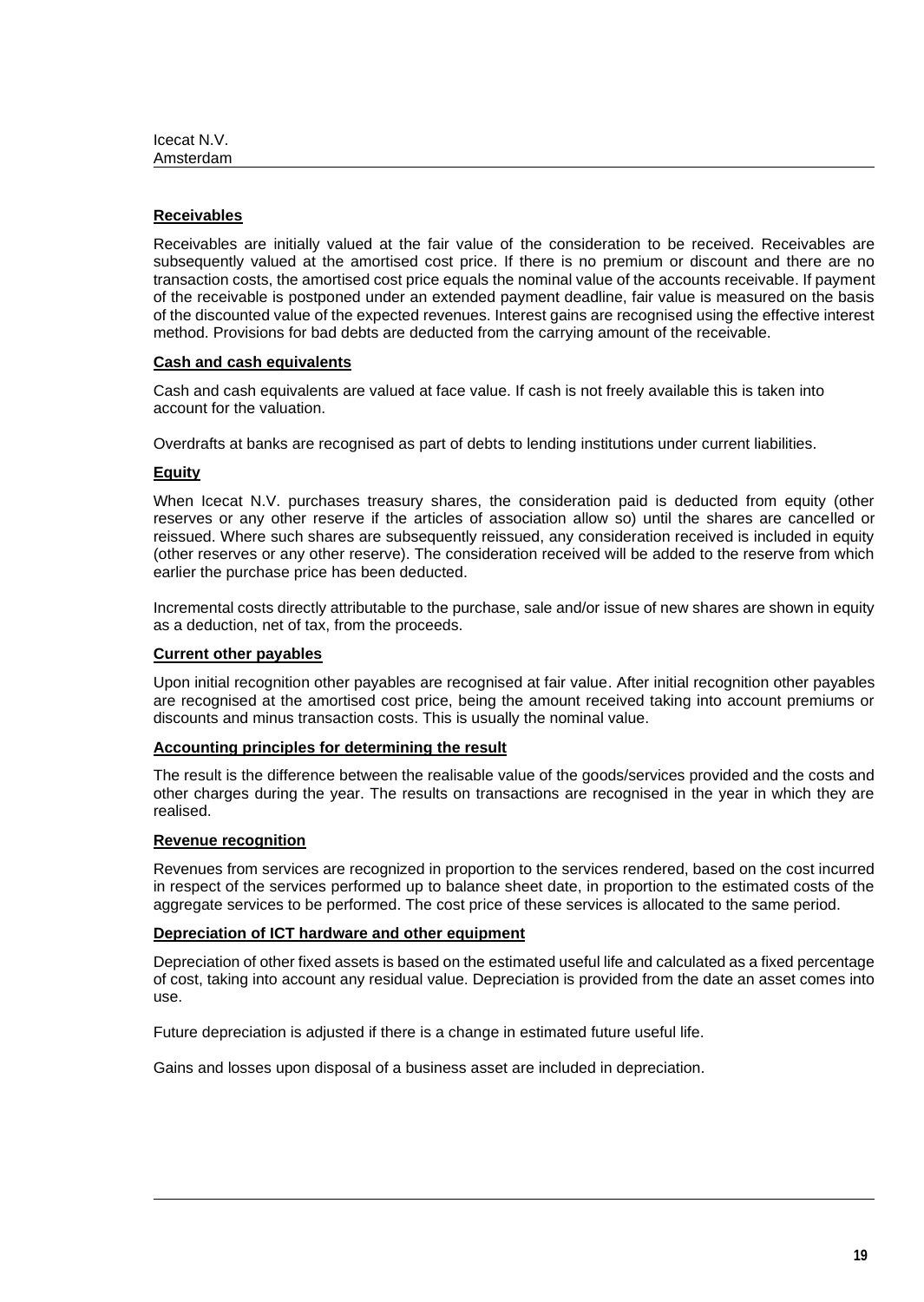# **Receivables**

Receivables are initially valued at the fair value of the consideration to be received. Receivables are subsequently valued at the amortised cost price. If there is no premium or discount and there are no transaction costs, the amortised cost price equals the nominal value of the accounts receivable. If payment of the receivable is postponed under an extended payment deadline, fair value is measured on the basis of the discounted value of the expected revenues. Interest gains are recognised using the effective interest method. Provisions for bad debts are deducted from the carrying amount of the receivable.

## **Cash and cash equivalents**

Cash and cash equivalents are valued at face value. If cash is not freely available this is taken into account for the valuation.

Overdrafts at banks are recognised as part of debts to lending institutions under current liabilities.

### **Equity**

When Icecat N.V. purchases treasury shares, the consideration paid is deducted from equity (other reserves or any other reserve if the articles of association allow so) until the shares are cancelled or reissued. Where such shares are subsequently reissued, any consideration received is included in equity (other reserves or any other reserve). The consideration received will be added to the reserve from which earlier the purchase price has been deducted.

Incremental costs directly attributable to the purchase, sale and/or issue of new shares are shown in equity as a deduction, net of tax, from the proceeds.

### **Current other payables**

Upon initial recognition other payables are recognised at fair value. After initial recognition other payables are recognised at the amortised cost price, being the amount received taking into account premiums or discounts and minus transaction costs. This is usually the nominal value.

## **Accounting principles for determining the result**

The result is the difference between the realisable value of the goods/services provided and the costs and other charges during the year. The results on transactions are recognised in the year in which they are realised.

### **Revenue recognition**

Revenues from services are recognized in proportion to the services rendered, based on the cost incurred in respect of the services performed up to balance sheet date, in proportion to the estimated costs of the aggregate services to be performed. The cost price of these services is allocated to the same period.

### **Depreciation of ICT hardware and other equipment**

Depreciation of other fixed assets is based on the estimated useful life and calculated as a fixed percentage of cost, taking into account any residual value. Depreciation is provided from the date an asset comes into use.

Future depreciation is adjusted if there is a change in estimated future useful life.

Gains and losses upon disposal of a business asset are included in depreciation.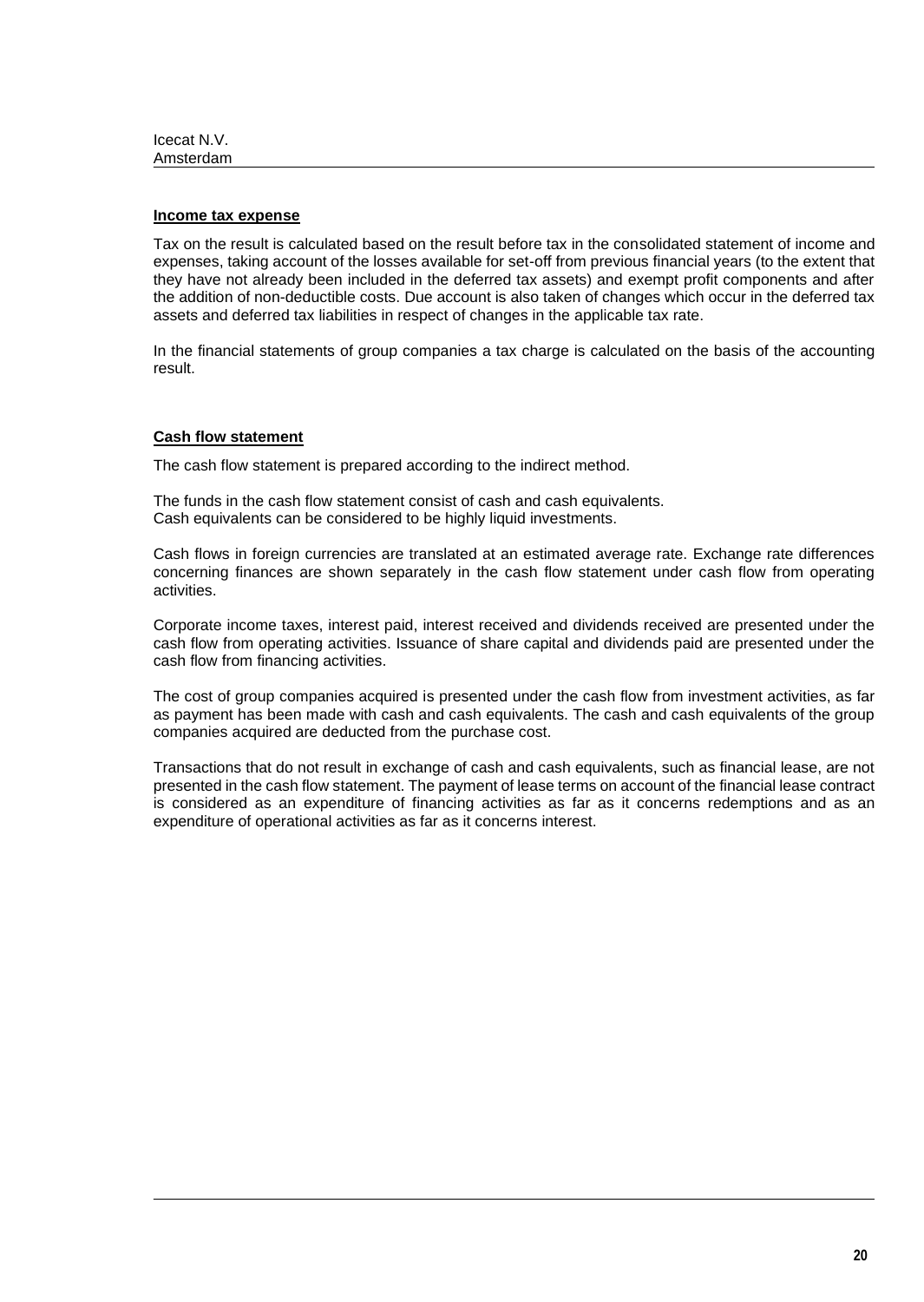### **Income tax expense**

Tax on the result is calculated based on the result before tax in the consolidated statement of income and expenses, taking account of the losses available for set-off from previous financial years (to the extent that they have not already been included in the deferred tax assets) and exempt profit components and after the addition of non-deductible costs. Due account is also taken of changes which occur in the deferred tax assets and deferred tax liabilities in respect of changes in the applicable tax rate.

In the financial statements of group companies a tax charge is calculated on the basis of the accounting result.

### **Cash flow statement**

The cash flow statement is prepared according to the indirect method.

The funds in the cash flow statement consist of cash and cash equivalents. Cash equivalents can be considered to be highly liquid investments.

Cash flows in foreign currencies are translated at an estimated average rate. Exchange rate differences concerning finances are shown separately in the cash flow statement under cash flow from operating activities.

Corporate income taxes, interest paid, interest received and dividends received are presented under the cash flow from operating activities. Issuance of share capital and dividends paid are presented under the cash flow from financing activities.

The cost of group companies acquired is presented under the cash flow from investment activities, as far as payment has been made with cash and cash equivalents. The cash and cash equivalents of the group companies acquired are deducted from the purchase cost.

Transactions that do not result in exchange of cash and cash equivalents, such as financial lease, are not presented in the cash flow statement. The payment of lease terms on account of the financial lease contract is considered as an expenditure of financing activities as far as it concerns redemptions and as an expenditure of operational activities as far as it concerns interest.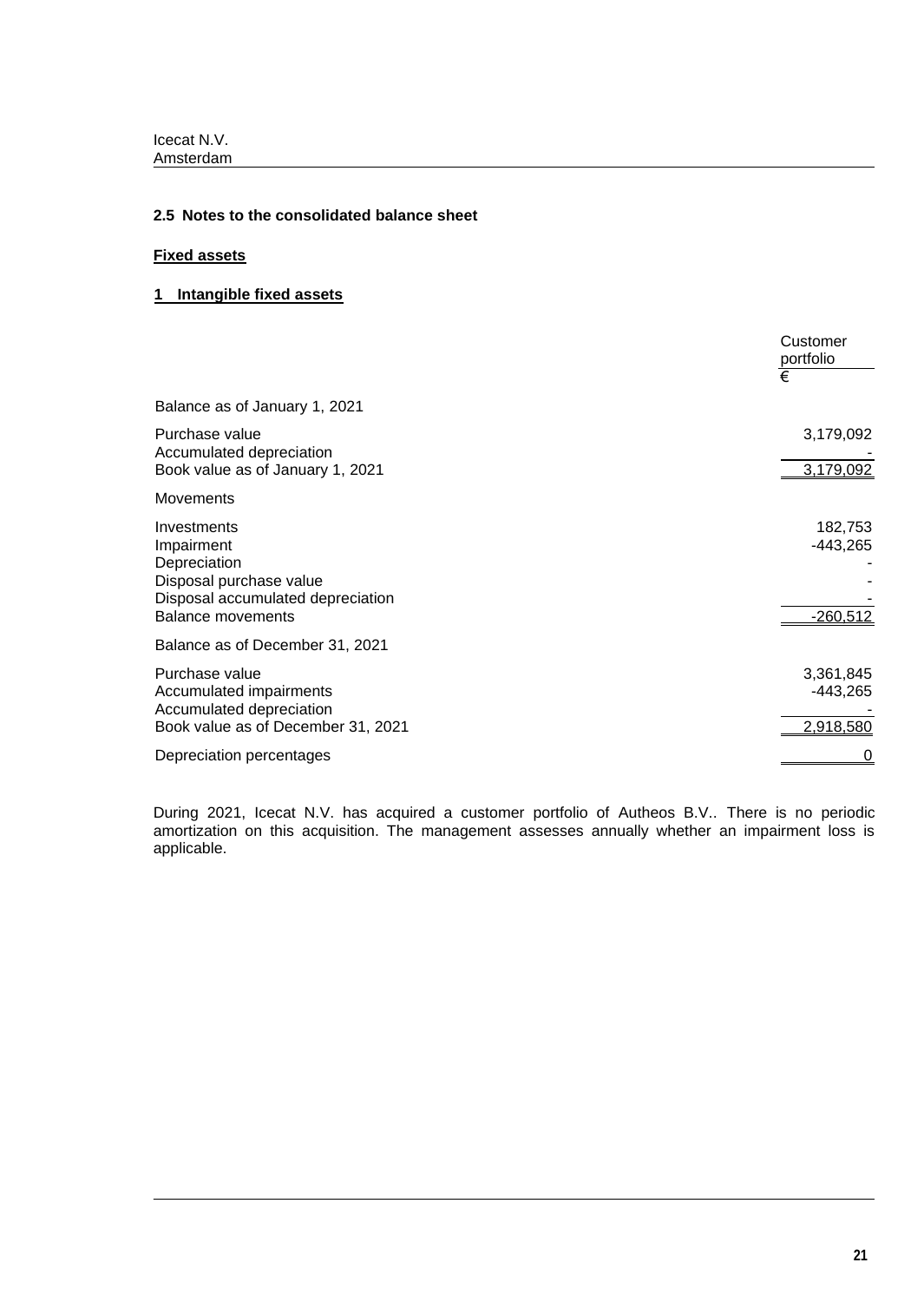# **2.5 Notes to the consolidated balance sheet**

# **Fixed assets**

# **1 Intangible fixed assets**

|                                                                                                                                       | Customer<br>portfolio<br>€           |
|---------------------------------------------------------------------------------------------------------------------------------------|--------------------------------------|
| Balance as of January 1, 2021                                                                                                         |                                      |
| Purchase value<br>Accumulated depreciation<br>Book value as of January 1, 2021                                                        | 3,179,092<br>3,179,092               |
| <b>Movements</b>                                                                                                                      |                                      |
| Investments<br>Impairment<br>Depreciation<br>Disposal purchase value<br>Disposal accumulated depreciation<br><b>Balance movements</b> | 182,753<br>-443,265<br>$-260,512$    |
| Balance as of December 31, 2021                                                                                                       |                                      |
| Purchase value<br>Accumulated impairments<br>Accumulated depreciation<br>Book value as of December 31, 2021                           | 3,361,845<br>$-443,265$<br>2,918,580 |
| Depreciation percentages                                                                                                              |                                      |

During 2021, Icecat N.V. has acquired a customer portfolio of Autheos B.V.. There is no periodic amortization on this acquisition. The management assesses annually whether an impairment loss is applicable.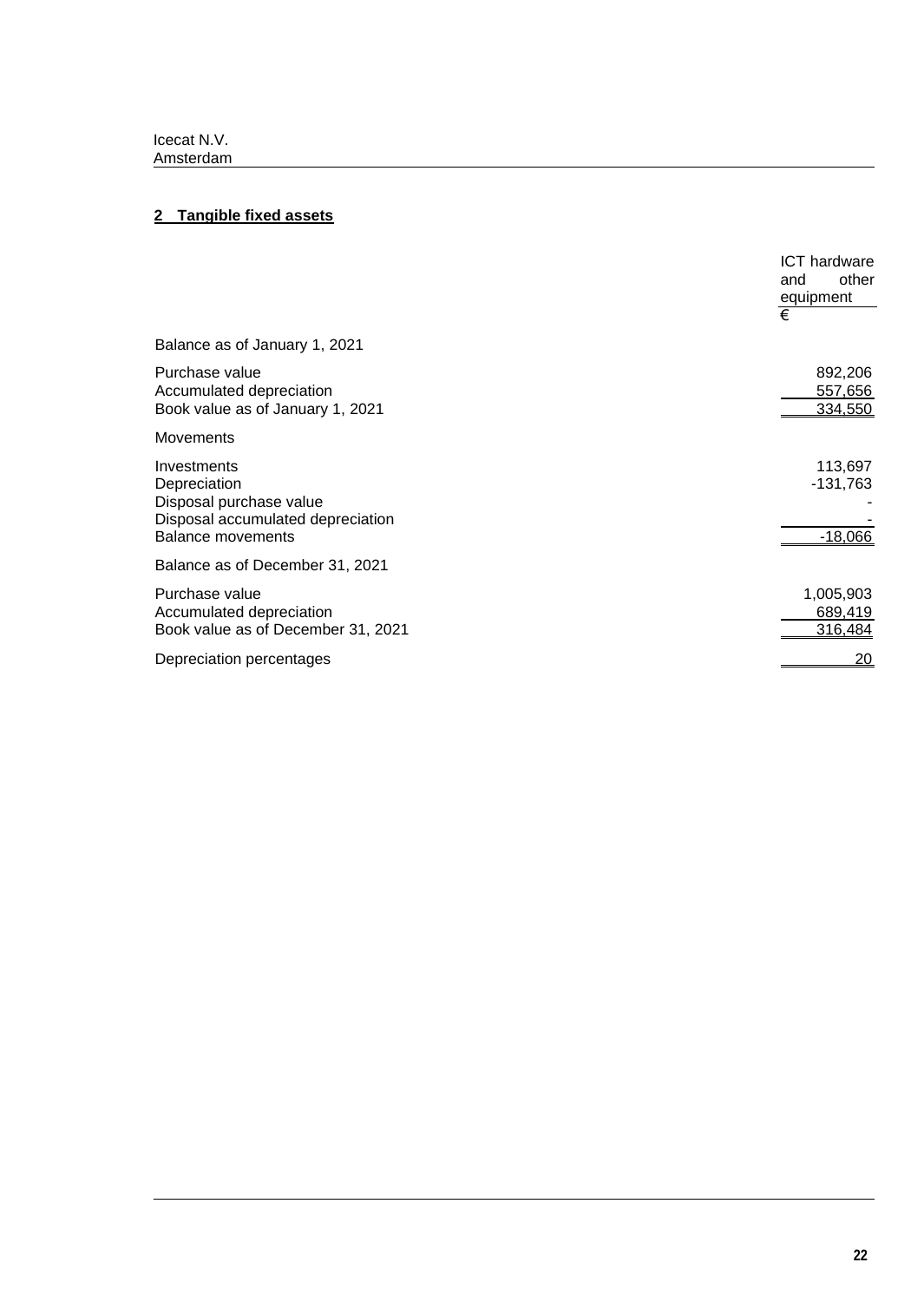# **2 Tangible fixed assets**

|                                                                                                                         | <b>ICT</b> hardware<br>other<br>and<br>equipment<br>€ |
|-------------------------------------------------------------------------------------------------------------------------|-------------------------------------------------------|
| Balance as of January 1, 2021                                                                                           |                                                       |
| Purchase value<br>Accumulated depreciation<br>Book value as of January 1, 2021                                          | 892,206<br>557,656<br>334,550                         |
| <b>Movements</b>                                                                                                        |                                                       |
| Investments<br>Depreciation<br>Disposal purchase value<br>Disposal accumulated depreciation<br><b>Balance movements</b> | 113,697<br>$-131,763$<br>$-18,066$                    |
| Balance as of December 31, 2021                                                                                         |                                                       |
| Purchase value<br>Accumulated depreciation<br>Book value as of December 31, 2021                                        | 1,005,903<br>689,419<br>316,484                       |
| Depreciation percentages                                                                                                | <u> 20</u>                                            |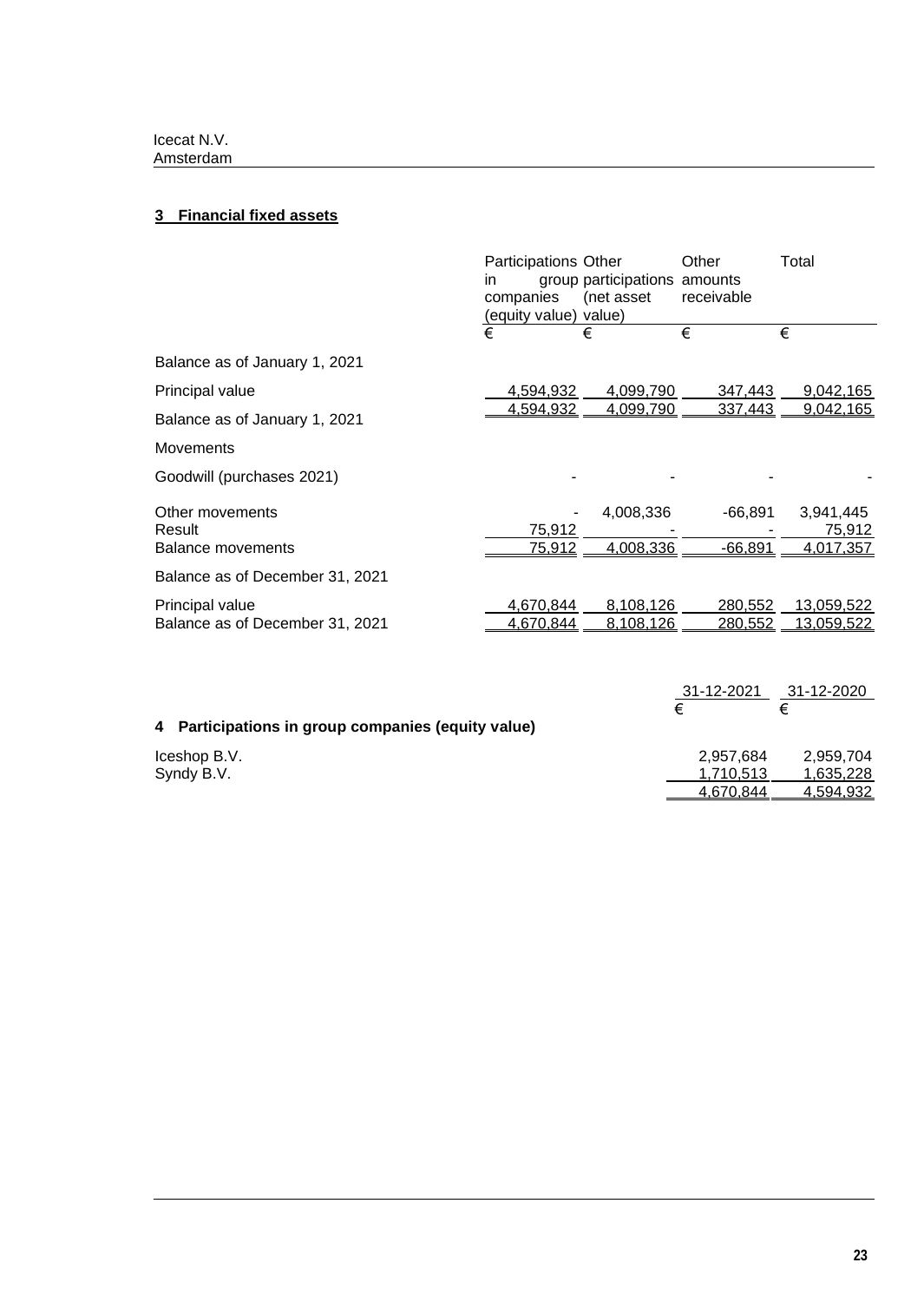# **3 Financial fixed assets**

|                                 | Participations Other<br><i>in</i><br>companies<br>(equity value) value) | group participations amounts<br>(net asset | Other<br>receivable | Total             |
|---------------------------------|-------------------------------------------------------------------------|--------------------------------------------|---------------------|-------------------|
|                                 | €                                                                       | €                                          | €                   | €                 |
| Balance as of January 1, 2021   |                                                                         |                                            |                     |                   |
| Principal value                 | 4,594,932                                                               | 4,099,790                                  | 347,443             | 9,042,165         |
| Balance as of January 1, 2021   | <u>4,594,932</u>                                                        | 4,099,790                                  | 337,443             | 9,042,165         |
| <b>Movements</b>                |                                                                         |                                            |                     |                   |
| Goodwill (purchases 2021)       |                                                                         |                                            |                     |                   |
| Other movements                 |                                                                         | 4,008,336                                  | $-66.891$           | 3,941,445         |
| Result                          | 75,912                                                                  |                                            |                     | 75,912            |
| <b>Balance movements</b>        | <u>75,912</u>                                                           | 4,008,336                                  | $-66,891$           | 4,017,357         |
| Balance as of December 31, 2021 |                                                                         |                                            |                     |                   |
| Principal value                 | 4,670,844                                                               | 8,108,126                                  | 280.552             | 13,059,522        |
| Balance as of December 31, 2021 | 4,670,844                                                               | 8,108,126                                  | <u>280,552</u>      | <u>13,059,522</u> |

|                                                    | 31-12-2021 | 31-12-2020 |
|----------------------------------------------------|------------|------------|
|                                                    | €          |            |
| 4 Participations in group companies (equity value) |            |            |
| Iceshop B.V.                                       | 2,957,684  | 2,959,704  |
| Syndy B.V.                                         | 1.710.513  | 1,635,228  |
|                                                    | 4,670,844  | 4,594,932  |
|                                                    |            |            |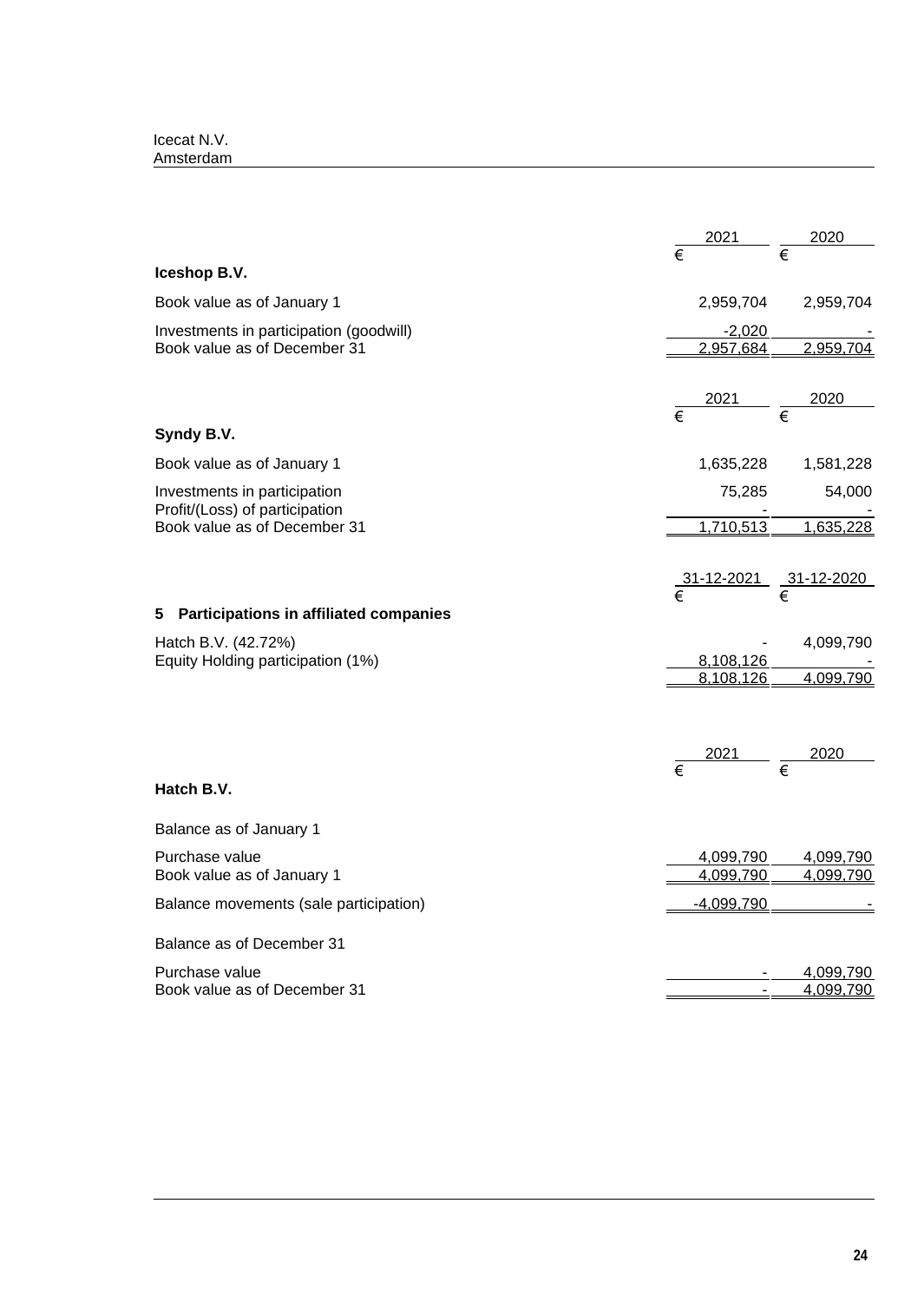| Icecat N.V. |  |
|-------------|--|
| Amsterdam   |  |

|                                                                | $\frac{2021}{\epsilon}$ | 2020                                                        |
|----------------------------------------------------------------|-------------------------|-------------------------------------------------------------|
|                                                                |                         |                                                             |
| Iceshop B.V.                                                   |                         |                                                             |
| Book value as of January 1                                     |                         | 2,959,704 2,959,704                                         |
| Investments in participation (goodwill)                        | <u>-2,020_</u>          |                                                             |
| Book value as of December 31                                   | 2,957,684               | 2,959,704                                                   |
|                                                                | $\frac{2021}{\epsilon}$ | 2020                                                        |
| Syndy B.V.                                                     | $\overline{\epsilon}$   |                                                             |
| Book value as of January 1                                     | 1,635,228               | 1,581,228                                                   |
| Investments in participation<br>Profit/(Loss) of participation | 75,285                  | 54,000                                                      |
| Book value as of December 31                                   | 1,710,513               | 1,635,228                                                   |
|                                                                |                         |                                                             |
|                                                                |                         | $\frac{31-12-2021}{\epsilon}$ $\frac{31-12-2020}{\epsilon}$ |
| <b>Participations in affiliated companies</b><br>5             |                         |                                                             |
| Hatch B.V. (42.72%)                                            |                         | 4,099,790                                                   |
| Equity Holding participation (1%)                              | 8,108,126<br>8,108,126  | 4,099,790                                                   |
|                                                                |                         |                                                             |
|                                                                |                         | $\frac{2021}{\epsilon}$ $\frac{2020}{\epsilon}$             |
|                                                                | $\overline{\epsilon}$   |                                                             |
| Hatch B.V.                                                     |                         |                                                             |
| Balance as of January 1                                        |                         |                                                             |
| Purchase value                                                 | 4,099,790               | 4,099,790                                                   |
| Book value as of January 1                                     | 4,099,790               | 4,099,790                                                   |
| Balance movements (sale participation)                         | $-4,099,790$            |                                                             |
| Balance as of December 31                                      |                         |                                                             |
| Purchase value                                                 |                         | 4,099,790                                                   |
| Book value as of December 31                                   |                         | 4,099,790                                                   |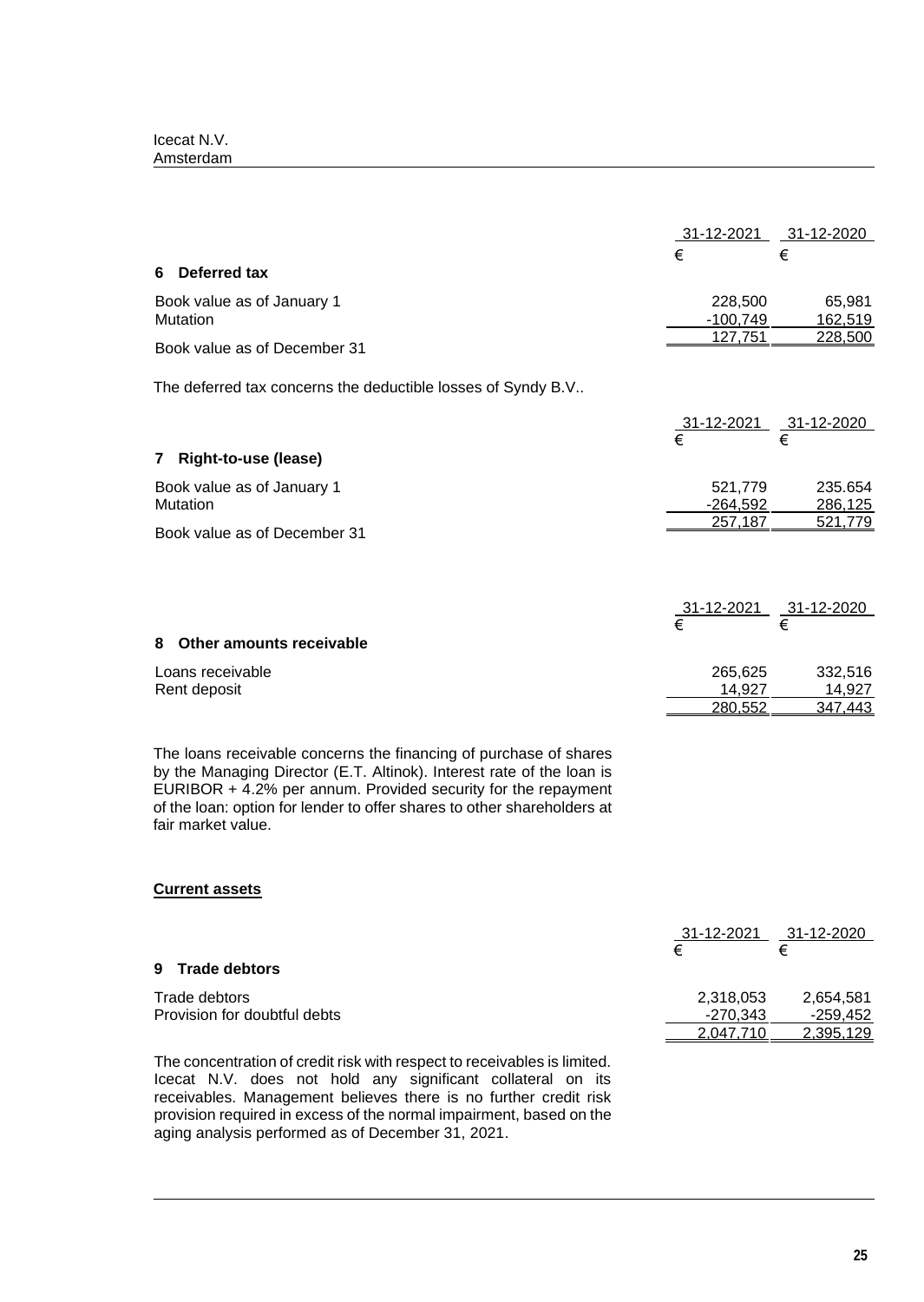| Icecat N.V. |  |
|-------------|--|
| Amsterdam   |  |

| 31-12-2021 31-12-2020                                                                                                                      |
|--------------------------------------------------------------------------------------------------------------------------------------------|
| €<br>€                                                                                                                                     |
|                                                                                                                                            |
| 228,500<br>65,981                                                                                                                          |
| $-100,749$<br>162,519                                                                                                                      |
| 127,751<br>228,500                                                                                                                         |
| The deferred tax concerns the deductible losses of Syndy B.V                                                                               |
| 31-12-2021<br>31-12-2020                                                                                                                   |
| €                                                                                                                                          |
|                                                                                                                                            |
| 521,779<br>235.654                                                                                                                         |
| $-264,592$<br>286,125                                                                                                                      |
| 257,187<br>521,779                                                                                                                         |
|                                                                                                                                            |
| $\frac{31-12-2021}{\epsilon}$ $\frac{31-12-2020}{\epsilon}$                                                                                |
|                                                                                                                                            |
|                                                                                                                                            |
| 265,625<br>332,516                                                                                                                         |
| 14,927<br>14,927                                                                                                                           |
| 280,552<br>347,443                                                                                                                         |
| The loans receivable concerns the financing of purchase of shares<br>by the Managing Director (E.T. Altinok). Interest rate of the loan is |

by the Managing Director (E.T. Altinok). Interest rate of the loan is EURIBOR + 4.2% per annum. Provided security for the repayment of the loan: option for lender to offer shares to other shareholders at fair market value.

# **Current assets**

| 31-12-2021 |           |
|------------|-----------|
| €          |           |
|            |           |
| 2,318,053  | 2,654,581 |
| -270.343   | -259.452  |
| 2.047.710  | 2.395.129 |
|            |           |

The concentration of credit risk with respect to receivables is limited. Icecat N.V. does not hold any significant collateral on its receivables. Management believes there is no further credit risk provision required in excess of the normal impairment, based on the aging analysis performed as of December 31, 2021.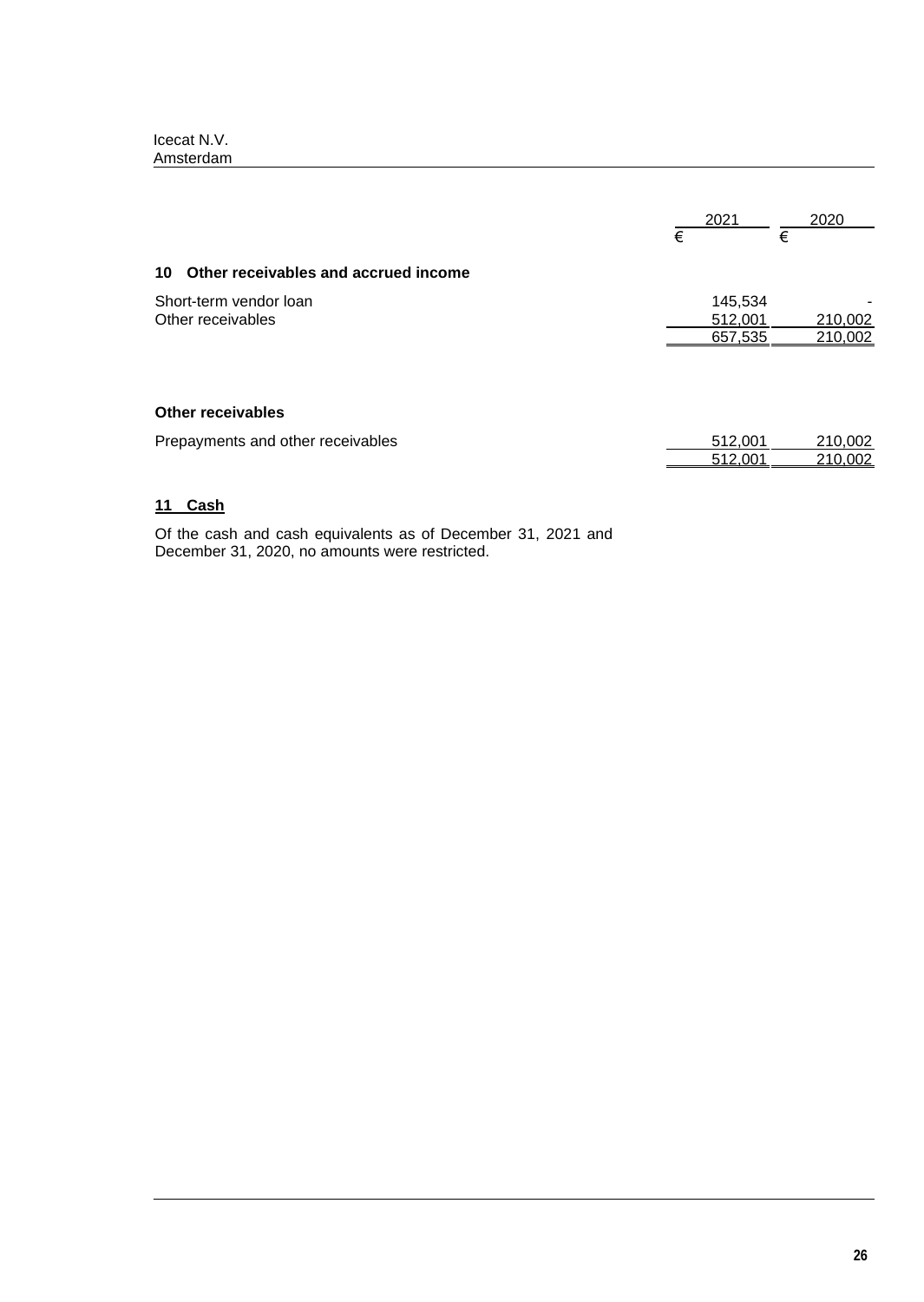|                                             | € | 2021                          | € | 2020               |
|---------------------------------------------|---|-------------------------------|---|--------------------|
| Other receivables and accrued income<br>10  |   |                               |   |                    |
| Short-term vendor loan<br>Other receivables |   | 145,534<br>512,001<br>657,535 |   | 210,002<br>210,002 |
| <b>Other receivables</b>                    |   |                               |   |                    |
| Prepayments and other receivables           |   | 512,001<br>512.001            |   | 210,002<br>210,002 |

# **11 Cash**

Of the cash and cash equivalents as of December 31, 2021 and December 31, 2020, no amounts were restricted.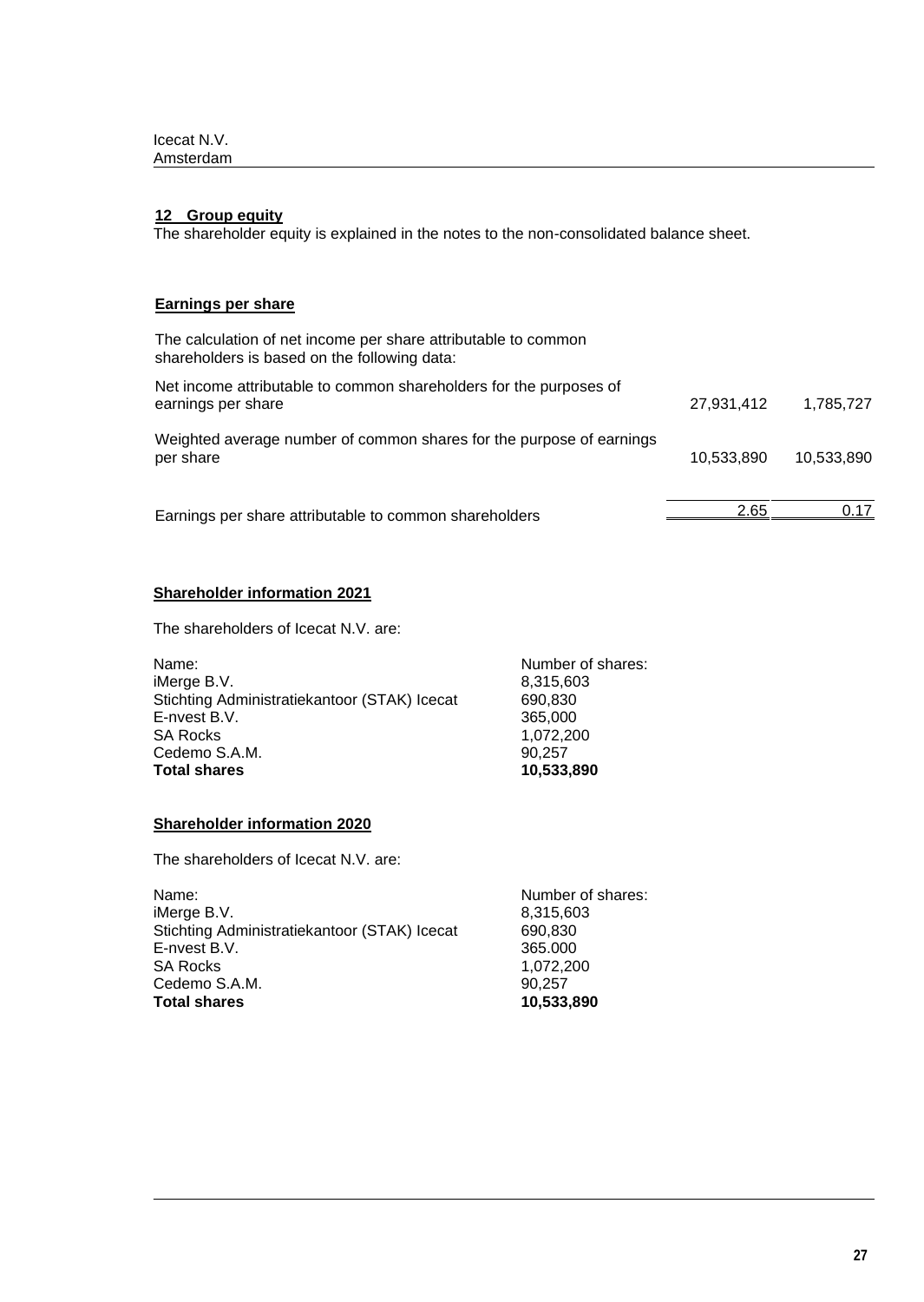### **12 Group equity**

The shareholder equity is explained in the notes to the non-consolidated balance sheet.

# **Earnings per share**

| The calculation of net income per share attributable to common<br>shareholders is based on the following data: |            |            |
|----------------------------------------------------------------------------------------------------------------|------------|------------|
| Net income attributable to common shareholders for the purposes of<br>earnings per share                       | 27,931,412 | 1,785,727  |
| Weighted average number of common shares for the purpose of earnings<br>per share                              | 10,533,890 | 10.533.890 |
| Earnings per share attributable to common shareholders                                                         | 2.65       | በ 17       |

# **Shareholder information 2021**

The shareholders of Icecat N.V. are:

| Name:                                        | Number of shares: |
|----------------------------------------------|-------------------|
| iMerge B.V.                                  | 8,315,603         |
| Stichting Administratiekantoor (STAK) Icecat | 690.830           |
| E-nvest B.V.                                 | 365,000           |
| <b>SA Rocks</b>                              | 1,072,200         |
| Cedemo S.A.M.                                | 90.257            |
| <b>Total shares</b>                          | 10,533,890        |

# **Shareholder information 2020**

The shareholders of Icecat N.V. are:

| Name:                                        | Number of shares: |
|----------------------------------------------|-------------------|
| iMerge B.V.                                  | 8,315,603         |
| Stichting Administratiekantoor (STAK) Icecat | 690.830           |
| E-nvest B.V.                                 | 365,000           |
| <b>SA Rocks</b>                              | 1,072,200         |
| Cedemo S.A.M.                                | 90.257            |
| <b>Total shares</b>                          | 10,533,890        |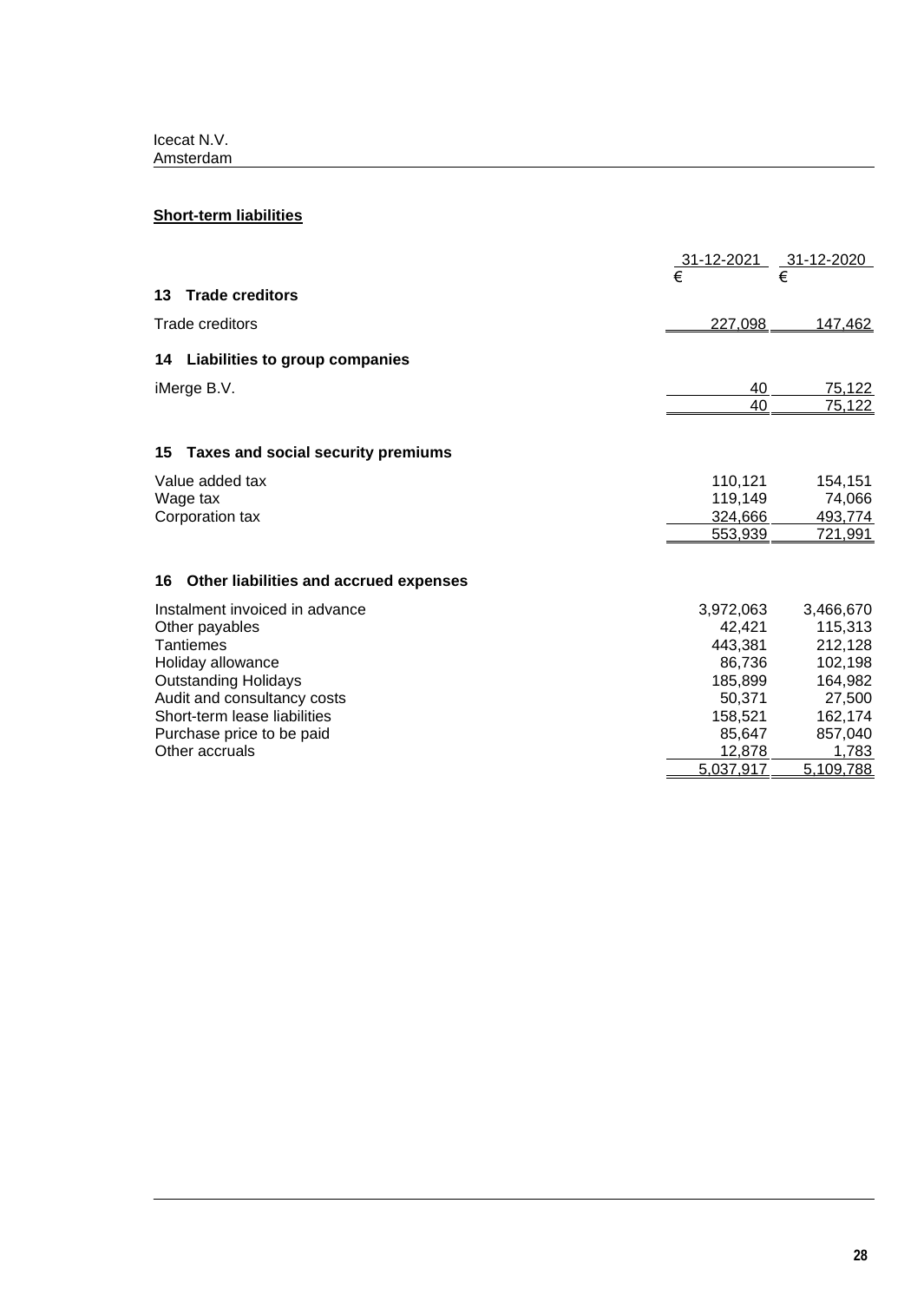# **Short-term liabilities**

|                                              | 31-12-2021 | 31-12-2020 |
|----------------------------------------------|------------|------------|
|                                              |            | €          |
| <b>Trade creditors</b><br>13                 |            |            |
| Trade creditors                              | 227,098    | 147,462    |
| 14 Liabilities to group companies            |            |            |
| iMerge B.V.                                  | 40         | 75,122     |
|                                              | 40         | 75,122     |
| 15 Taxes and social security premiums        |            |            |
| Value added tax                              | 110,121    | 154,151    |
| Wage tax                                     | 119,149    | 74,066     |
| Corporation tax                              | 324,666    | 493,774    |
|                                              | 553,939    | 721,991    |
| Other liabilities and accrued expenses<br>16 |            |            |
| Instalment invoiced in advance               | 3,972,063  | 3,466,670  |
| Other payables                               | 42,421     | 115,313    |
| Tantiemes                                    | 443,381    | 212,128    |
| Holiday allowance                            | 86,736     | 102,198    |
| <b>Outstanding Holidays</b>                  | 185,899    | 164,982    |
| Audit and consultancy costs                  | 50,371     | 27,500     |
| Short-term lease liabilities                 | 158,521    | 162,174    |
| Purchase price to be paid                    | 85,647     | 857,040    |
| Other accruals                               | 12,878     | 1,783      |
|                                              | 5,037,917  | 5,109,788  |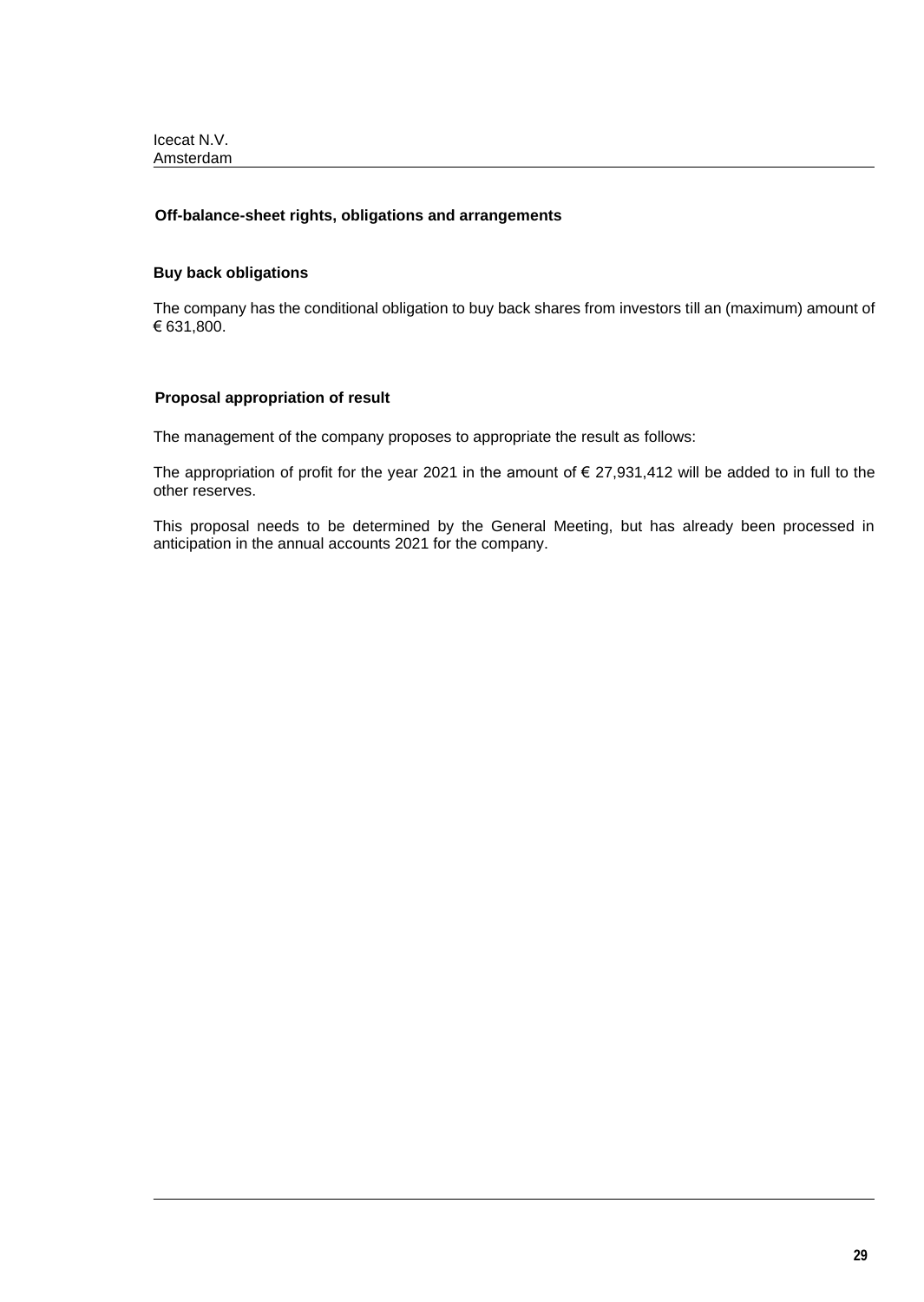# **Off-balance-sheet rights, obligations and arrangements**

# **Buy back obligations**

The company has the conditional obligation to buy back shares from investors till an (maximum) amount of € 631,800.

# **Proposal appropriation of result**

The management of the company proposes to appropriate the result as follows:

The appropriation of profit for the year 2021 in the amount of  $\epsilon$  27,931,412 will be added to in full to the other reserves.

This proposal needs to be determined by the General Meeting, but has already been processed in anticipation in the annual accounts 2021 for the company.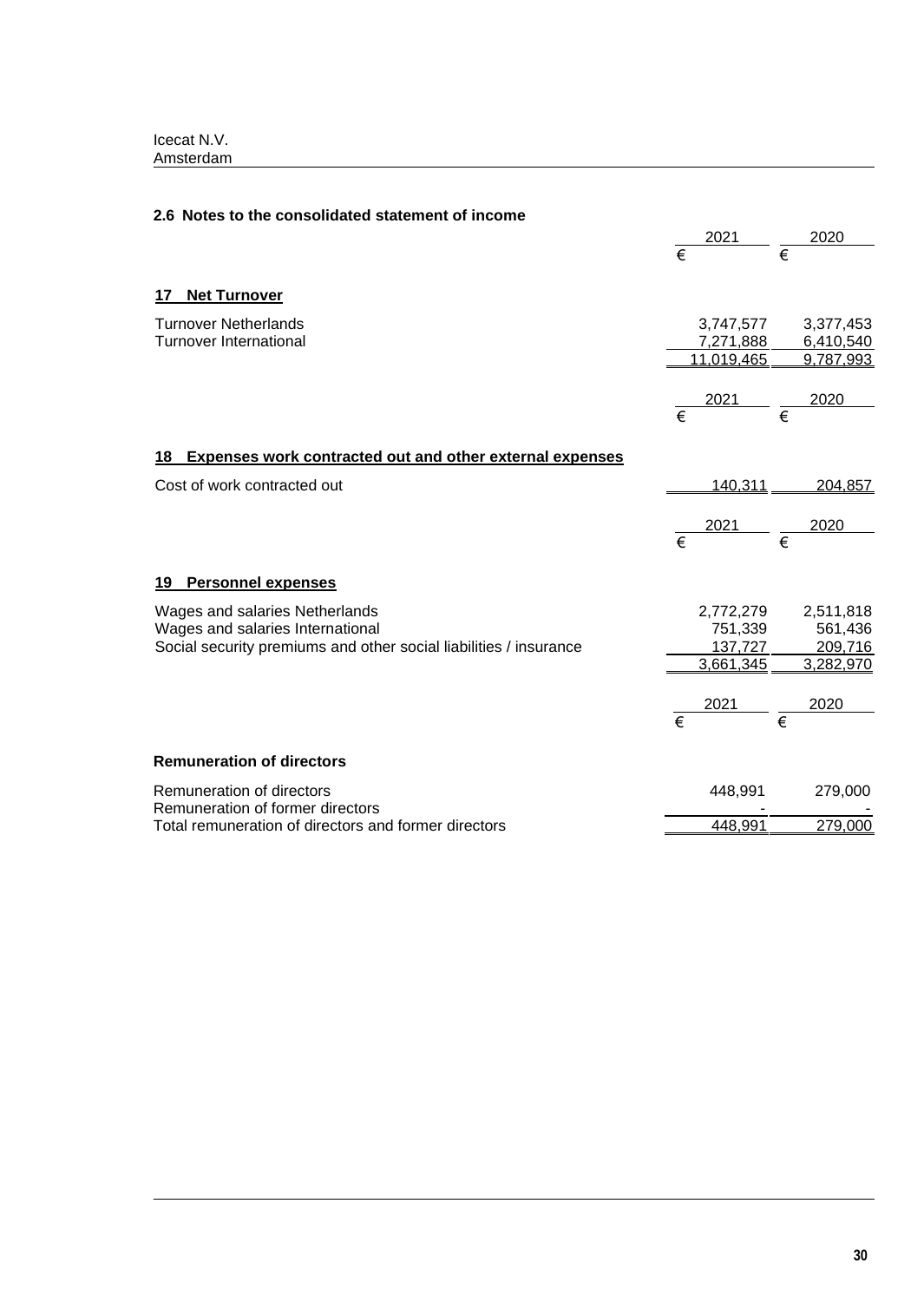| 2.6 Notes to the consolidated statement of income                                                                                       |                       |                                              |                       |                                              |
|-----------------------------------------------------------------------------------------------------------------------------------------|-----------------------|----------------------------------------------|-----------------------|----------------------------------------------|
|                                                                                                                                         | $\overline{\epsilon}$ | 2021                                         | €                     | 2020                                         |
| <b>Net Turnover</b><br>17                                                                                                               |                       |                                              |                       |                                              |
| <b>Turnover Netherlands</b><br><b>Turnover International</b>                                                                            |                       | 3,747,577<br>7,271,888<br>11,019,465         |                       | 3,377,453<br>6,410,540<br>9,787,993          |
|                                                                                                                                         | $\overline{\epsilon}$ | 2021                                         | $\overline{\epsilon}$ | 2020                                         |
| 18 Expenses work contracted out and other external expenses                                                                             |                       |                                              |                       |                                              |
| Cost of work contracted out                                                                                                             |                       | 140,311                                      |                       | 204,857                                      |
|                                                                                                                                         | $\overline{\epsilon}$ | <u> 2021</u>                                 |                       | 2020                                         |
| 19 Personnel expenses                                                                                                                   |                       |                                              |                       |                                              |
| Wages and salaries Netherlands<br>Wages and salaries International<br>Social security premiums and other social liabilities / insurance |                       | 2,772,279<br>751,339<br>137,727<br>3,661,345 |                       | 2,511,818<br>561,436<br>209,716<br>3,282,970 |
|                                                                                                                                         | $\overline{\epsilon}$ | 2021                                         | $\overline{\epsilon}$ | 2020                                         |
| <b>Remuneration of directors</b>                                                                                                        |                       |                                              |                       |                                              |
| Remuneration of directors<br>Remuneration of former directors                                                                           |                       | 448,991                                      |                       | 279,000                                      |
| Total remuneration of directors and former directors                                                                                    |                       | 448,991                                      |                       | 279,000                                      |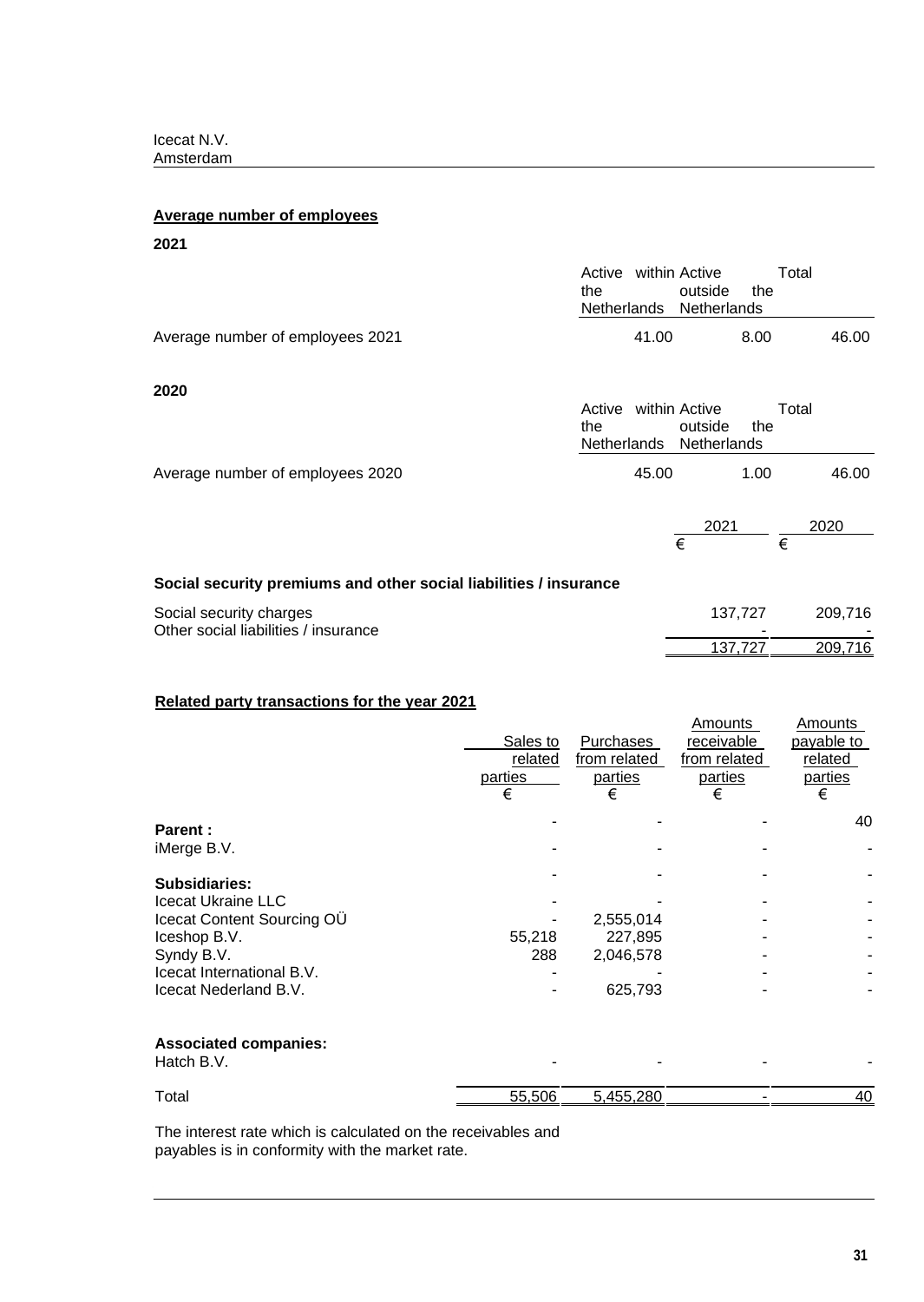# **Average number of employees**

| 2021                                                              |               |       |                                                            |         |       |         |
|-------------------------------------------------------------------|---------------|-------|------------------------------------------------------------|---------|-------|---------|
|                                                                   | the           |       | Active within Active<br>outside<br>Netherlands Netherlands | the     | Total |         |
| Average number of employees 2021                                  |               | 41.00 |                                                            | 8.00    |       | 46.00   |
| 2020                                                              | Active<br>the |       | within Active<br>outside                                   | the     | Total |         |
| Average number of employees 2020                                  |               | 45.00 | Netherlands Netherlands                                    | 1.00    |       | 46.00   |
|                                                                   |               |       | 2021<br>€                                                  |         | €     | 2020    |
| Social security premiums and other social liabilities / insurance |               |       |                                                            |         |       |         |
| Social security charges<br>Other social liabilities / insurance   |               |       |                                                            | 137,727 |       | 209,716 |
|                                                                   |               |       |                                                            | 137,727 |       | 209,716 |

# **Related party transactions for the year 2021**

|                                            | Sales to<br>related<br>parties<br>€ | Purchases<br>from related<br>parties<br>€ | Amounts<br>receivable<br>from related<br>parties<br>€ | Amounts<br>payable to<br>related<br>parties<br>€ |
|--------------------------------------------|-------------------------------------|-------------------------------------------|-------------------------------------------------------|--------------------------------------------------|
| <b>Parent:</b>                             |                                     |                                           |                                                       | 40                                               |
| iMerge B.V.                                |                                     |                                           |                                                       |                                                  |
| <b>Subsidiaries:</b>                       |                                     |                                           |                                                       |                                                  |
| <b>Icecat Ukraine LLC</b>                  |                                     |                                           |                                                       |                                                  |
| Icecat Content Sourcing OU                 |                                     | 2,555,014                                 |                                                       |                                                  |
| Iceshop B.V.                               | 55,218                              | 227,895                                   |                                                       |                                                  |
| Syndy B.V.                                 | 288                                 | 2,046,578                                 |                                                       |                                                  |
| Icecat International B.V.                  |                                     |                                           |                                                       |                                                  |
| Icecat Nederland B.V.                      |                                     | 625,793                                   |                                                       |                                                  |
| <b>Associated companies:</b><br>Hatch B.V. |                                     |                                           |                                                       |                                                  |
| Total                                      | 55,506                              | 5,455,280                                 |                                                       | 40                                               |
|                                            |                                     |                                           |                                                       |                                                  |

The interest rate which is calculated on the receivables and payables is in conformity with the market rate.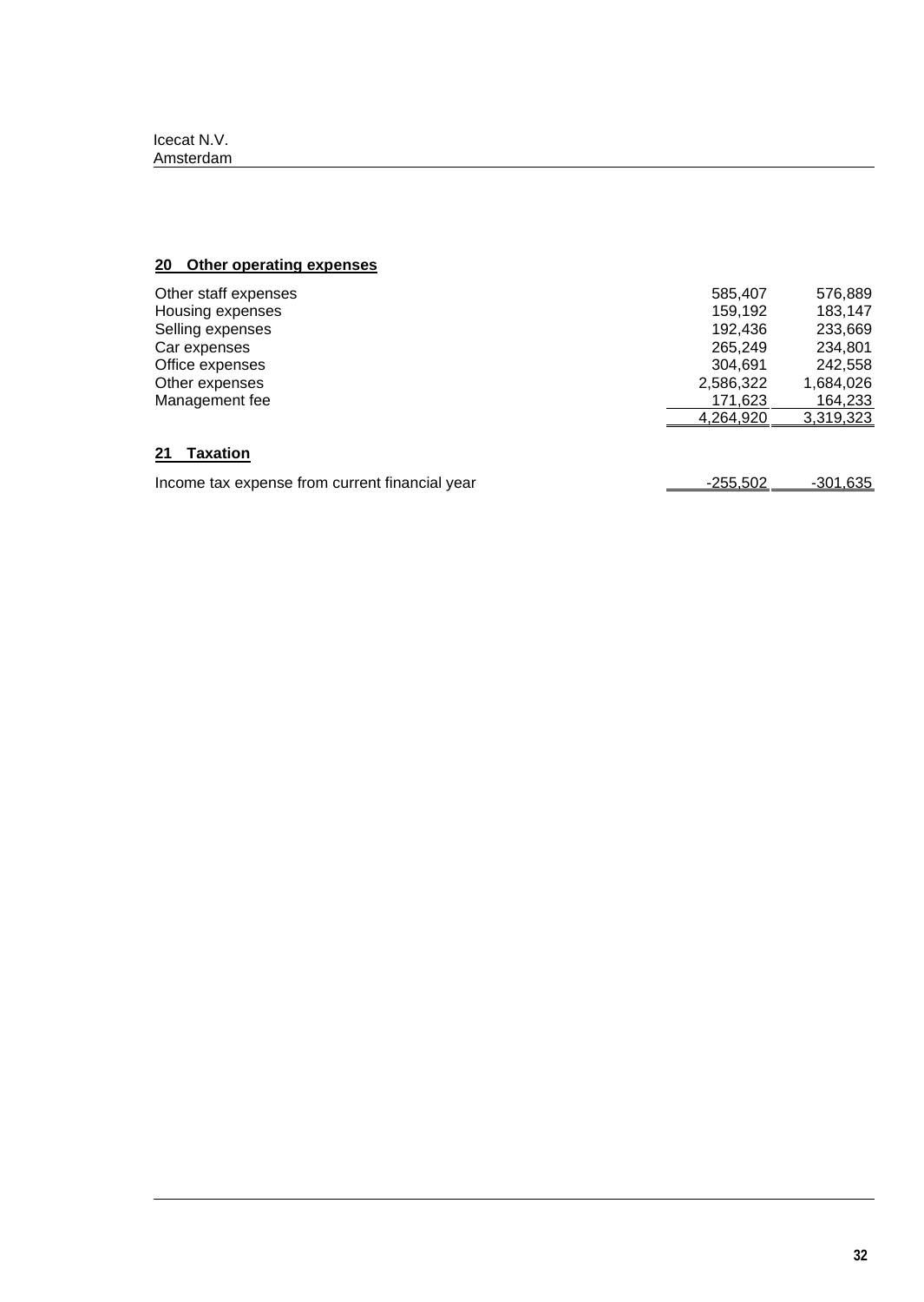# **20 Other operating expenses**

| Other staff expenses                           | 585,407   | 576,889   |
|------------------------------------------------|-----------|-----------|
| Housing expenses                               | 159.192   | 183,147   |
| Selling expenses                               | 192.436   | 233,669   |
| Car expenses                                   | 265.249   | 234,801   |
| Office expenses                                | 304.691   | 242,558   |
| Other expenses                                 | 2,586,322 | 1,684,026 |
| Management fee                                 | 171,623   | 164,233   |
|                                                | 4,264,920 | 3,319,323 |
| 21<br>Taxation                                 |           |           |
| Income tax expense from current financial year | -255.502  | -301,635  |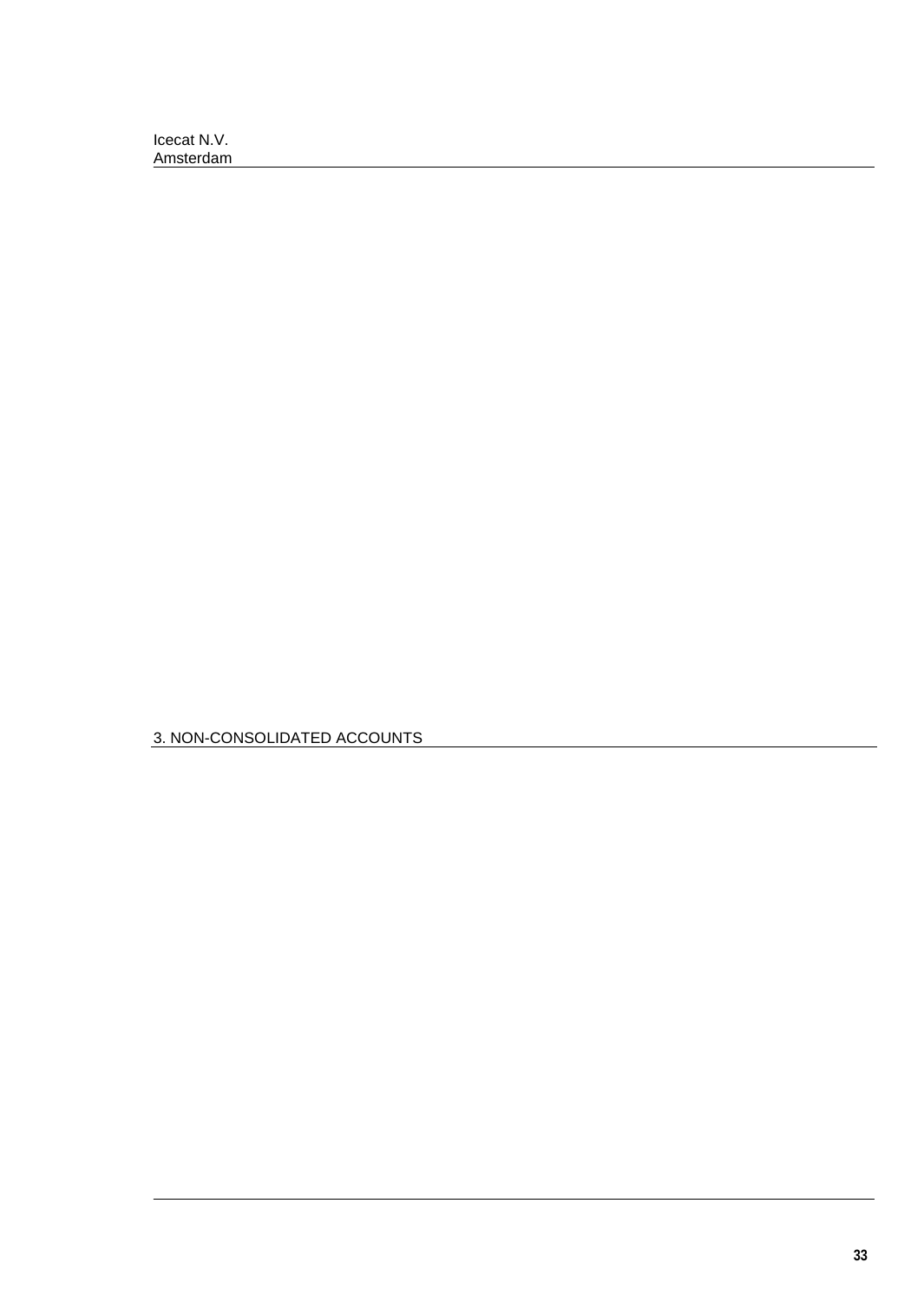3. NON-CONSOLIDATED ACCOUNTS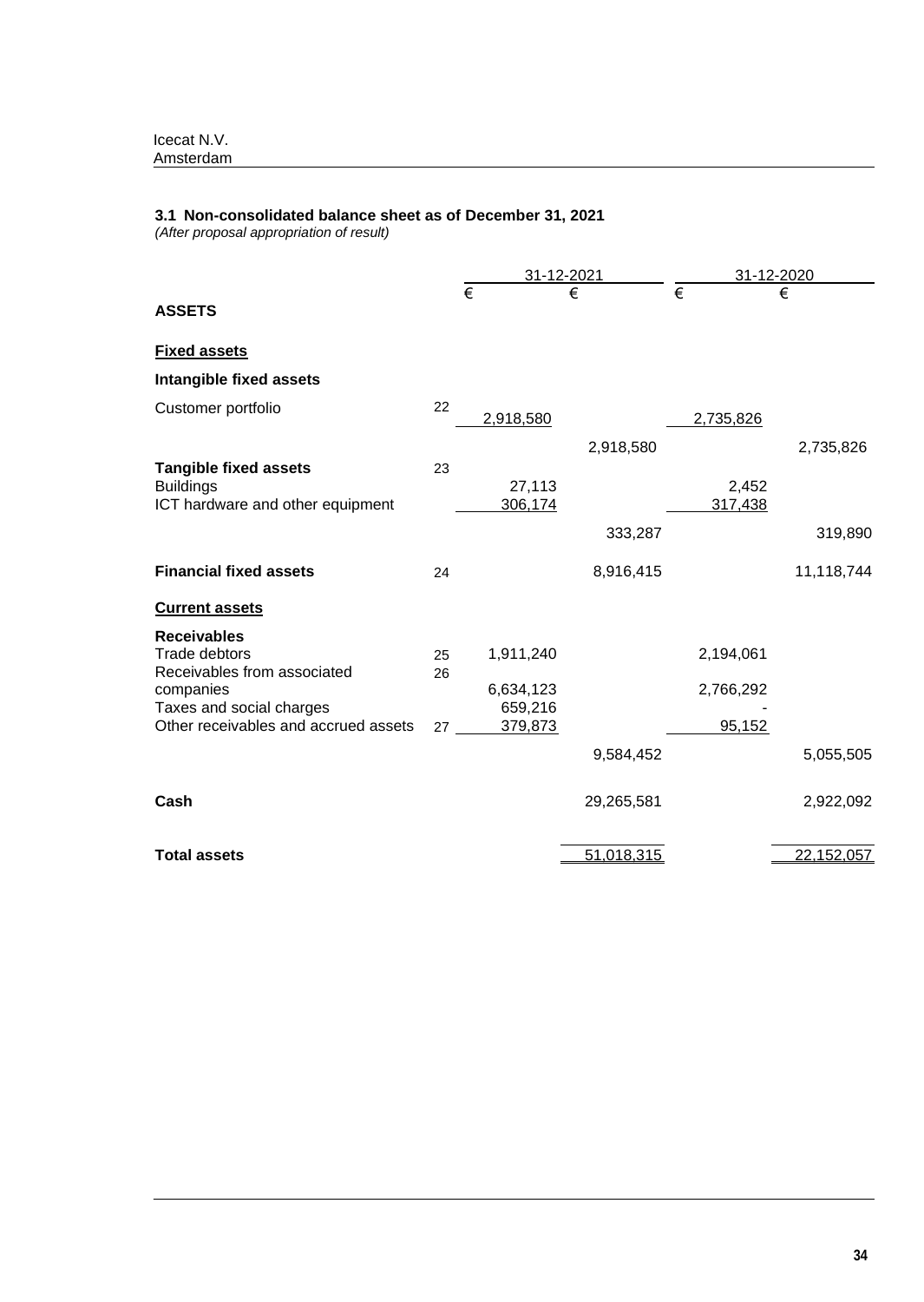# **3.1 Non-consolidated balance sheet as of December 31, 2021**

*(After proposal appropriation of result)*

|                                                                                      |          | 31-12-2021           |            | 31-12-2020            |            |
|--------------------------------------------------------------------------------------|----------|----------------------|------------|-----------------------|------------|
| <b>ASSETS</b>                                                                        |          | €                    | €          | $\overline{\epsilon}$ | €          |
| <b>Fixed assets</b>                                                                  |          |                      |            |                       |            |
| Intangible fixed assets                                                              |          |                      |            |                       |            |
| Customer portfolio                                                                   | 22       | 2,918,580            |            | 2,735,826             |            |
|                                                                                      |          |                      | 2,918,580  |                       | 2,735,826  |
| <b>Tangible fixed assets</b><br><b>Buildings</b><br>ICT hardware and other equipment | 23       | 27,113<br>306,174    |            | 2,452<br>317,438      |            |
|                                                                                      |          |                      | 333,287    |                       | 319,890    |
| <b>Financial fixed assets</b>                                                        | 24       |                      | 8,916,415  |                       | 11,118,744 |
| <b>Current assets</b>                                                                |          |                      |            |                       |            |
| <b>Receivables</b><br>Trade debtors<br>Receivables from associated                   | 25<br>26 | 1,911,240            |            | 2,194,061             |            |
| companies<br>Taxes and social charges                                                |          | 6,634,123<br>659,216 |            | 2,766,292             |            |
| Other receivables and accrued assets                                                 | 27       | 379,873              |            | 95,152                |            |
|                                                                                      |          |                      | 9,584,452  |                       | 5,055,505  |
| Cash                                                                                 |          |                      | 29,265,581 |                       | 2,922,092  |
| <b>Total assets</b>                                                                  |          |                      | 51,018,315 |                       | 22,152,057 |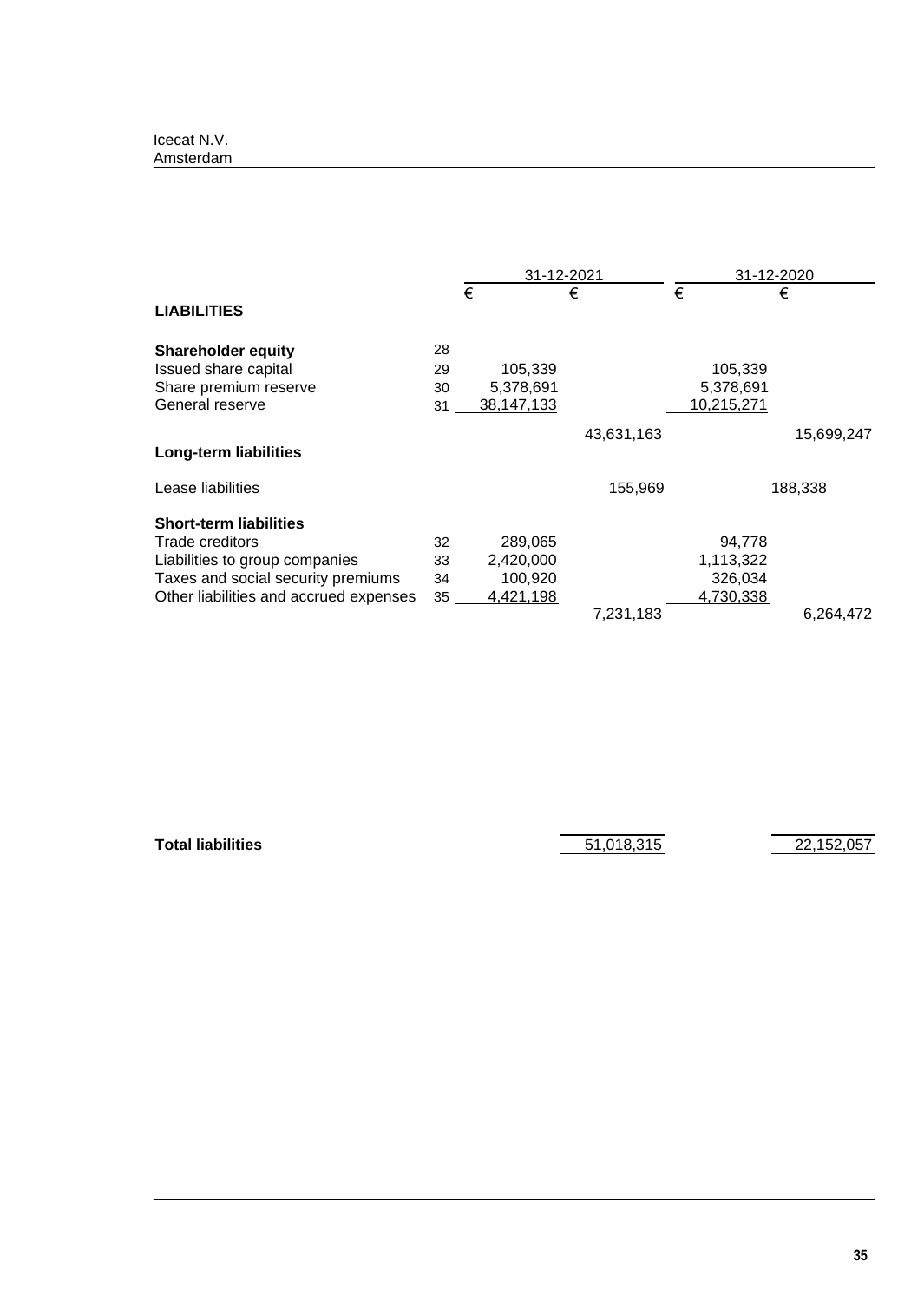|                                        |    | 31-12-2021 |   |            | 31-12-2020 |            |            |
|----------------------------------------|----|------------|---|------------|------------|------------|------------|
| <b>LIABILITIES</b>                     |    | €          | € |            | €          |            | €          |
|                                        |    |            |   |            |            |            |            |
| <b>Shareholder equity</b>              | 28 |            |   |            |            |            |            |
| Issued share capital                   | 29 | 105,339    |   |            |            | 105,339    |            |
| Share premium reserve                  | 30 | 5,378,691  |   |            |            | 5,378,691  |            |
| General reserve                        | 31 | 38,147,133 |   |            |            | 10,215,271 |            |
|                                        |    |            |   | 43,631,163 |            |            | 15,699,247 |
| <b>Long-term liabilities</b>           |    |            |   |            |            |            |            |
| Lease liabilities                      |    |            |   | 155,969    |            |            | 188,338    |
| <b>Short-term liabilities</b>          |    |            |   |            |            |            |            |
| Trade creditors                        | 32 | 289,065    |   |            |            | 94,778     |            |
| Liabilities to group companies         | 33 | 2,420,000  |   |            |            | 1,113,322  |            |
| Taxes and social security premiums     | 34 | 100,920    |   |            |            | 326,034    |            |
| Other liabilities and accrued expenses | 35 | 4,421,198  |   |            |            | 4,730,338  |            |
|                                        |    |            |   | 7,231,183  |            |            | 6,264,472  |

**Total liabilities** 51,018,315 22,152,057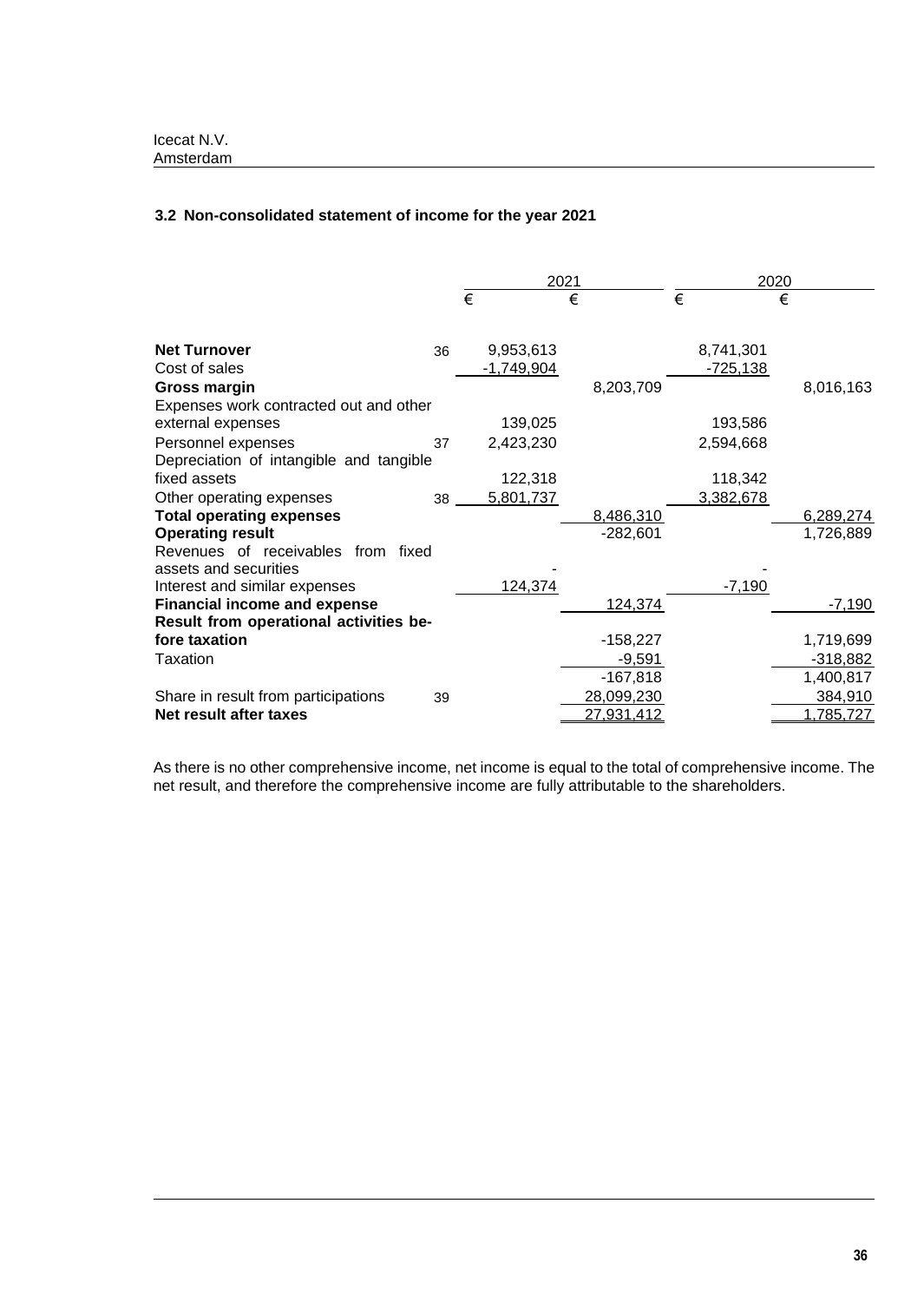# **3.2 Non-consolidated statement of income for the year 2021**

|                                         |    | 2021 |              |   | 2020       |   |                 |   |            |
|-----------------------------------------|----|------|--------------|---|------------|---|-----------------|---|------------|
|                                         |    | €    |              | € |            | € |                 | € |            |
|                                         |    |      |              |   |            |   |                 |   |            |
| <b>Net Turnover</b>                     | 36 |      | 9,953,613    |   |            |   | 8,741,301       |   |            |
| Cost of sales                           |    |      | $-1,749,904$ |   |            |   | <u>-725,138</u> |   |            |
| Gross margin                            |    |      |              |   | 8,203,709  |   |                 |   | 8,016,163  |
| Expenses work contracted out and other  |    |      |              |   |            |   |                 |   |            |
| external expenses                       |    |      | 139,025      |   |            |   | 193,586         |   |            |
| Personnel expenses                      | 37 |      | 2,423,230    |   |            |   | 2,594,668       |   |            |
| Depreciation of intangible and tangible |    |      |              |   |            |   |                 |   |            |
| fixed assets                            |    |      | 122,318      |   |            |   | 118,342         |   |            |
| Other operating expenses                | 38 |      | 5,801,737    |   |            |   | 3,382,678       |   |            |
| <b>Total operating expenses</b>         |    |      |              |   | 8,486,310  |   |                 |   | 6,289,274  |
| <b>Operating result</b>                 |    |      |              |   | $-282,601$ |   |                 |   | 1,726,889  |
| Revenues of receivables from fixed      |    |      |              |   |            |   |                 |   |            |
| assets and securities                   |    |      |              |   |            |   |                 |   |            |
| Interest and similar expenses           |    |      | 124,374      |   |            |   | $-7,190$        |   |            |
| <b>Financial income and expense</b>     |    |      |              |   | 124,374    |   |                 |   | $-7,190$   |
| Result from operational activities be-  |    |      |              |   |            |   |                 |   |            |
| fore taxation                           |    |      |              |   | $-158,227$ |   |                 |   | 1,719,699  |
| Taxation                                |    |      |              |   | $-9,591$   |   |                 |   | $-318,882$ |
|                                         |    |      |              |   | $-167,818$ |   |                 |   | 1,400,817  |
| Share in result from participations     | 39 |      |              |   | 28,099,230 |   |                 |   | 384,910    |
| Net result after taxes                  |    |      |              |   | 27,931,412 |   |                 |   | 1,785,727  |

As there is no other comprehensive income, net income is equal to the total of comprehensive income. The net result, and therefore the comprehensive income are fully attributable to the shareholders.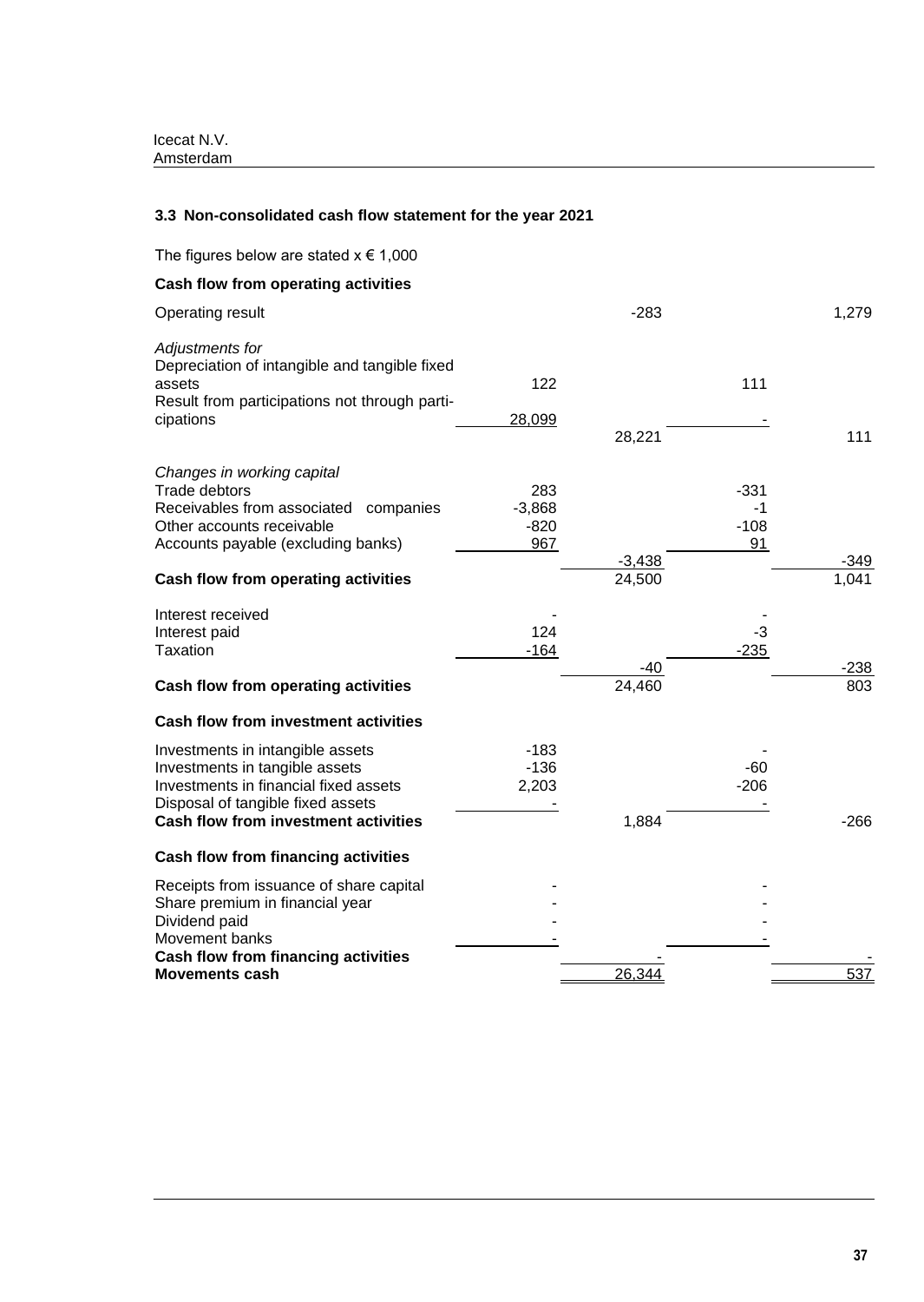# **3.3 Non-consolidated cash flow statement for the year 2021**

| The figures below are stated $x \in 1,000$                                                                                                                                                                   |                                  |                    |                              |               |
|--------------------------------------------------------------------------------------------------------------------------------------------------------------------------------------------------------------|----------------------------------|--------------------|------------------------------|---------------|
| <b>Cash flow from operating activities</b>                                                                                                                                                                   |                                  |                    |                              |               |
| Operating result                                                                                                                                                                                             |                                  | $-283$             |                              | 1,279         |
| Adjustments for<br>Depreciation of intangible and tangible fixed<br>assets<br>Result from participations not through parti-<br>cipations                                                                     | 122<br>28,099                    | 28,221             | 111                          | 111           |
| Changes in working capital<br><b>Trade debtors</b><br>Receivables from associated companies<br>Other accounts receivable<br>Accounts payable (excluding banks)<br><b>Cash flow from operating activities</b> | 283<br>$-3,868$<br>$-820$<br>967 | $-3,438$<br>24,500 | $-331$<br>-1<br>$-108$<br>91 | -349<br>1,041 |
| Interest received<br>Interest paid<br><b>Taxation</b>                                                                                                                                                        | 124<br>$-164$                    |                    | $-3$<br>$-235$               |               |
| Cash flow from operating activities                                                                                                                                                                          |                                  | -40<br>24,460      |                              | $-238$<br>803 |
| <b>Cash flow from investment activities</b>                                                                                                                                                                  |                                  |                    |                              |               |
| Investments in intangible assets<br>Investments in tangible assets<br>Investments in financial fixed assets<br>Disposal of tangible fixed assets<br><b>Cash flow from investment activities</b>              | $-183$<br>$-136$<br>2,203        | 1,884              | $-60$<br>$-206$              | $-266$        |
| <b>Cash flow from financing activities</b>                                                                                                                                                                   |                                  |                    |                              |               |
| Receipts from issuance of share capital<br>Share premium in financial year<br>Dividend paid<br>Movement banks                                                                                                |                                  |                    |                              |               |
| <b>Cash flow from financing activities</b><br><b>Movements cash</b>                                                                                                                                          |                                  | 26,344             |                              | 537           |
|                                                                                                                                                                                                              |                                  |                    |                              |               |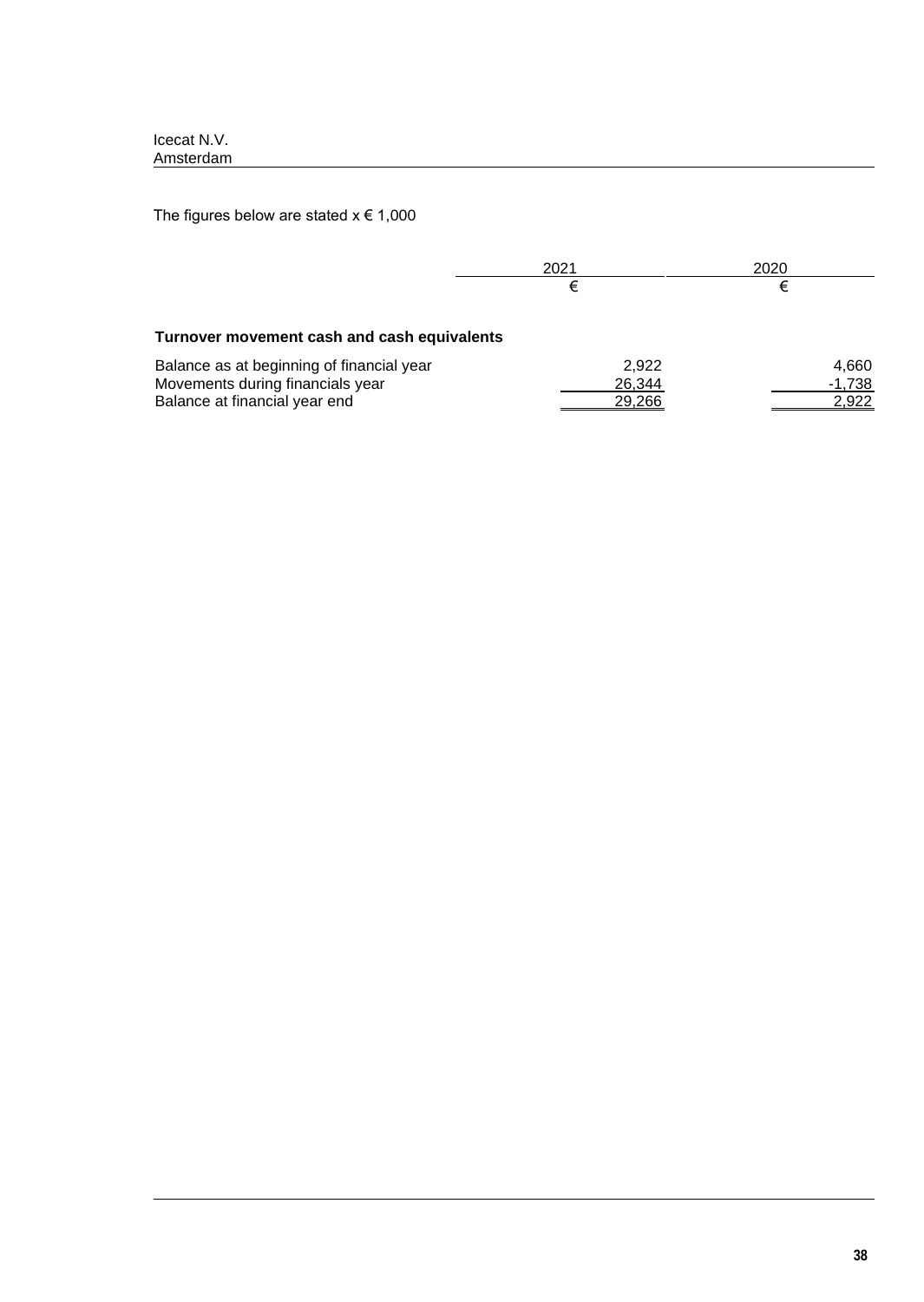The figures below are stated  $x \in 1,000$ 

|                                                                                                                | 2021<br>€                 | 2020                       |
|----------------------------------------------------------------------------------------------------------------|---------------------------|----------------------------|
| Turnover movement cash and cash equivalents                                                                    |                           |                            |
| Balance as at beginning of financial year<br>Movements during financials year<br>Balance at financial year end | 2.922<br>26,344<br>29.266 | 4,660<br>$-1,738$<br>2,922 |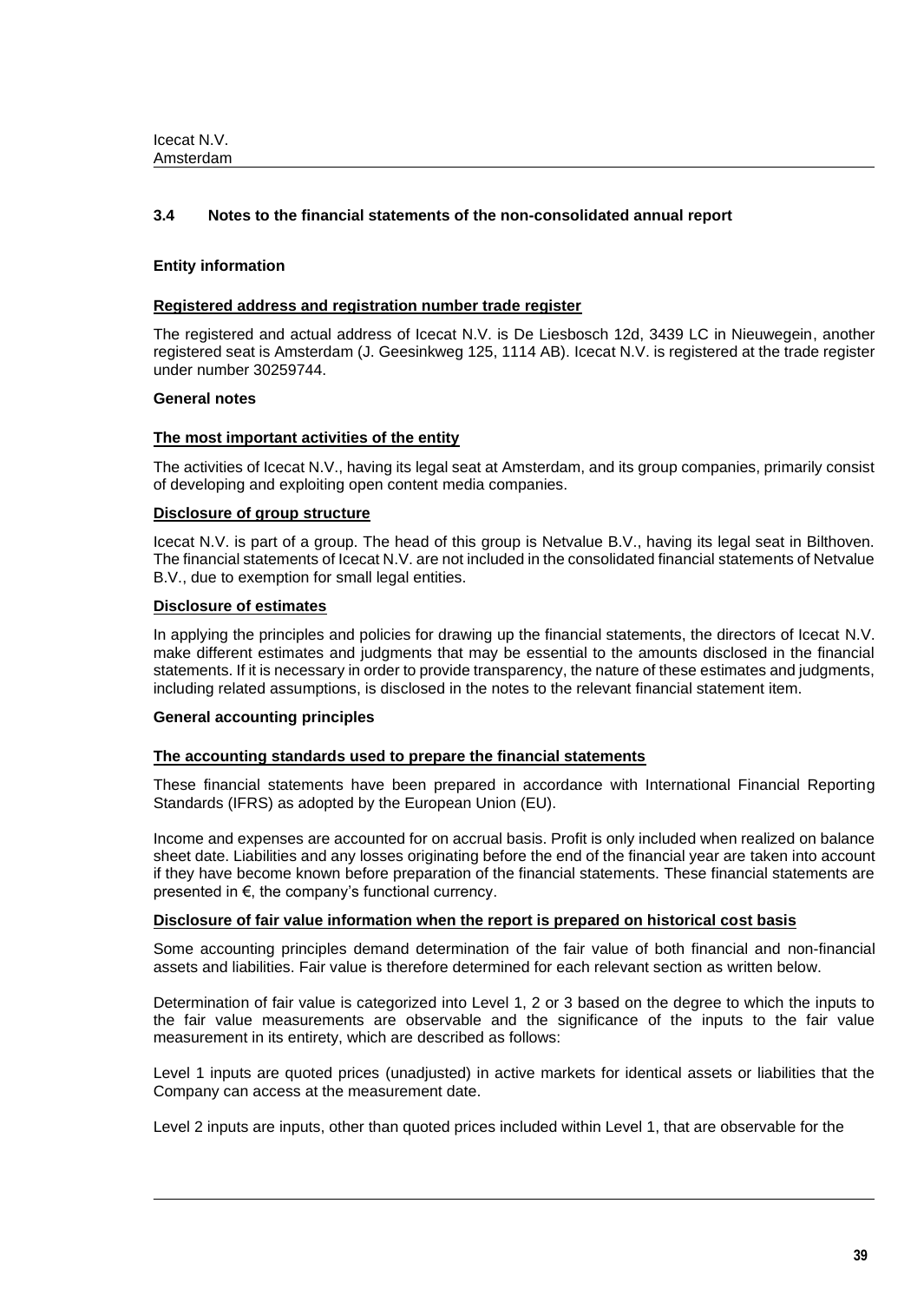# **3.4 Notes to the financial statements of the non-consolidated annual report**

### **Entity information**

### **Registered address and registration number trade register**

The registered and actual address of Icecat N.V. is De Liesbosch 12d, 3439 LC in Nieuwegein, another registered seat is Amsterdam (J. Geesinkweg 125, 1114 AB). Icecat N.V. is registered at the trade register under number 30259744.

### **General notes**

### **The most important activities of the entity**

The activities of Icecat N.V., having its legal seat at Amsterdam, and its group companies, primarily consist of developing and exploiting open content media companies.

### **Disclosure of group structure**

Icecat N.V. is part of a group. The head of this group is Netvalue B.V., having its legal seat in Bilthoven. The financial statements of Icecat N.V. are not included in the consolidated financial statements of Netvalue B.V., due to exemption for small legal entities.

### **Disclosure of estimates**

In applying the principles and policies for drawing up the financial statements, the directors of Icecat N.V. make different estimates and judgments that may be essential to the amounts disclosed in the financial statements. If it is necessary in order to provide transparency, the nature of these estimates and judgments, including related assumptions, is disclosed in the notes to the relevant financial statement item.

### **General accounting principles**

### **The accounting standards used to prepare the financial statements**

These financial statements have been prepared in accordance with International Financial Reporting Standards (IFRS) as adopted by the European Union (EU).

Income and expenses are accounted for on accrual basis. Profit is only included when realized on balance sheet date. Liabilities and any losses originating before the end of the financial year are taken into account if they have become known before preparation of the financial statements. These financial statements are presented in €, the company's functional currency.

### **Disclosure of fair value information when the report is prepared on historical cost basis**

Some accounting principles demand determination of the fair value of both financial and non-financial assets and liabilities. Fair value is therefore determined for each relevant section as written below.

Determination of fair value is categorized into Level 1, 2 or 3 based on the degree to which the inputs to the fair value measurements are observable and the significance of the inputs to the fair value measurement in its entirety, which are described as follows:

Level 1 inputs are quoted prices (unadjusted) in active markets for identical assets or liabilities that the Company can access at the measurement date.

Level 2 inputs are inputs, other than quoted prices included within Level 1, that are observable for the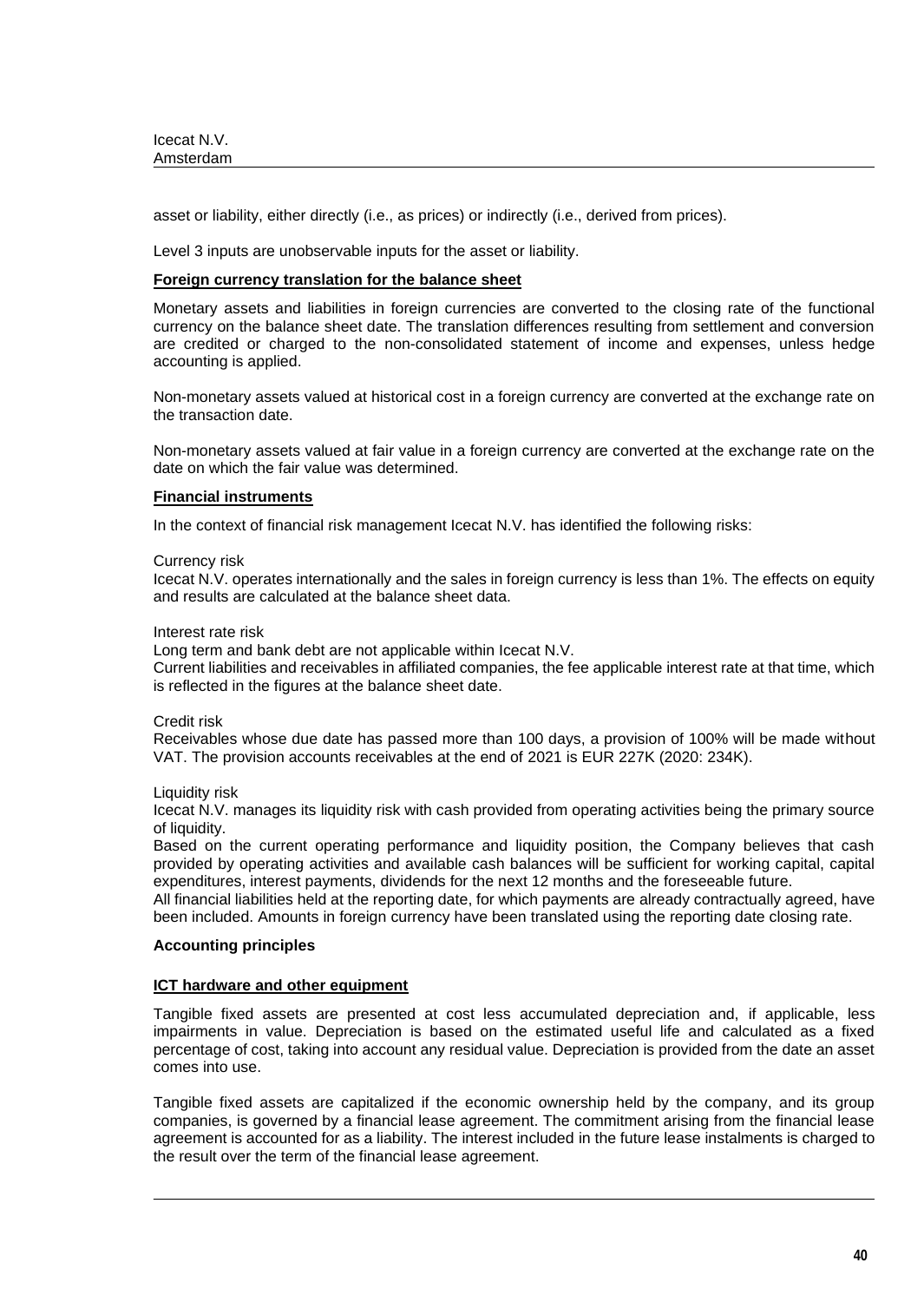asset or liability, either directly (i.e., as prices) or indirectly (i.e., derived from prices).

Level 3 inputs are unobservable inputs for the asset or liability.

#### **Foreign currency translation for the balance sheet**

Monetary assets and liabilities in foreign currencies are converted to the closing rate of the functional currency on the balance sheet date. The translation differences resulting from settlement and conversion are credited or charged to the non-consolidated statement of income and expenses, unless hedge accounting is applied.

Non-monetary assets valued at historical cost in a foreign currency are converted at the exchange rate on the transaction date.

Non-monetary assets valued at fair value in a foreign currency are converted at the exchange rate on the date on which the fair value was determined.

### **Financial instruments**

In the context of financial risk management Icecat N.V. has identified the following risks:

#### Currency risk

Icecat N.V. operates internationally and the sales in foreign currency is less than 1%. The effects on equity and results are calculated at the balance sheet data.

#### Interest rate risk

Long term and bank debt are not applicable within Icecat N.V.

Current liabilities and receivables in affiliated companies, the fee applicable interest rate at that time, which is reflected in the figures at the balance sheet date.

### Credit risk

Receivables whose due date has passed more than 100 days, a provision of 100% will be made without VAT. The provision accounts receivables at the end of 2021 is EUR 227K (2020: 234K).

Liquidity risk

Icecat N.V. manages its liquidity risk with cash provided from operating activities being the primary source of liquidity.

Based on the current operating performance and liquidity position, the Company believes that cash provided by operating activities and available cash balances will be sufficient for working capital, capital expenditures, interest payments, dividends for the next 12 months and the foreseeable future.

All financial liabilities held at the reporting date, for which payments are already contractually agreed, have been included. Amounts in foreign currency have been translated using the reporting date closing rate.

### **Accounting principles**

### **ICT hardware and other equipment**

Tangible fixed assets are presented at cost less accumulated depreciation and, if applicable, less impairments in value. Depreciation is based on the estimated useful life and calculated as a fixed percentage of cost, taking into account any residual value. Depreciation is provided from the date an asset comes into use.

Tangible fixed assets are capitalized if the economic ownership held by the company, and its group companies, is governed by a financial lease agreement. The commitment arising from the financial lease agreement is accounted for as a liability. The interest included in the future lease instalments is charged to the result over the term of the financial lease agreement.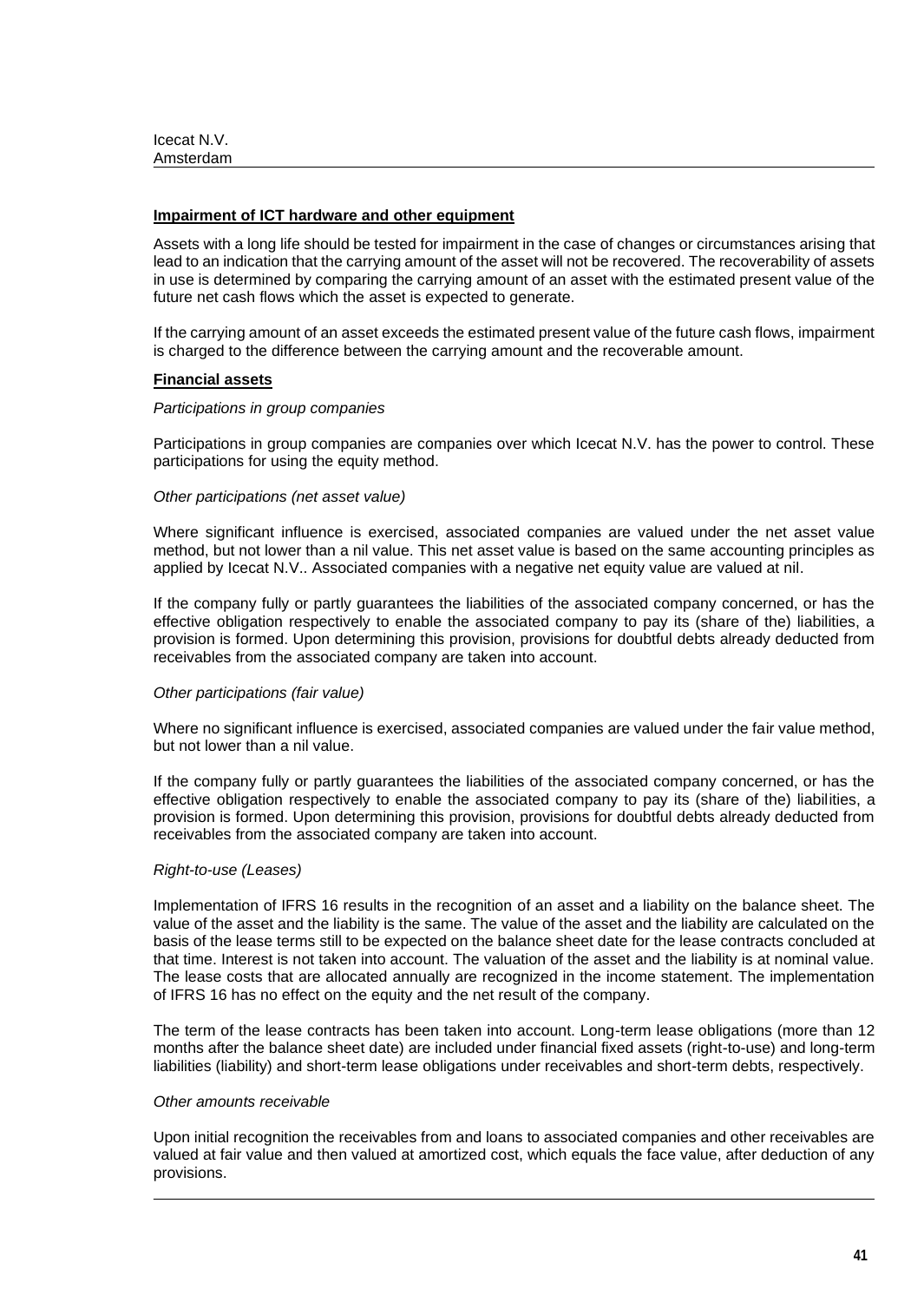### **Impairment of ICT hardware and other equipment**

Assets with a long life should be tested for impairment in the case of changes or circumstances arising that lead to an indication that the carrying amount of the asset will not be recovered. The recoverability of assets in use is determined by comparing the carrying amount of an asset with the estimated present value of the future net cash flows which the asset is expected to generate.

If the carrying amount of an asset exceeds the estimated present value of the future cash flows, impairment is charged to the difference between the carrying amount and the recoverable amount.

#### **Financial assets**

#### *Participations in group companies*

Participations in group companies are companies over which Icecat N.V. has the power to control. These participations for using the equity method.

#### *Other participations (net asset value)*

Where significant influence is exercised, associated companies are valued under the net asset value method, but not lower than a nil value. This net asset value is based on the same accounting principles as applied by Icecat N.V.. Associated companies with a negative net equity value are valued at nil.

If the company fully or partly guarantees the liabilities of the associated company concerned, or has the effective obligation respectively to enable the associated company to pay its (share of the) liabilities, a provision is formed. Upon determining this provision, provisions for doubtful debts already deducted from receivables from the associated company are taken into account.

### *Other participations (fair value)*

Where no significant influence is exercised, associated companies are valued under the fair value method, but not lower than a nil value.

If the company fully or partly guarantees the liabilities of the associated company concerned, or has the effective obligation respectively to enable the associated company to pay its (share of the) liabilities, a provision is formed. Upon determining this provision, provisions for doubtful debts already deducted from receivables from the associated company are taken into account.

#### *Right-to-use (Leases)*

Implementation of IFRS 16 results in the recognition of an asset and a liability on the balance sheet. The value of the asset and the liability is the same. The value of the asset and the liability are calculated on the basis of the lease terms still to be expected on the balance sheet date for the lease contracts concluded at that time. Interest is not taken into account. The valuation of the asset and the liability is at nominal value. The lease costs that are allocated annually are recognized in the income statement. The implementation of IFRS 16 has no effect on the equity and the net result of the company.

The term of the lease contracts has been taken into account. Long-term lease obligations (more than 12 months after the balance sheet date) are included under financial fixed assets (right-to-use) and long-term liabilities (liability) and short-term lease obligations under receivables and short-term debts, respectively.

#### *Other amounts receivable*

Upon initial recognition the receivables from and loans to associated companies and other receivables are valued at fair value and then valued at amortized cost, which equals the face value, after deduction of any provisions.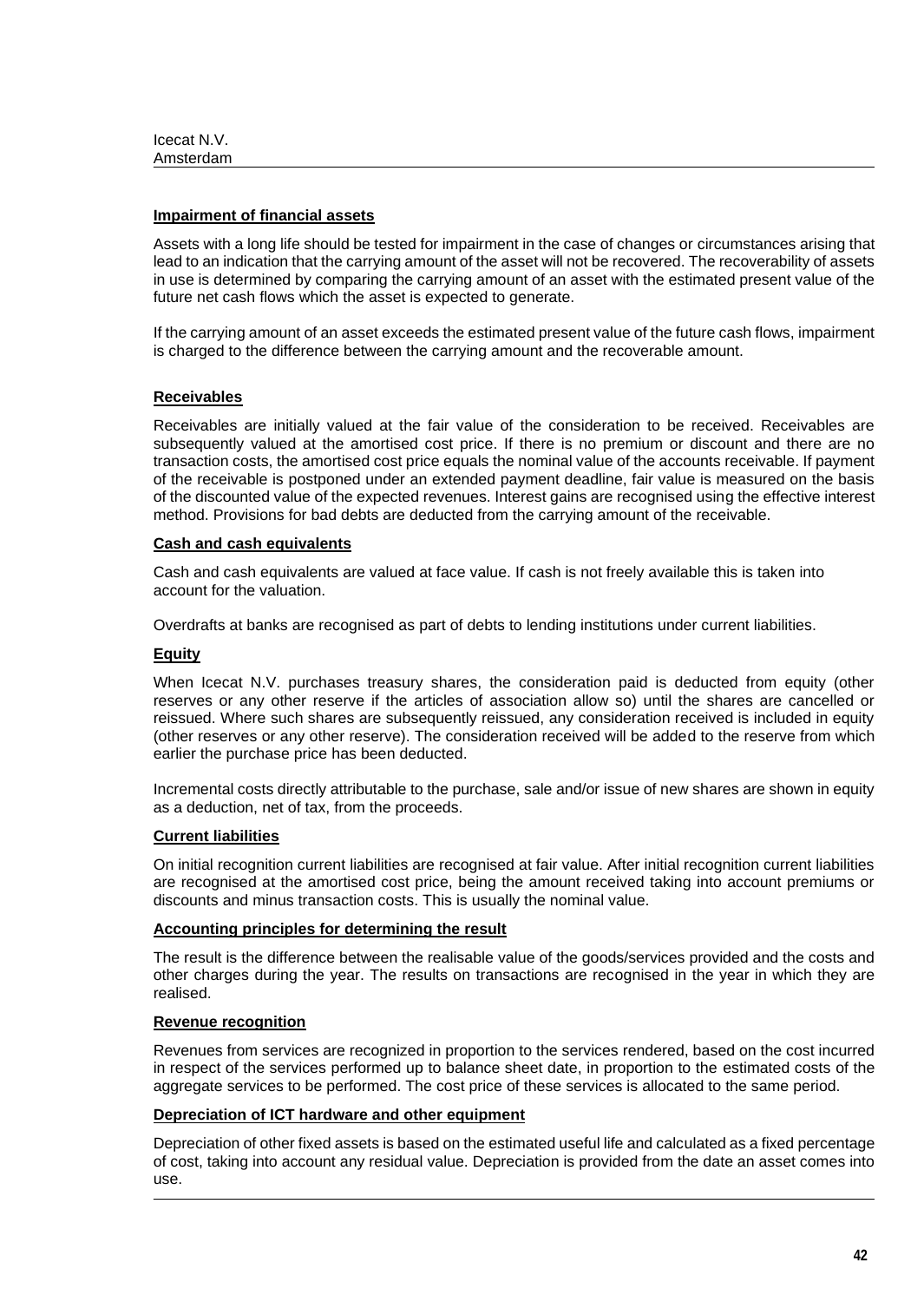### **Impairment of financial assets**

Assets with a long life should be tested for impairment in the case of changes or circumstances arising that lead to an indication that the carrying amount of the asset will not be recovered. The recoverability of assets in use is determined by comparing the carrying amount of an asset with the estimated present value of the future net cash flows which the asset is expected to generate.

If the carrying amount of an asset exceeds the estimated present value of the future cash flows, impairment is charged to the difference between the carrying amount and the recoverable amount.

# **Receivables**

Receivables are initially valued at the fair value of the consideration to be received. Receivables are subsequently valued at the amortised cost price. If there is no premium or discount and there are no transaction costs, the amortised cost price equals the nominal value of the accounts receivable. If payment of the receivable is postponed under an extended payment deadline, fair value is measured on the basis of the discounted value of the expected revenues. Interest gains are recognised using the effective interest method. Provisions for bad debts are deducted from the carrying amount of the receivable.

## **Cash and cash equivalents**

Cash and cash equivalents are valued at face value. If cash is not freely available this is taken into account for the valuation.

Overdrafts at banks are recognised as part of debts to lending institutions under current liabilities.

### **Equity**

When Icecat N.V. purchases treasury shares, the consideration paid is deducted from equity (other reserves or any other reserve if the articles of association allow so) until the shares are cancelled or reissued. Where such shares are subsequently reissued, any consideration received is included in equity (other reserves or any other reserve). The consideration received will be added to the reserve from which earlier the purchase price has been deducted.

Incremental costs directly attributable to the purchase, sale and/or issue of new shares are shown in equity as a deduction, net of tax, from the proceeds.

### **Current liabilities**

On initial recognition current liabilities are recognised at fair value. After initial recognition current liabilities are recognised at the amortised cost price, being the amount received taking into account premiums or discounts and minus transaction costs. This is usually the nominal value.

### **Accounting principles for determining the result**

The result is the difference between the realisable value of the goods/services provided and the costs and other charges during the year. The results on transactions are recognised in the year in which they are realised.

### **Revenue recognition**

Revenues from services are recognized in proportion to the services rendered, based on the cost incurred in respect of the services performed up to balance sheet date, in proportion to the estimated costs of the aggregate services to be performed. The cost price of these services is allocated to the same period.

### **Depreciation of ICT hardware and other equipment**

Depreciation of other fixed assets is based on the estimated useful life and calculated as a fixed percentage of cost, taking into account any residual value. Depreciation is provided from the date an asset comes into use.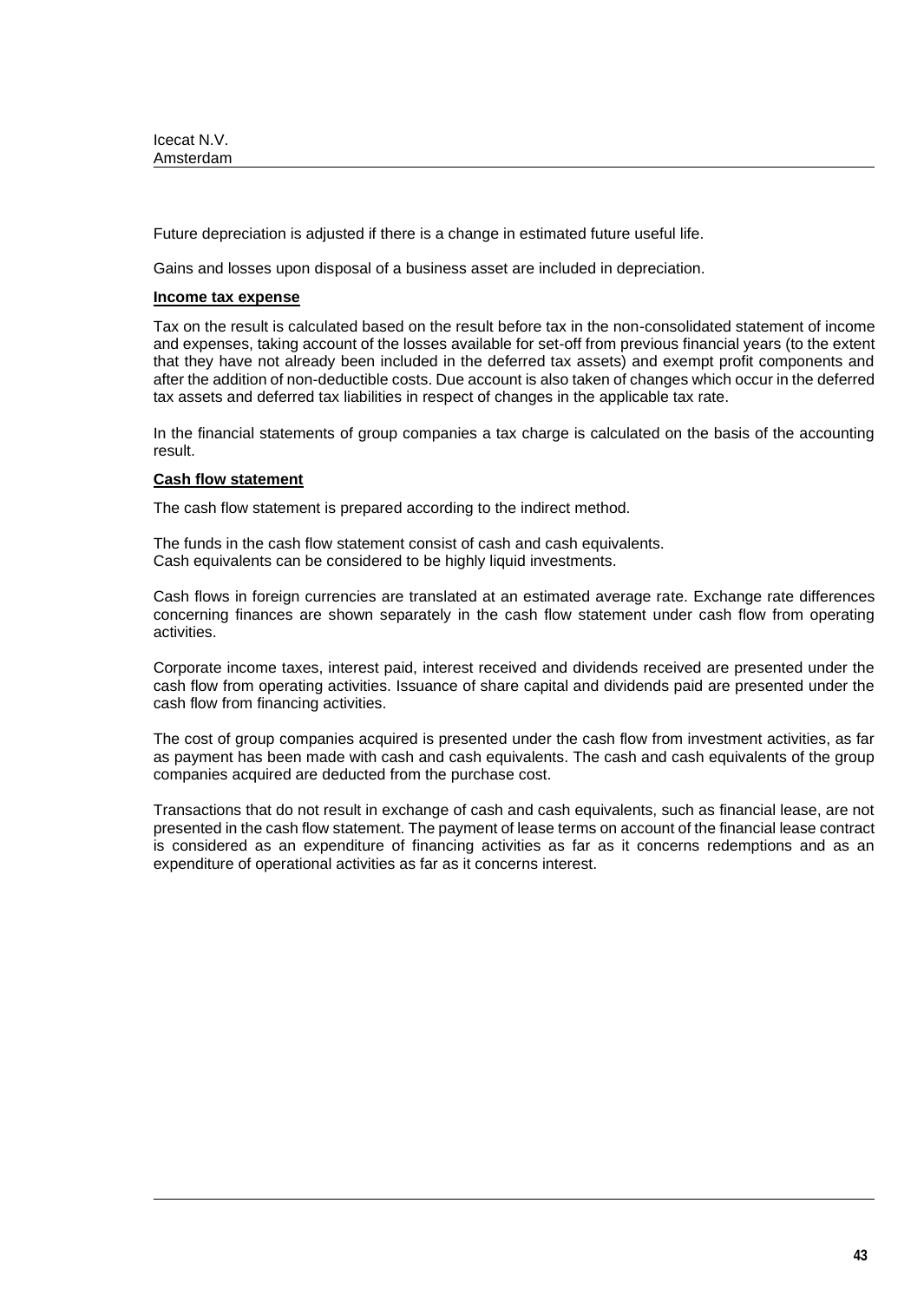Future depreciation is adjusted if there is a change in estimated future useful life.

Gains and losses upon disposal of a business asset are included in depreciation.

### **Income tax expense**

Tax on the result is calculated based on the result before tax in the non-consolidated statement of income and expenses, taking account of the losses available for set-off from previous financial years (to the extent that they have not already been included in the deferred tax assets) and exempt profit components and after the addition of non-deductible costs. Due account is also taken of changes which occur in the deferred tax assets and deferred tax liabilities in respect of changes in the applicable tax rate.

In the financial statements of group companies a tax charge is calculated on the basis of the accounting result.

# **Cash flow statement**

The cash flow statement is prepared according to the indirect method.

The funds in the cash flow statement consist of cash and cash equivalents. Cash equivalents can be considered to be highly liquid investments.

Cash flows in foreign currencies are translated at an estimated average rate. Exchange rate differences concerning finances are shown separately in the cash flow statement under cash flow from operating activities.

Corporate income taxes, interest paid, interest received and dividends received are presented under the cash flow from operating activities. Issuance of share capital and dividends paid are presented under the cash flow from financing activities.

The cost of group companies acquired is presented under the cash flow from investment activities, as far as payment has been made with cash and cash equivalents. The cash and cash equivalents of the group companies acquired are deducted from the purchase cost.

Transactions that do not result in exchange of cash and cash equivalents, such as financial lease, are not presented in the cash flow statement. The payment of lease terms on account of the financial lease contract is considered as an expenditure of financing activities as far as it concerns redemptions and as an expenditure of operational activities as far as it concerns interest.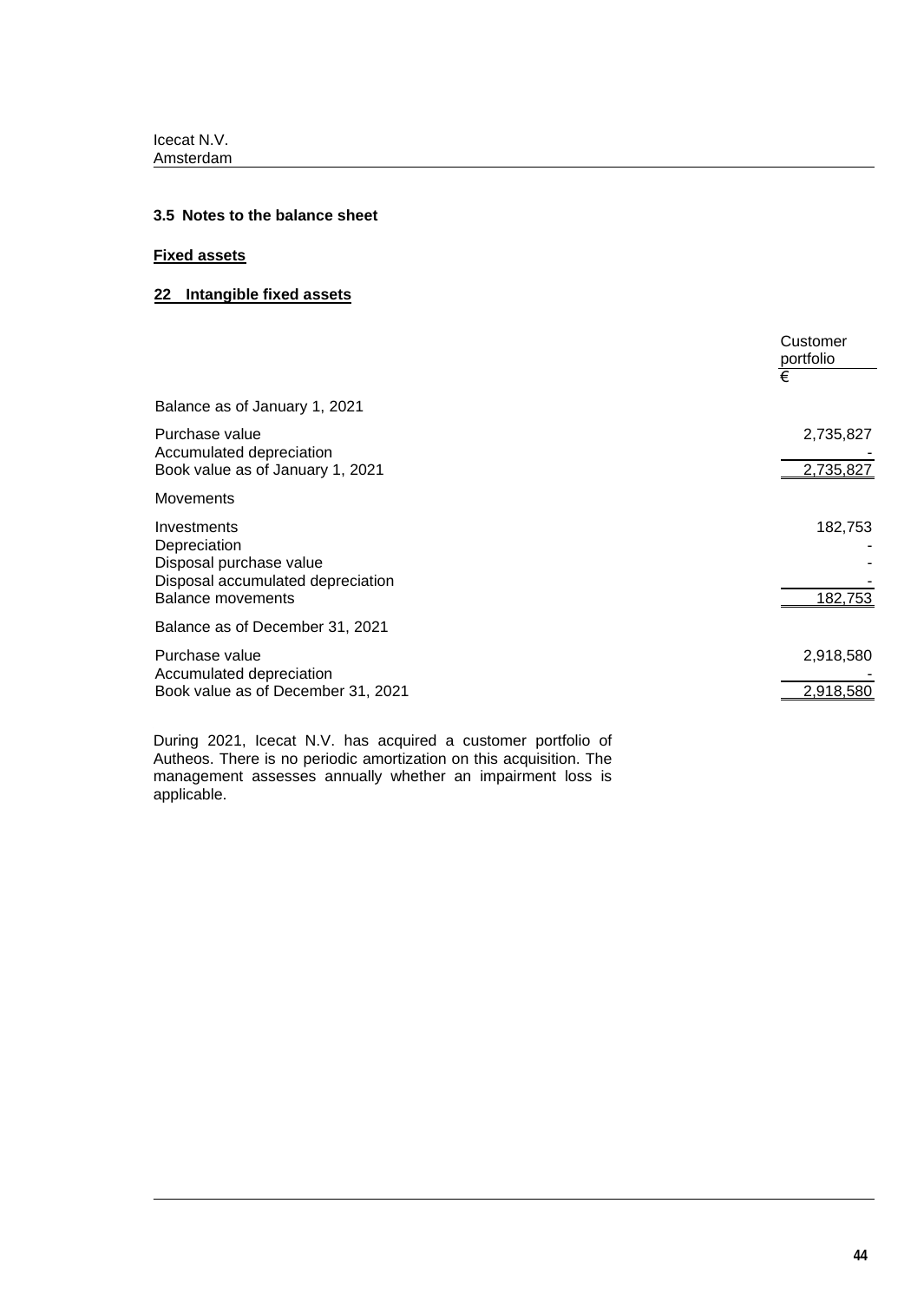# **3.5 Notes to the balance sheet**

# **Fixed assets**

# **22 Intangible fixed assets**

|                                                                                                                         | Customer<br>portfolio<br>€ |
|-------------------------------------------------------------------------------------------------------------------------|----------------------------|
| Balance as of January 1, 2021                                                                                           |                            |
| Purchase value<br>Accumulated depreciation<br>Book value as of January 1, 2021                                          | 2,735,827<br>2,735,827     |
| <b>Movements</b>                                                                                                        |                            |
| Investments<br>Depreciation<br>Disposal purchase value<br>Disposal accumulated depreciation<br><b>Balance movements</b> | 182,753<br>182,753         |
| Balance as of December 31, 2021                                                                                         |                            |
| Purchase value<br>Accumulated depreciation<br>Book value as of December 31, 2021                                        | 2,918,580<br>2,918,580     |

During 2021, Icecat N.V. has acquired a customer portfolio of Autheos. There is no periodic amortization on this acquisition. The management assesses annually whether an impairment loss is applicable.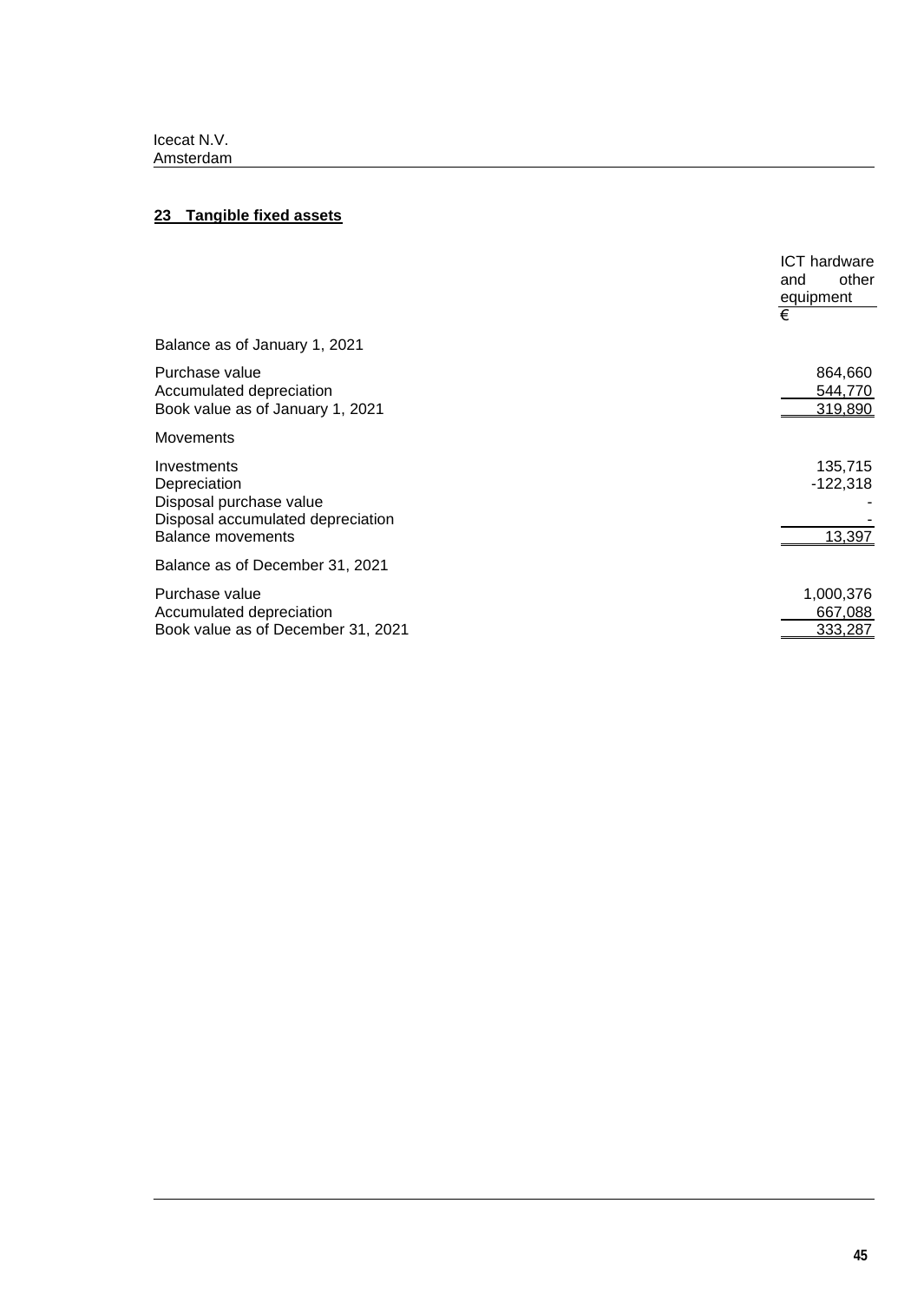# **23 Tangible fixed assets**

|                                                                                                                         | <b>ICT</b> hardware<br>other<br>and<br>equipment |
|-------------------------------------------------------------------------------------------------------------------------|--------------------------------------------------|
|                                                                                                                         | €                                                |
| Balance as of January 1, 2021                                                                                           |                                                  |
| Purchase value<br>Accumulated depreciation<br>Book value as of January 1, 2021                                          | 864,660<br>544,770<br>319,890                    |
| <b>Movements</b>                                                                                                        |                                                  |
| Investments<br>Depreciation<br>Disposal purchase value<br>Disposal accumulated depreciation<br><b>Balance movements</b> | 135,715<br>$-122,318$<br>13,397                  |
| Balance as of December 31, 2021                                                                                         |                                                  |
| Purchase value<br>Accumulated depreciation<br>Book value as of December 31, 2021                                        | 1,000,376<br>667,088<br>333,287                  |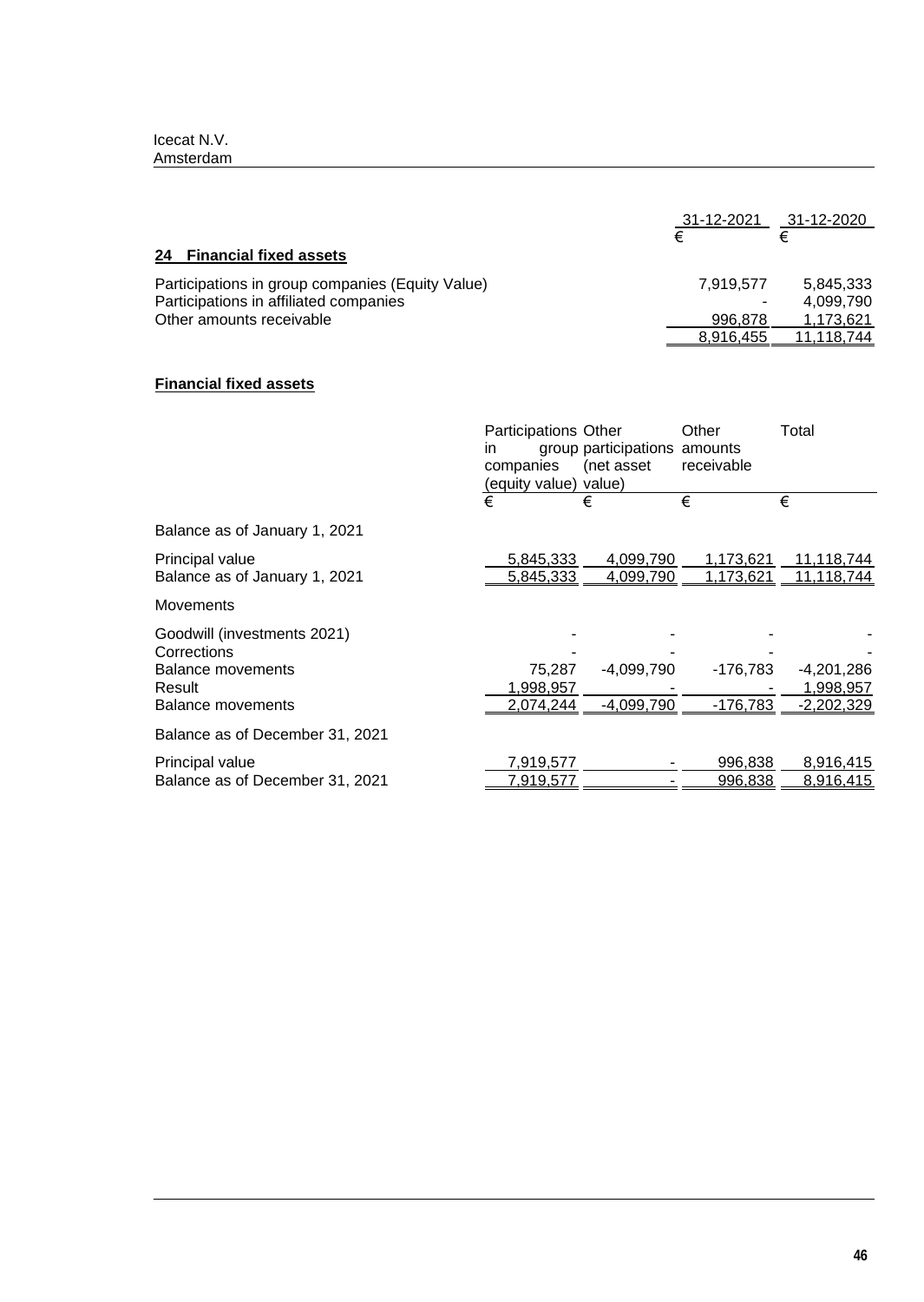|                                                  | 31-12-2021 | 31-12-2020 |
|--------------------------------------------------|------------|------------|
|                                                  | €          |            |
| 24 Financial fixed assets                        |            |            |
| Participations in group companies (Equity Value) | 7.919.577  | 5.845.333  |
| Participations in affiliated companies           |            | 4.099.790  |
| Other amounts receivable                         | 996.878    | 1.173.621  |
|                                                  | 8.916.455  | 11.118.744 |

# **Financial fixed assets**

|                                                                                                              | <b>Participations Other</b><br>in<br>companies<br>(equity value) value) | group participations amounts<br>(net asset | Other<br>receivable          | Total                                           |
|--------------------------------------------------------------------------------------------------------------|-------------------------------------------------------------------------|--------------------------------------------|------------------------------|-------------------------------------------------|
|                                                                                                              | €                                                                       | €                                          | €                            | €                                               |
| Balance as of January 1, 2021                                                                                |                                                                         |                                            |                              |                                                 |
| Principal value<br>Balance as of January 1, 2021                                                             | 5,845,333<br>5,845,333                                                  | 4,099,790<br>4,099,790                     | 1,173,621<br><u>173,621,</u> | 11,118,744<br><u>11,118,744 </u>                |
| <b>Movements</b>                                                                                             |                                                                         |                                            |                              |                                                 |
| Goodwill (investments 2021)<br>Corrections<br><b>Balance movements</b><br>Result<br><b>Balance movements</b> | 75,287<br>1,998,957<br><u>2,074,244</u>                                 | $-4,099,790$<br>$-4,099,790$               | -176,783<br>$-176,783$       | $-4,201,286$<br>1,998,957<br><u>-2,202,329 </u> |
| Balance as of December 31, 2021                                                                              |                                                                         |                                            |                              |                                                 |
| Principal value<br>Balance as of December 31, 2021                                                           | 7,919,577<br>7,919,577                                                  |                                            | 996,838<br>996,838           | 8,916,415<br>8,916,415                          |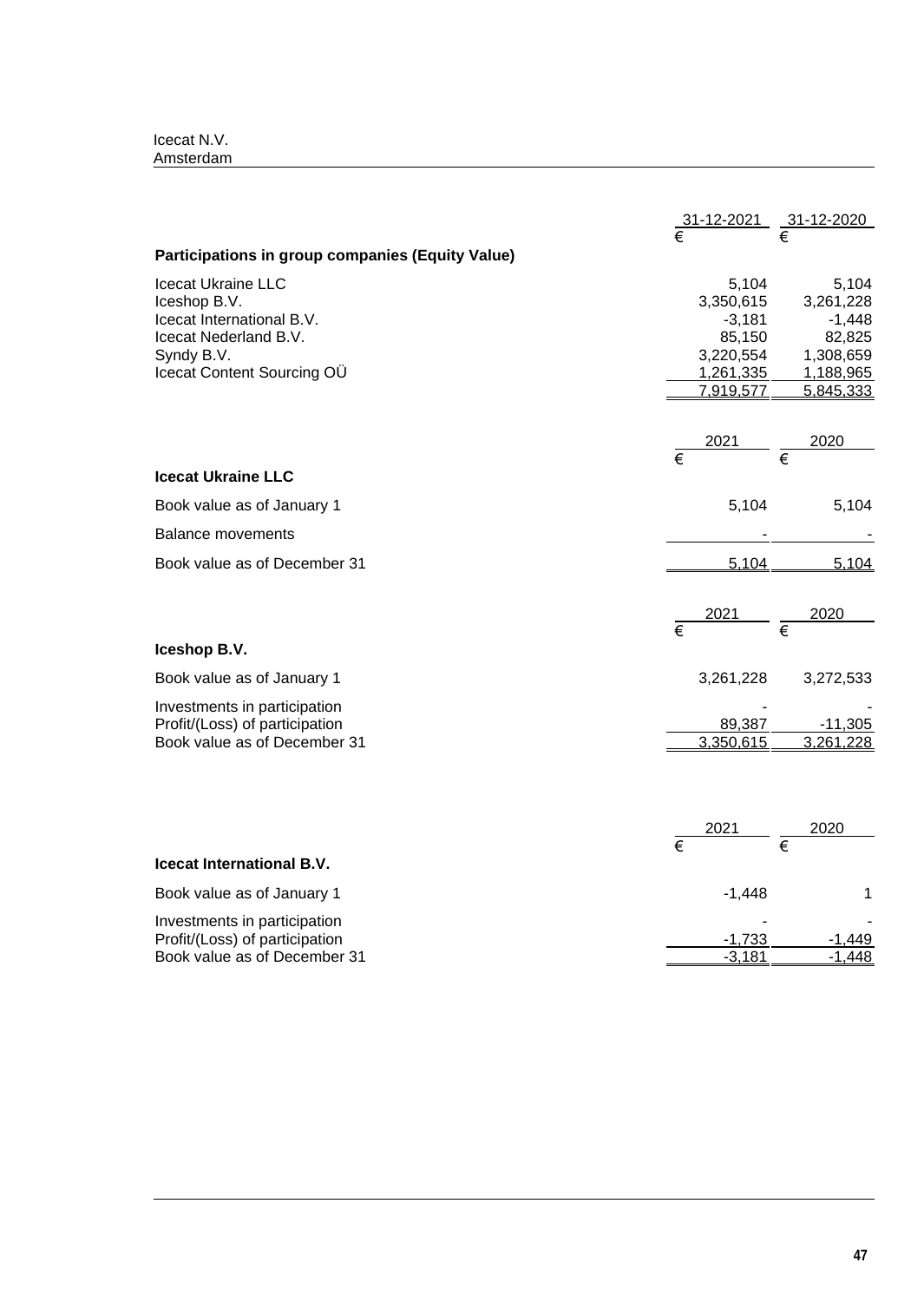|                                                                                                                                             |                       | $\frac{31-12-2021}{\epsilon}$ $\frac{31-12-2020}{\epsilon}$                     |                                                                                 |
|---------------------------------------------------------------------------------------------------------------------------------------------|-----------------------|---------------------------------------------------------------------------------|---------------------------------------------------------------------------------|
| Participations in group companies (Equity Value)                                                                                            |                       |                                                                                 |                                                                                 |
| <b>Icecat Ukraine LLC</b><br>Iceshop B.V.<br>Icecat International B.V.<br>Icecat Nederland B.V.<br>Syndy B.V.<br>Icecat Content Sourcing OU |                       | 5,104<br>3,350,615<br>$-3,181$<br>85,150<br>3,220,554<br>1,261,335<br>7,919,577 | 5,104<br>3,261,228<br>$-1,448$<br>82,825<br>1,308,659<br>1,188,965<br>5,845,333 |
|                                                                                                                                             |                       |                                                                                 |                                                                                 |
|                                                                                                                                             |                       | $rac{2021}{\epsilon}$ $rac{2020}{\epsilon}$                                     |                                                                                 |
| <b>Icecat Ukraine LLC</b>                                                                                                                   |                       |                                                                                 |                                                                                 |
| Book value as of January 1                                                                                                                  |                       | 5,104                                                                           | 5,104                                                                           |
| <b>Balance movements</b>                                                                                                                    |                       |                                                                                 |                                                                                 |
| Book value as of December 31                                                                                                                |                       | 5,104                                                                           | 5,104                                                                           |
|                                                                                                                                             | $\overline{\epsilon}$ | $\frac{2021}{\epsilon}$ $\frac{2020}{\epsilon}$                                 |                                                                                 |
| Iceshop B.V.                                                                                                                                |                       |                                                                                 |                                                                                 |
| Book value as of January 1                                                                                                                  |                       | 3,261,228                                                                       | 3,272,533                                                                       |
| Investments in participation<br>Profit/(Loss) of participation<br>Book value as of December 31                                              |                       | 89,387<br>3,350,615                                                             | $-11,305$<br>3,261,228                                                          |
|                                                                                                                                             | $\overline{\epsilon}$ | $\frac{2021}{\epsilon}$                                                         | <u>2020</u>                                                                     |
| Icecat International B.V.                                                                                                                   |                       |                                                                                 |                                                                                 |
| Book value as of January 1                                                                                                                  |                       | $-1,448$                                                                        | $\mathbf 1$                                                                     |
| Investments in participation<br>Profit/(Loss) of participation<br>Book value as of December 31                                              |                       | $-1,733$<br>$-3,181$                                                            |                                                                                 |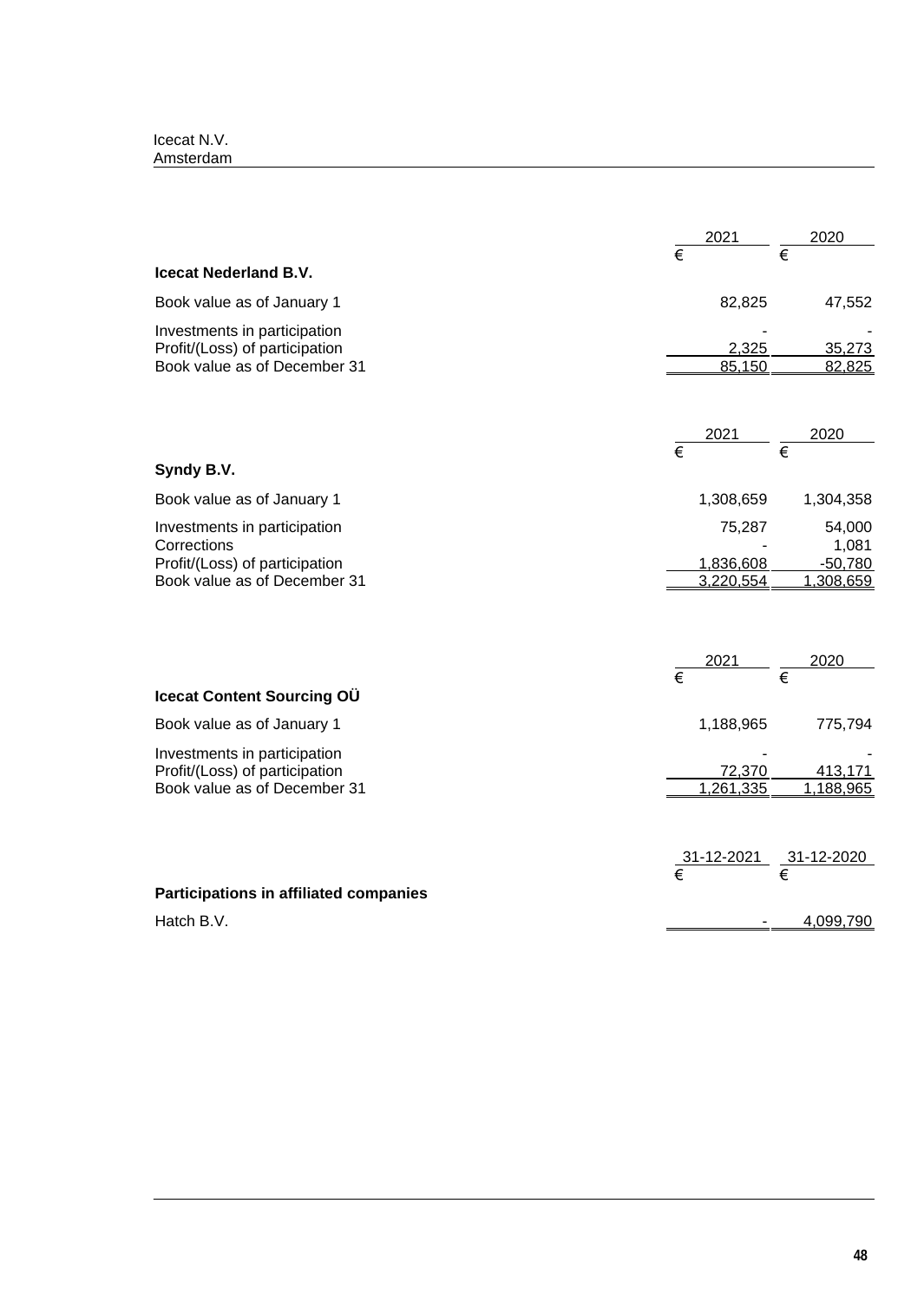|                                                                | 2021                  | 2020                                                        |
|----------------------------------------------------------------|-----------------------|-------------------------------------------------------------|
|                                                                | $\overline{\epsilon}$ |                                                             |
| <b>Icecat Nederland B.V.</b>                                   |                       |                                                             |
| Book value as of January 1                                     | 82,825                | 47,552                                                      |
| Investments in participation                                   |                       |                                                             |
| Profit/(Loss) of participation                                 | 2,325                 | 35,273                                                      |
| Book value as of December 31                                   | 85,150                | 82,825                                                      |
|                                                                |                       |                                                             |
|                                                                | 2021                  | 2020                                                        |
| Syndy B.V.                                                     | $\overline{\epsilon}$ | $\overline{\epsilon}$                                       |
| Book value as of January 1                                     | 1,308,659             | 1,304,358                                                   |
| Investments in participation<br>Corrections                    | 75,287                | 54,000<br>1,081                                             |
| Profit/(Loss) of participation                                 | 1,836,608             | $-50,780$                                                   |
| Book value as of December 31                                   | 3,220,554             | 1,308,659                                                   |
|                                                                |                       |                                                             |
|                                                                |                       |                                                             |
|                                                                | $\overline{\epsilon}$ | 2020<br>$\overline{\epsilon}$                               |
| Icecat Content Sourcing OÜ                                     |                       |                                                             |
| Book value as of January 1                                     | 1,188,965             | 775,794                                                     |
| Investments in participation                                   |                       |                                                             |
| Profit/(Loss) of participation<br>Book value as of December 31 | 72,370<br>1,261,335   | 413,171<br>1,188,965                                        |
|                                                                |                       |                                                             |
|                                                                |                       |                                                             |
|                                                                |                       | $\frac{31-12-2021}{\epsilon}$ $\frac{31-12-2020}{\epsilon}$ |
| Participations in affiliated companies                         |                       |                                                             |
| Hatch B.V.                                                     |                       | 4,099,790                                                   |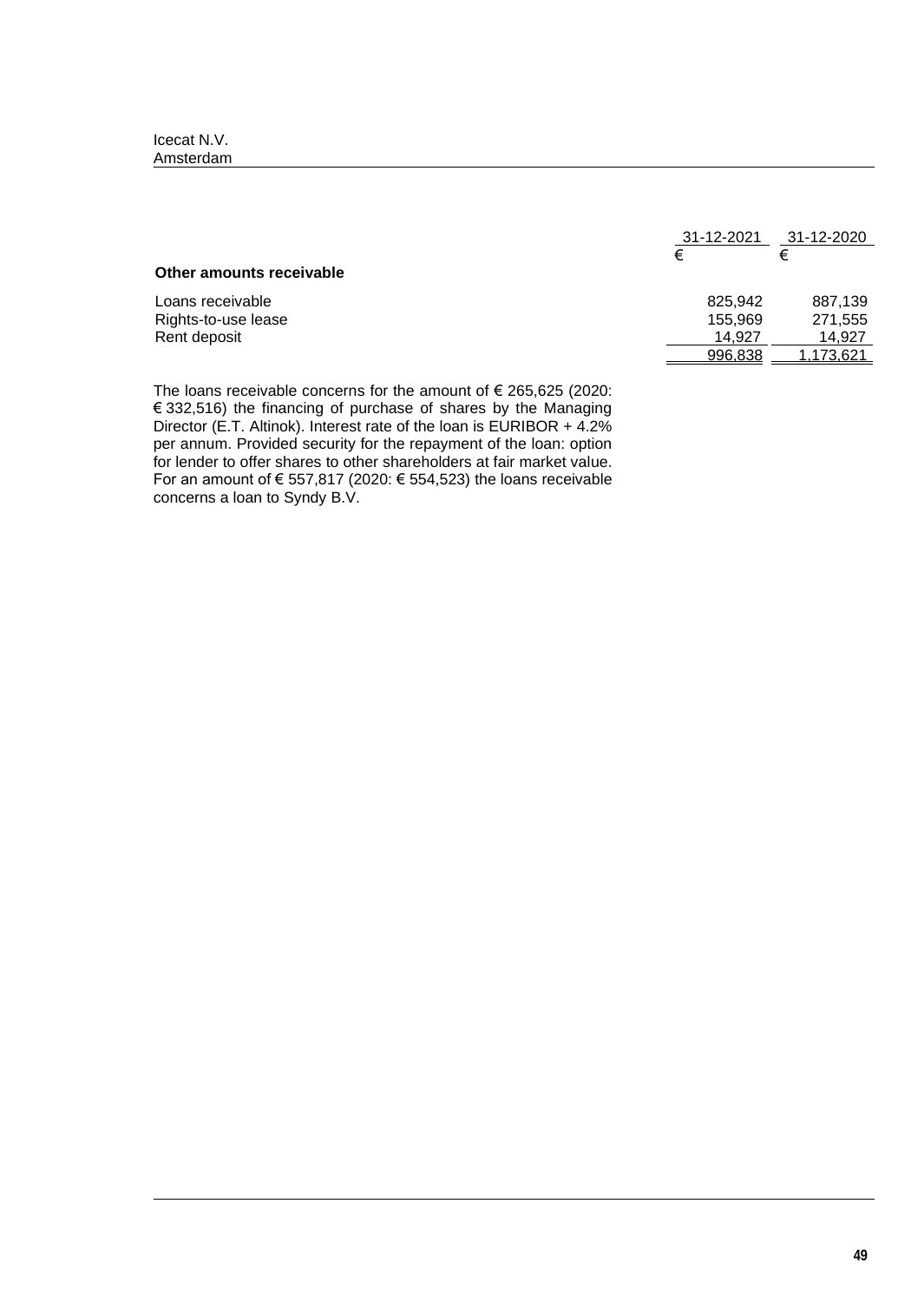| 31-12-2021 | 31-12-2020 |
|------------|------------|
| €          | €          |
|            |            |
| 825.942    | 887.139    |
| 155.969    | 271,555    |
| 14.927     | 14.927     |
| 996,838    | .173,621   |
|            |            |

The loans receivable concerns for the amount of  $\epsilon$  265,625 (2020: € 332,516) the financing of purchase of shares by the Managing Director (E.T. Altinok). Interest rate of the loan is EURIBOR + 4.2% per annum. Provided security for the repayment of the loan: option for lender to offer shares to other shareholders at fair market value. For an amount of € 557,817 (2020: € 554,523) the loans receivable concerns a loan to Syndy B.V.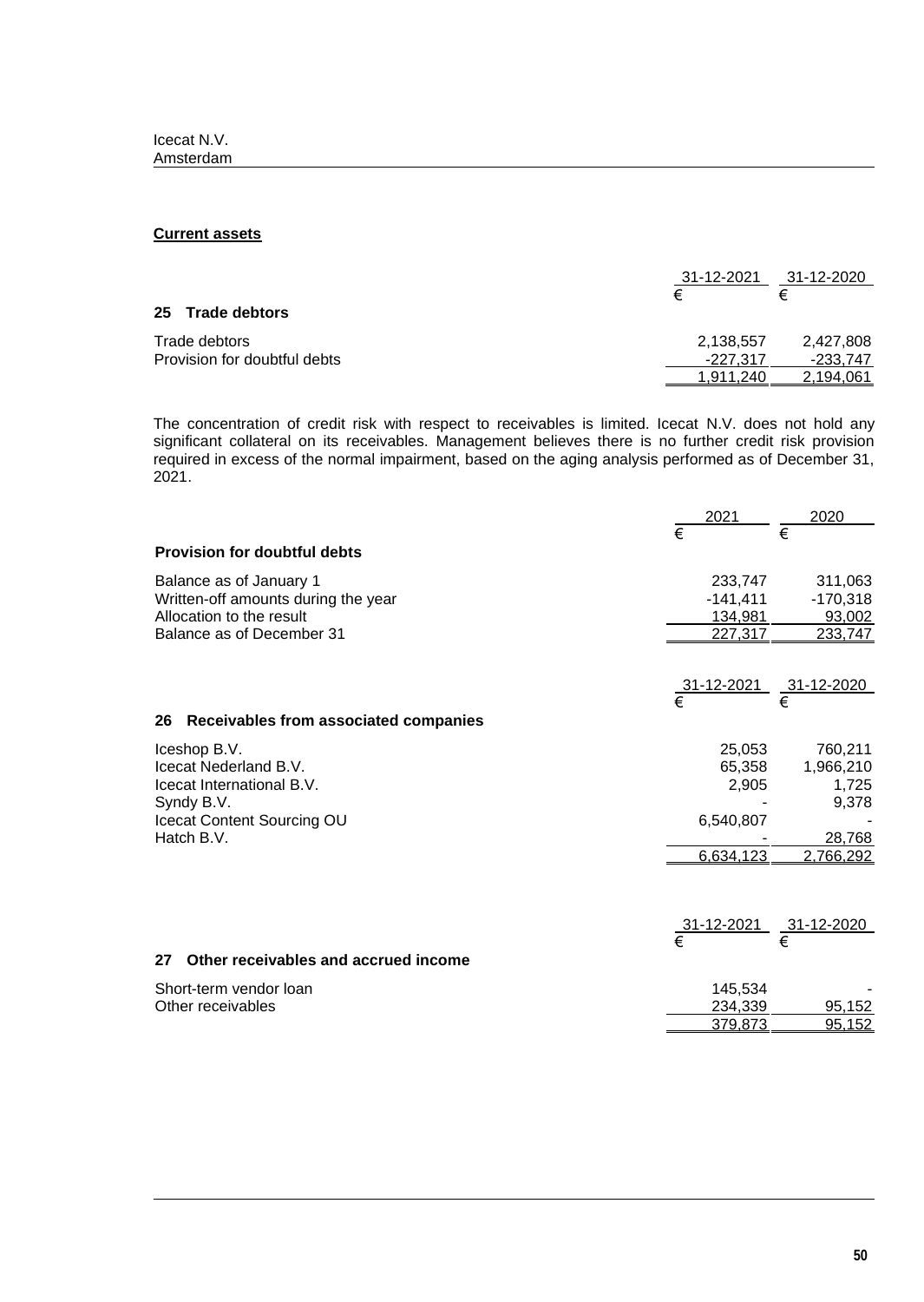## **Current assets**

| 31-12-2021 |           |
|------------|-----------|
| €          | €         |
|            |           |
| 2,138,557  | 2,427,808 |
| -227.317   | -233.747  |
| 1.911.240  | 2.194.061 |
|            |           |

The concentration of credit risk with respect to receivables is limited. Icecat N.V. does not hold any significant collateral on its receivables. Management believes there is no further credit risk provision required in excess of the normal impairment, based on the aging analysis performed as of December 31, 2021.

|                                            | 2021                     | 2020              |
|--------------------------------------------|--------------------------|-------------------|
|                                            | $\overline{\epsilon}$    | €                 |
| <b>Provision for doubtful debts</b>        |                          |                   |
| Balance as of January 1                    | 233,747                  | 311,063           |
| Written-off amounts during the year        | $-141,411$               | $-170,318$        |
| Allocation to the result                   | 134,981                  | 93,002            |
| Balance as of December 31                  | 227,317                  | 233,747           |
|                                            | <u>_31-12-2021_</u><br>€ | <u>31-12-2020</u> |
|                                            |                          | €                 |
| 26 Receivables from associated companies   |                          |                   |
| Iceshop B.V.                               | 25,053                   | 760,211           |
| Icecat Nederland B.V.                      | 65,358                   | 1,966,210         |
| Icecat International B.V.                  | 2,905                    | 1,725             |
| Syndy B.V.                                 |                          | 9,378             |
| Icecat Content Sourcing OU                 | 6,540,807                |                   |
| Hatch B.V.                                 |                          | 28,768            |
|                                            | 6,634,123                | 2,766,292         |
|                                            |                          |                   |
|                                            | 31-12-2021               | 31-12-2020        |
|                                            | $\overline{\epsilon}$    | €                 |
| Other receivables and accrued income<br>27 |                          |                   |
| Short-term vendor loan                     | 145,534                  |                   |
| Other receivables                          | 234,339                  | 95,152            |
|                                            | 379,873                  | 95,152            |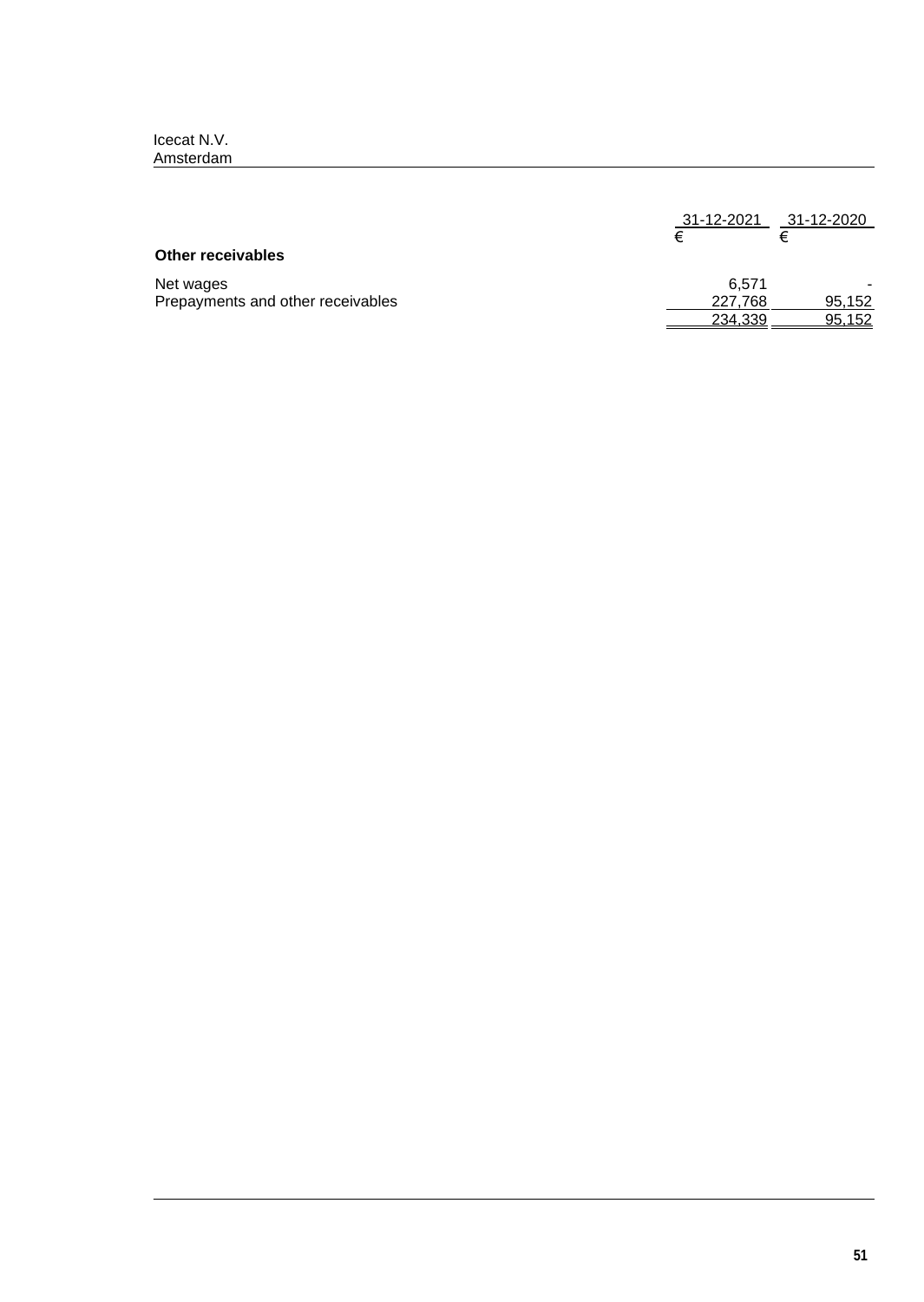|                                   | 31-12-2021<br>€ | 31-12-2020<br>ŧ |
|-----------------------------------|-----------------|-----------------|
| <b>Other receivables</b>          |                 |                 |
| Net wages                         | 6.571           |                 |
| Prepayments and other receivables | 227,768         | 95,152          |
|                                   | 234,339         | 95,152          |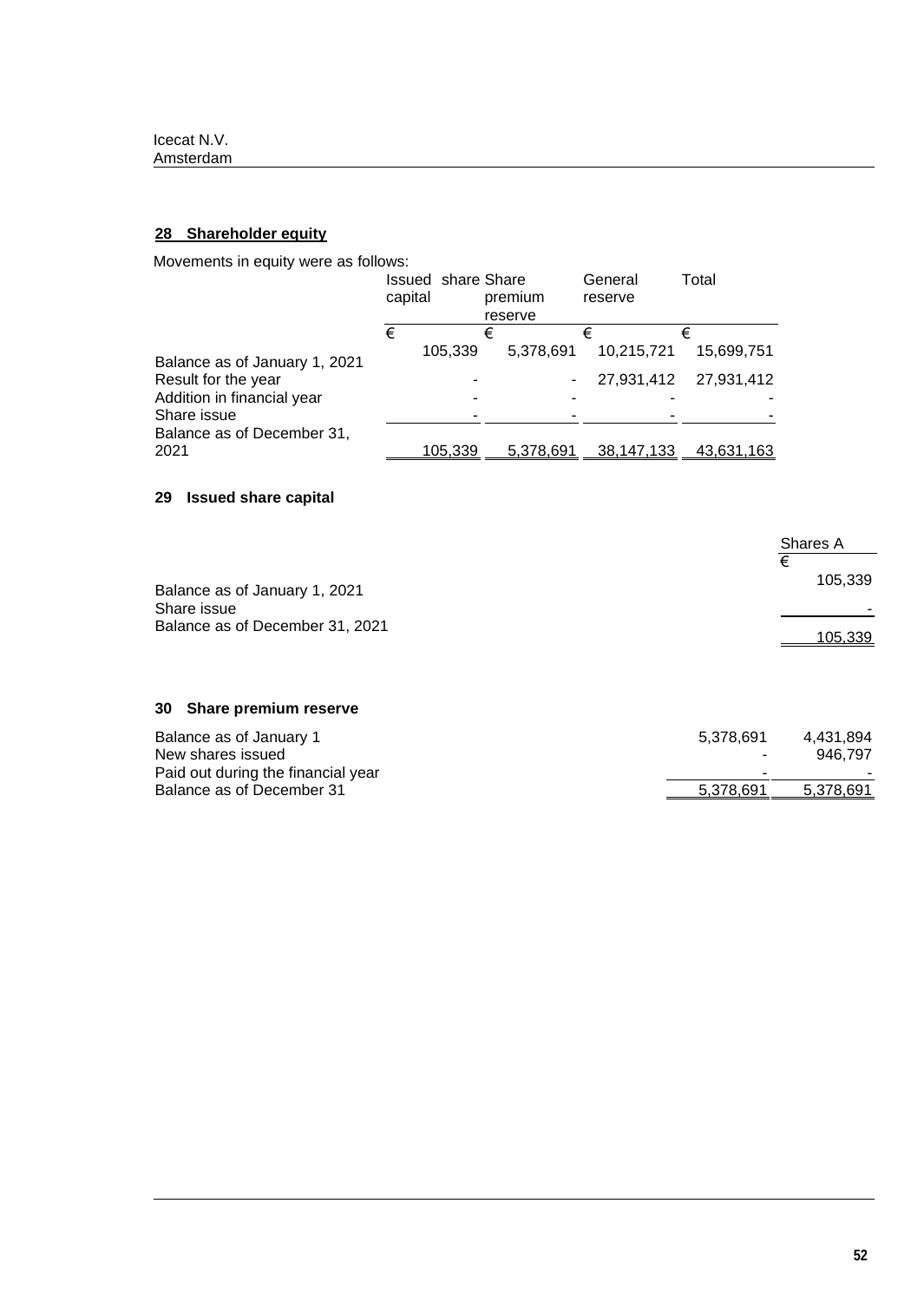# **28 Shareholder equity**

Movements in equity were as follows:

|                               | <b>Issued share Share</b><br>capital |                |   | premium<br>reserve | General<br>reserve | Total      |
|-------------------------------|--------------------------------------|----------------|---|--------------------|--------------------|------------|
|                               | €                                    |                | € |                    | €                  | €          |
| Balance as of January 1, 2021 |                                      | 105,339        |   | 5.378.691          | 10,215,721         | 15.699.751 |
| Result for the year           |                                      |                |   | -                  | 27,931,412         | 27,931,412 |
| Addition in financial year    |                                      |                |   |                    |                    |            |
| Share issue                   |                                      |                |   |                    |                    |            |
| Balance as of December 31,    |                                      |                |   |                    |                    |            |
| 2021                          |                                      | <u>105,339</u> |   | 5,378,691          | 38.147.133         | 43.631.163 |

# **29 Issued share capital**

|                                                | Shares A |
|------------------------------------------------|----------|
| Balance as of January 1, 2021                  | 105,339  |
| Share issue<br>Balance as of December 31, 2021 | 105,339  |

# **30 Share premium reserve**

| Balance as of January 1            | 5.378.691 | 4.431.894 |
|------------------------------------|-----------|-----------|
| New shares issued                  |           | 946.797   |
| Paid out during the financial year | -         | -         |
| Balance as of December 31          | 5.378.691 | 5,378,691 |
|                                    |           |           |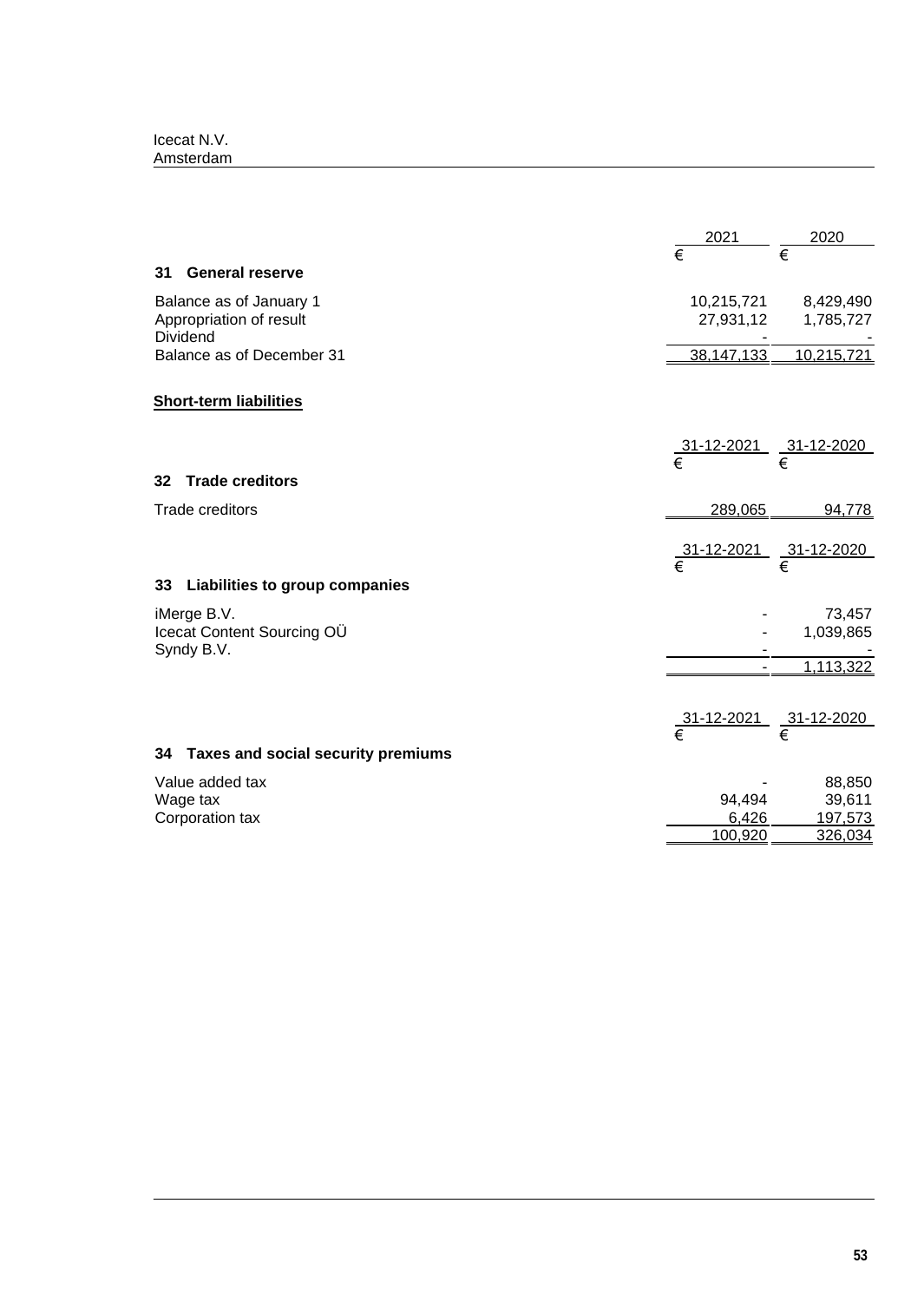|                             |                                       | 2021                                                        | 2020       |
|-----------------------------|---------------------------------------|-------------------------------------------------------------|------------|
|                             |                                       | $\overline{\epsilon}$                                       | €          |
| 31                          | <b>General reserve</b>                |                                                             |            |
| Balance as of January 1     |                                       | 10,215,721                                                  | 8,429,490  |
| Appropriation of result     |                                       | 27,931,12                                                   | 1,785,727  |
| Dividend                    |                                       | 38,147,133                                                  | 10,215,721 |
|                             | Balance as of December 31             |                                                             |            |
|                             | <b>Short-term liabilities</b>         |                                                             |            |
|                             |                                       |                                                             |            |
|                             |                                       | $\frac{31-12-2021}{\epsilon}$ $\frac{31-12-2020}{\epsilon}$ |            |
| 32                          | <b>Trade creditors</b>                |                                                             |            |
|                             | <b>Trade creditors</b>                | 289,065                                                     | 94,778     |
|                             |                                       |                                                             |            |
|                             |                                       | $\frac{31-12-2021}{\epsilon}$ $\frac{31-12-2020}{\epsilon}$ |            |
|                             |                                       |                                                             |            |
| 33                          | Liabilities to group companies        |                                                             |            |
|                             | iMerge B.V.                           |                                                             | 73,457     |
|                             | Icecat Content Sourcing OU            |                                                             | 1,039,865  |
|                             | Syndy B.V.                            |                                                             | 1,113,322  |
|                             |                                       |                                                             |            |
|                             |                                       |                                                             |            |
|                             |                                       | <u>31-12-2021 31-12-2020</u><br>€                           |            |
|                             | 34 Taxes and social security premiums |                                                             |            |
|                             | Value added tax                       |                                                             | 88,850     |
| Wage tax<br>Corporation tax |                                       | 94,494                                                      | 39,611     |
|                             |                                       | 6,426                                                       | 197,573    |
|                             |                                       | 100,920                                                     | 326,034    |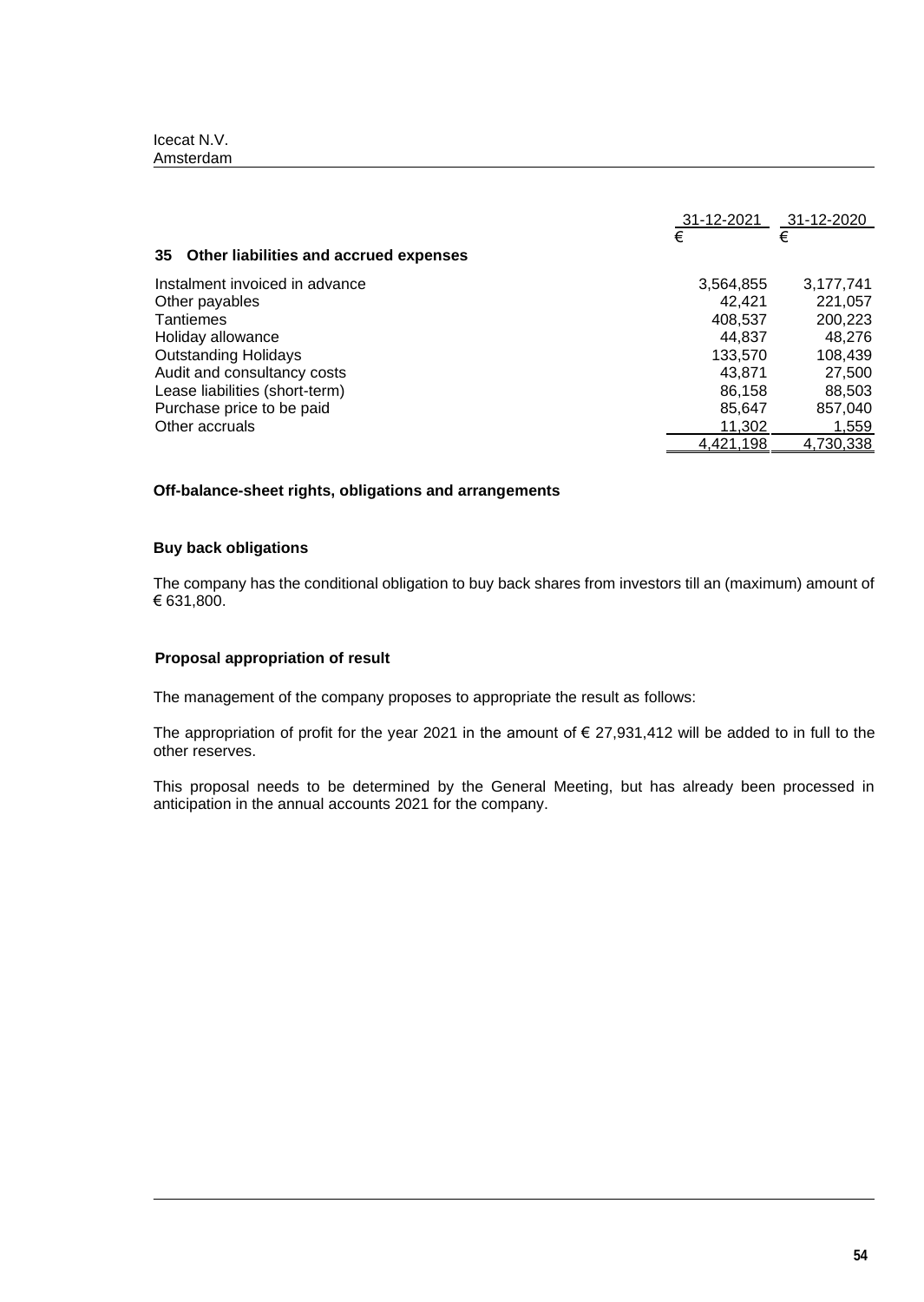| Icecat N.V. |  |
|-------------|--|
| Amsterdam   |  |

| Other liabilities and accrued expenses<br>35 | 31-12-2021<br>€ | 31-12-2020<br>€ |
|----------------------------------------------|-----------------|-----------------|
| Instalment invoiced in advance               | 3,564,855       | 3,177,741       |
| Other payables                               | 42.421          | 221,057         |
| <b>Tantiemes</b>                             | 408,537         | 200,223         |
| Holiday allowance                            | 44.837          | 48,276          |
| <b>Outstanding Holidays</b>                  | 133,570         | 108,439         |
| Audit and consultancy costs                  | 43.871          | 27,500          |
| Lease liabilities (short-term)               | 86.158          | 88.503          |
| Purchase price to be paid                    | 85,647          | 857,040         |
| Other accruals                               | 11.302          | 1,559           |
|                                              | 4.421.198       | 4,730,338       |

## **Off-balance-sheet rights, obligations and arrangements**

# **Buy back obligations**

The company has the conditional obligation to buy back shares from investors till an (maximum) amount of € 631,800.

# **Proposal appropriation of result**

The management of the company proposes to appropriate the result as follows:

The appropriation of profit for the year 2021 in the amount of  $\epsilon$  27,931,412 will be added to in full to the other reserves.

This proposal needs to be determined by the General Meeting, but has already been processed in anticipation in the annual accounts 2021 for the company.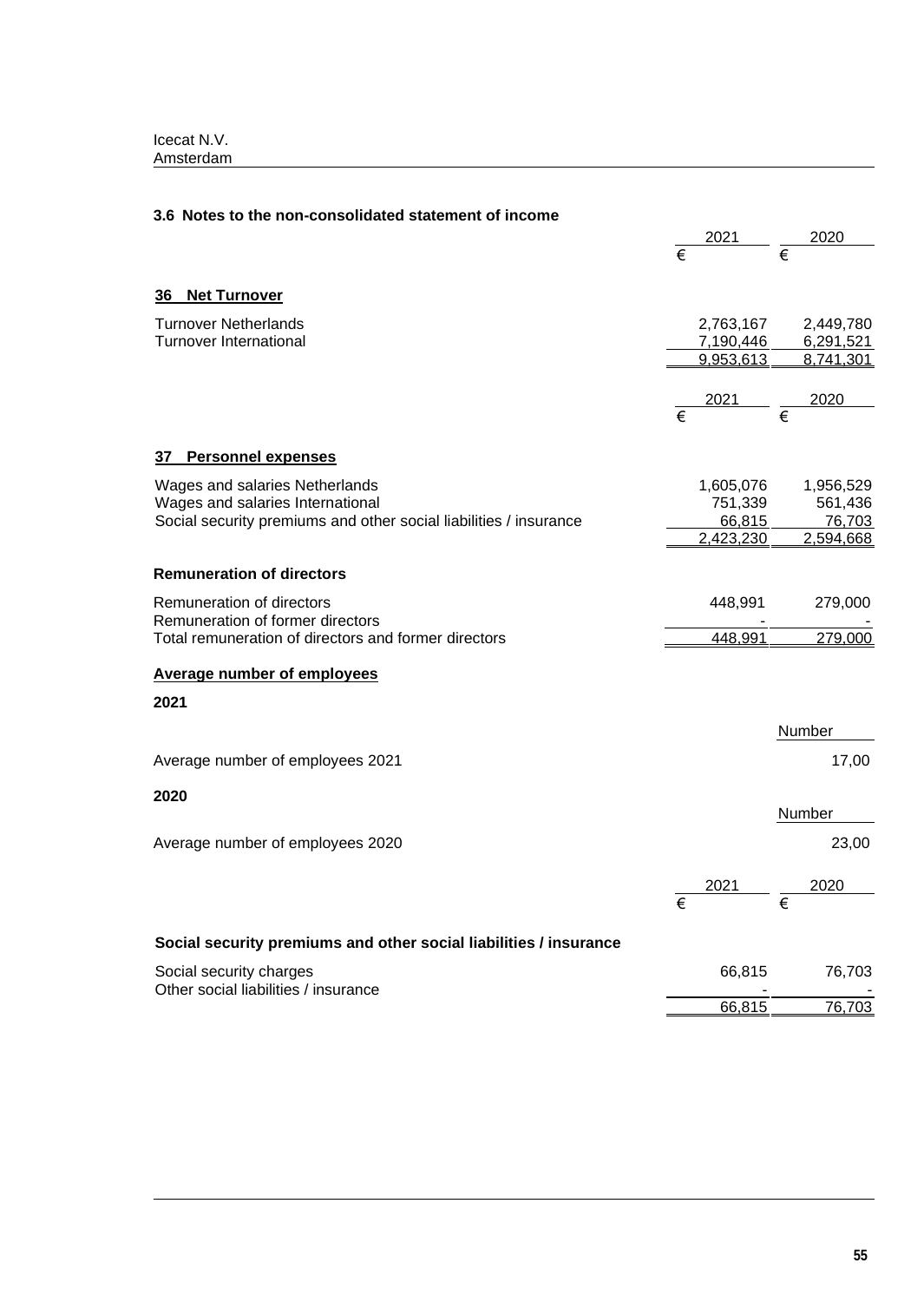| 3.6 Notes to the non-consolidated statement of income                                    |                       |           |   |           |
|------------------------------------------------------------------------------------------|-----------------------|-----------|---|-----------|
|                                                                                          |                       | 2021      |   | 2020      |
|                                                                                          | €                     |           | € |           |
| <b>Net Turnover</b><br>36                                                                |                       |           |   |           |
| <b>Turnover Netherlands</b>                                                              |                       | 2,763,167 |   | 2,449,780 |
| <b>Turnover International</b>                                                            |                       | 7,190,446 |   | 6,291,521 |
|                                                                                          |                       | 9,953,613 |   | 8,741,301 |
|                                                                                          |                       | 2021      |   | 2020      |
|                                                                                          | $\overline{\epsilon}$ |           | € |           |
| <b>Personnel expenses</b><br>37                                                          |                       |           |   |           |
| Wages and salaries Netherlands                                                           |                       | 1,605,076 |   | 1,956,529 |
| Wages and salaries International                                                         |                       | 751,339   |   | 561,436   |
| Social security premiums and other social liabilities / insurance                        |                       | 66,815    |   | 76,703    |
|                                                                                          |                       | 2,423,230 |   | 2,594,668 |
| <b>Remuneration of directors</b>                                                         |                       |           |   |           |
| Remuneration of directors                                                                |                       | 448,991   |   | 279,000   |
| Remuneration of former directors<br>Total remuneration of directors and former directors |                       | 448,991   |   | 279,000   |
| <b>Average number of employees</b>                                                       |                       |           |   |           |
| 2021                                                                                     |                       |           |   |           |
|                                                                                          |                       |           |   | Number    |
| Average number of employees 2021                                                         |                       |           |   | 17,00     |
| 2020                                                                                     |                       |           |   | Number    |
|                                                                                          |                       |           |   |           |
| Average number of employees 2020                                                         |                       |           |   | 23,00     |
|                                                                                          |                       | 2021      |   | 2020      |
|                                                                                          | €                     |           | € |           |
| Social security premiums and other social liabilities / insurance                        |                       |           |   |           |
| Social security charges<br>Other social liabilities / insurance                          |                       | 66,815    |   | 76,703    |
|                                                                                          |                       | 66,815    |   | 76,703    |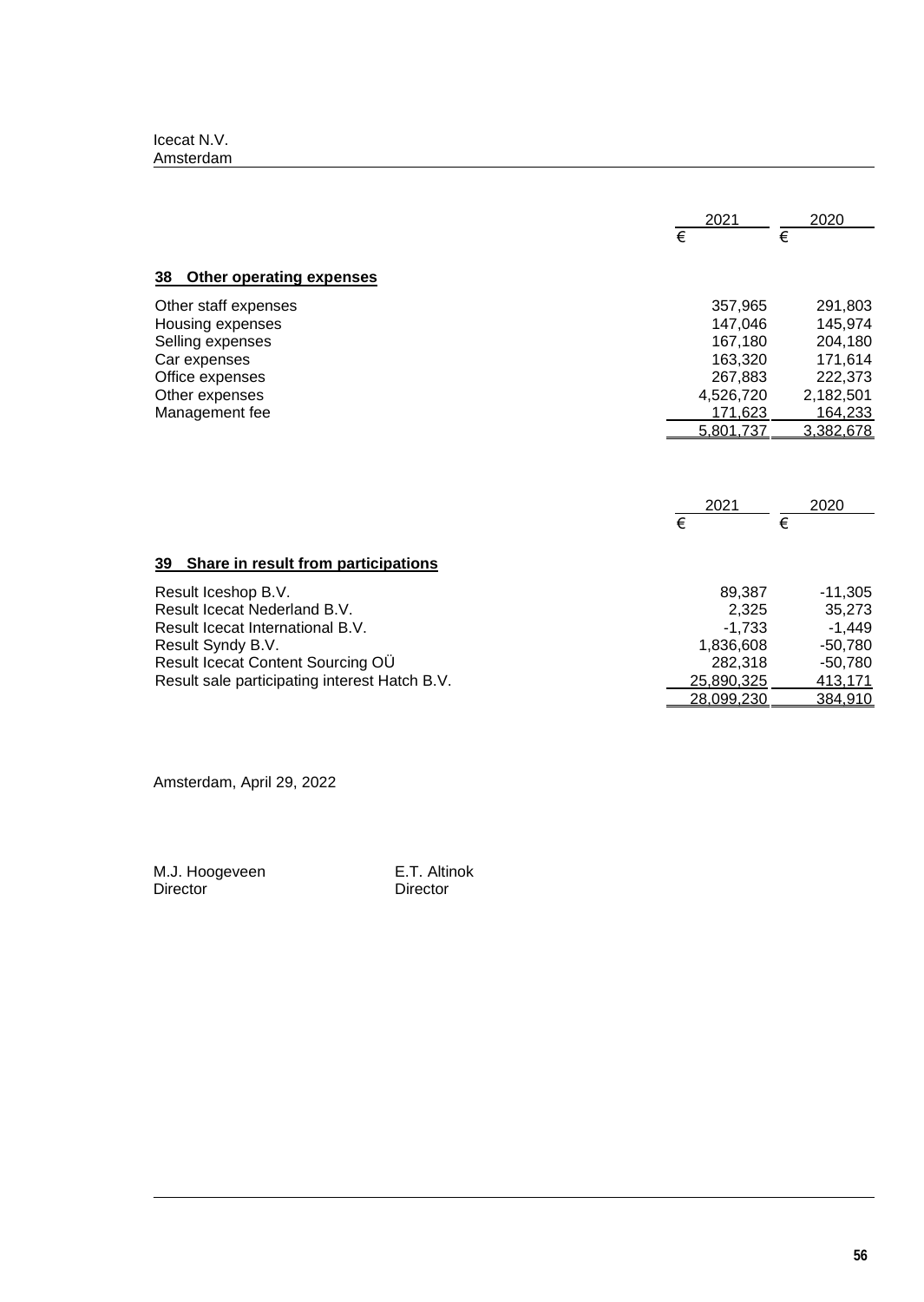|                                               | 2021              | 2020      |
|-----------------------------------------------|-------------------|-----------|
|                                               | €                 | €         |
| <b>Other operating expenses</b><br>38         |                   |           |
| Other staff expenses                          | 357,965           | 291,803   |
| Housing expenses                              | 147.046           | 145,974   |
| Selling expenses                              | 167,180           | 204,180   |
| Car expenses                                  | 163,320           | 171,614   |
| Office expenses                               | 267,883           | 222,373   |
| Other expenses                                | 4,526,720         | 2,182,501 |
| Management fee                                | 171,623           | 164,233   |
|                                               | 5,801,737         | 3,382,678 |
|                                               | 2021<br>€         | 2020<br>€ |
| 39 Share in result from participations        |                   |           |
| Result Iceshop B.V.                           | 89,387            | $-11,305$ |
| Result Icecat Nederland B.V.                  | 2,325             | 35,273    |
| Result Icecat International B.V.              | $-1,733$          | $-1,449$  |
| Result Syndy B.V.                             | 1,836,608         | $-50,780$ |
| Result Icecat Content Sourcing OU             | 282,318           | $-50,780$ |
| Result sale participating interest Hatch B.V. | 25,890,325        | 413,171   |
|                                               | <u>28,099,230</u> | 384,910   |

Amsterdam, April 29, 2022

M.J. Hoogeveen E.T. Altinok Director Director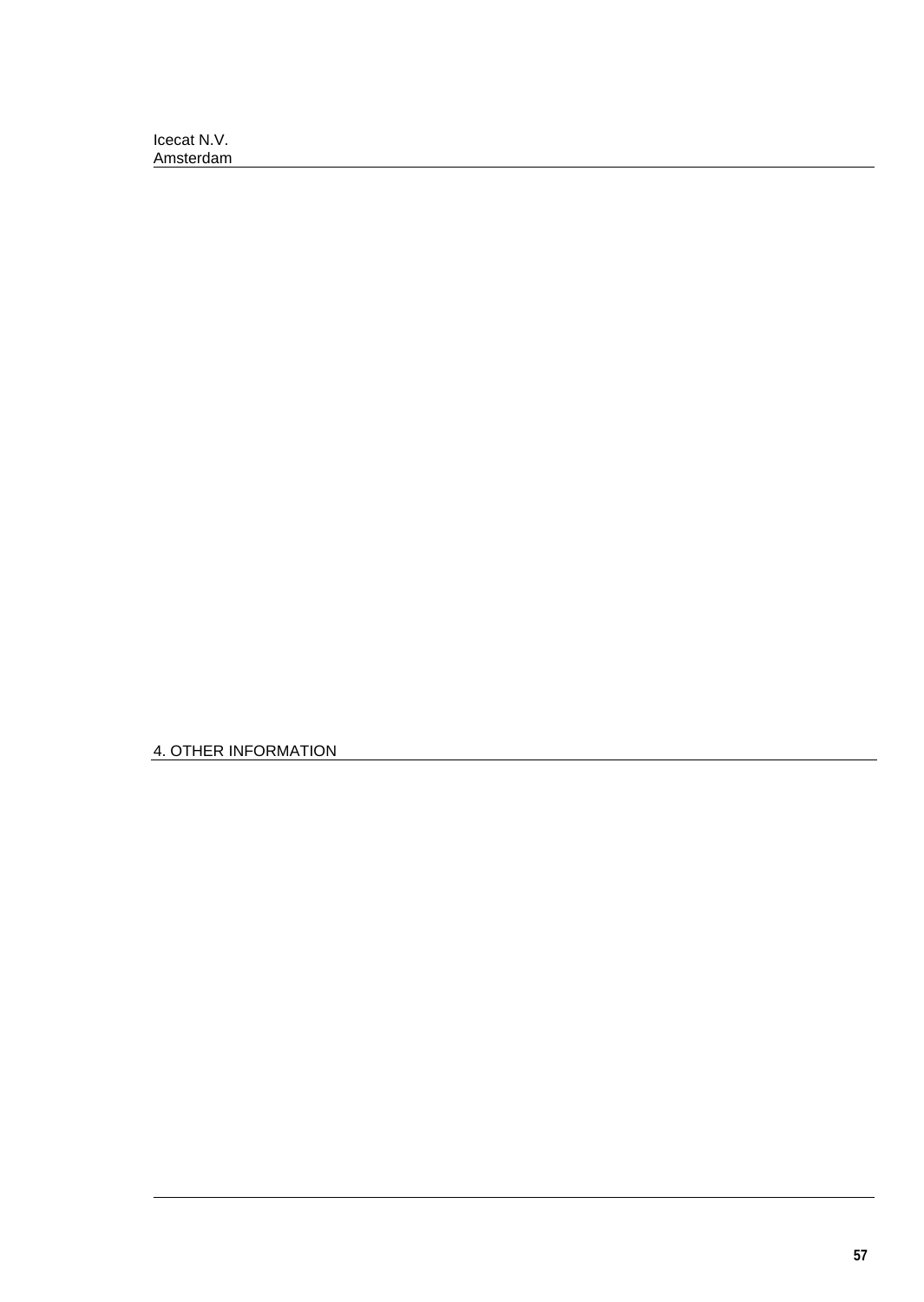4. OTHER INFORMATION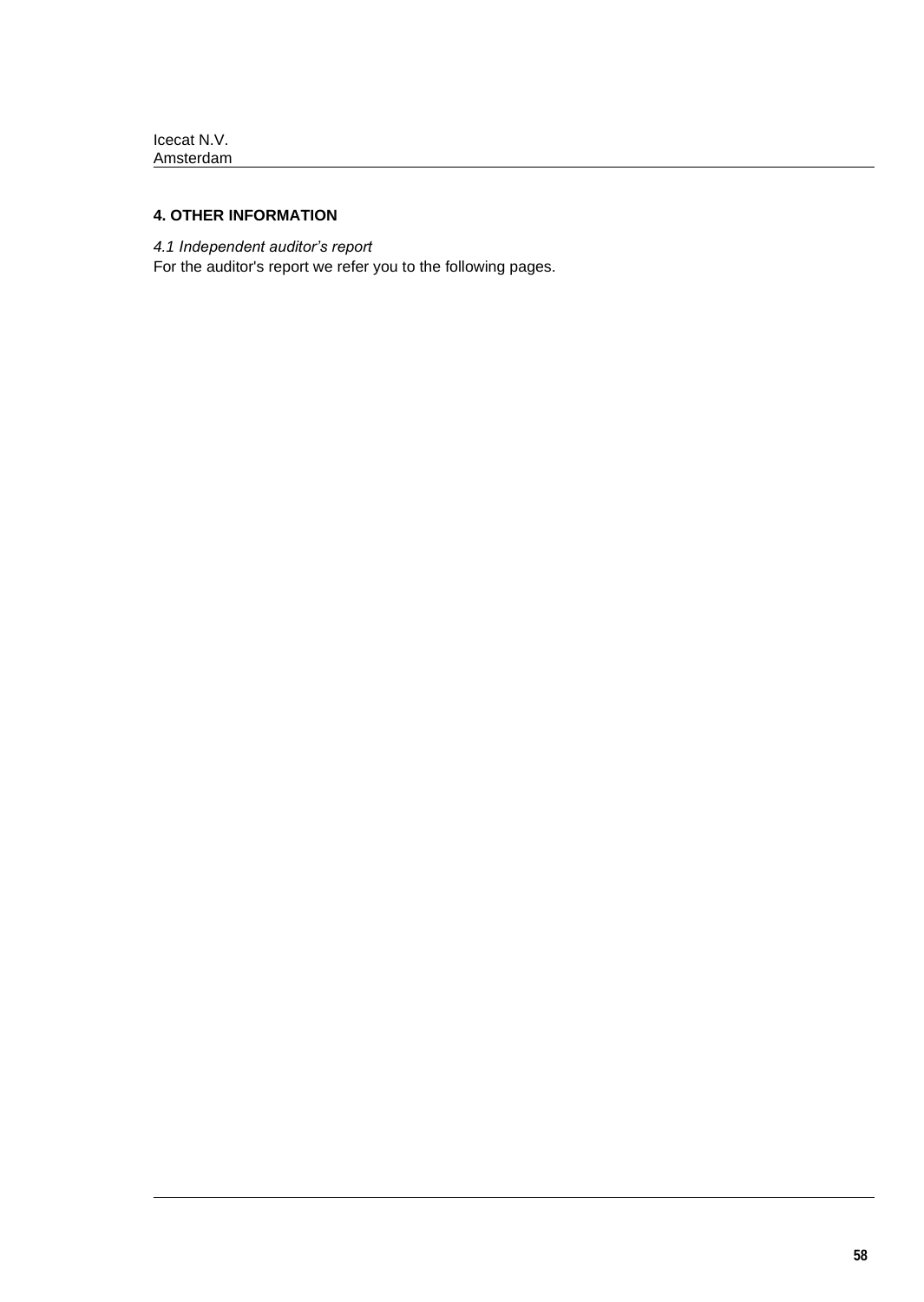# **4. OTHER INFORMATION**

*4.1 Independent auditor's report*

For the auditor's report we refer you to the following pages.